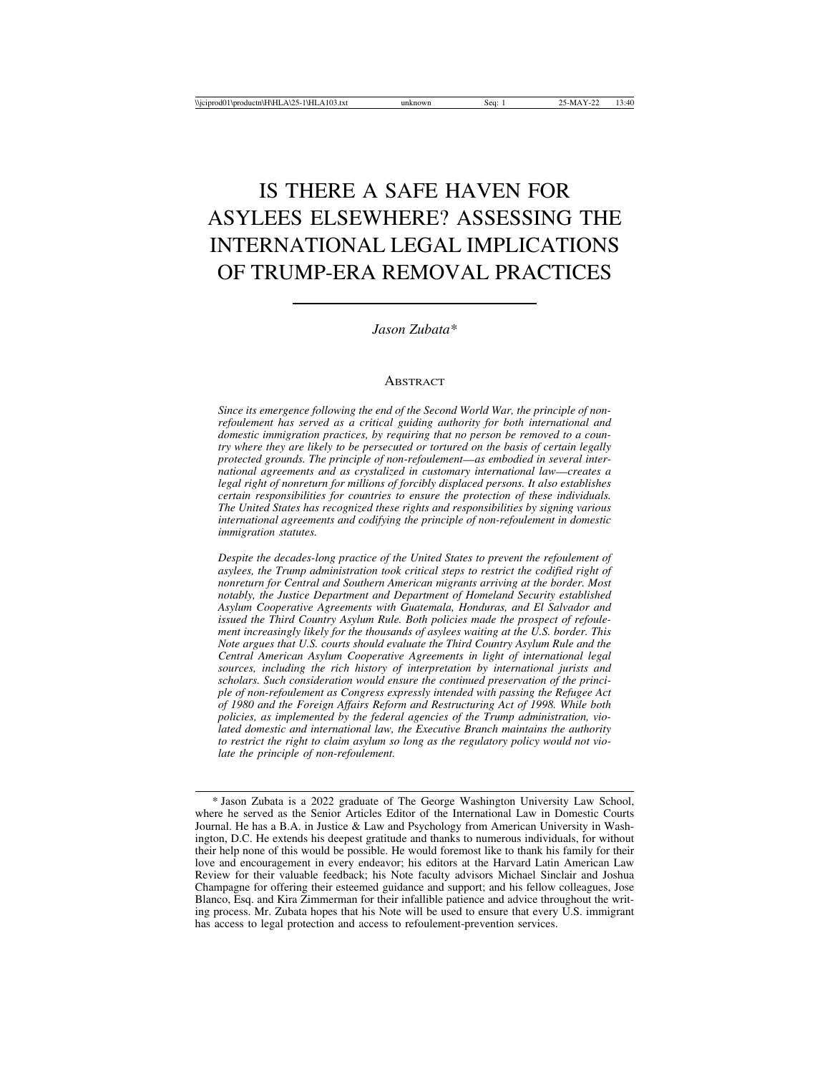# IS THERE A SAFE HAVEN FOR ASYLEES ELSEWHERE? ASSESSING THE INTERNATIONAL LEGAL IMPLICATIONS OF TRUMP-ERA REMOVAL PRACTICES

#### *Jason Zubata\**

#### **ABSTRACT**

*Since its emergence following the end of the Second World War, the principle of nonrefoulement has served as a critical guiding authority for both international and domestic immigration practices, by requiring that no person be removed to a country where they are likely to be persecuted or tortured on the basis of certain legally protected grounds. The principle of non-refoulement*—*as embodied in several international agreements and as crystalized in customary international law*—*creates a legal right of nonreturn for millions of forcibly displaced persons. It also establishes certain responsibilities for countries to ensure the protection of these individuals. The United States has recognized these rights and responsibilities by signing various international agreements and codifying the principle of non-refoulement in domestic immigration statutes.*

*Despite the decades-long practice of the United States to prevent the refoulement of asylees, the Trump administration took critical steps to restrict the codified right of nonreturn for Central and Southern American migrants arriving at the border. Most notably, the Justice Department and Department of Homeland Security established Asylum Cooperative Agreements with Guatemala, Honduras, and El Salvador and issued the Third Country Asylum Rule. Both policies made the prospect of refoulement increasingly likely for the thousands of asylees waiting at the U.S. border. This Note argues that U.S. courts should evaluate the Third Country Asylum Rule and the Central American Asylum Cooperative Agreements in light of international legal sources, including the rich history of interpretation by international jurists and scholars. Such consideration would ensure the continued preservation of the principle of non-refoulement as Congress expressly intended with passing the Refugee Act of 1980 and the Foreign Affairs Reform and Restructuring Act of 1998. While both policies, as implemented by the federal agencies of the Trump administration, violated domestic and international law, the Executive Branch maintains the authority to restrict the right to claim asylum so long as the regulatory policy would not violate the principle of non-refoulement.*

<sup>\*</sup> Jason Zubata is a 2022 graduate of The George Washington University Law School, where he served as the Senior Articles Editor of the International Law in Domestic Courts Journal. He has a B.A. in Justice & Law and Psychology from American University in Washington, D.C. He extends his deepest gratitude and thanks to numerous individuals, for without their help none of this would be possible. He would foremost like to thank his family for their love and encouragement in every endeavor; his editors at the Harvard Latin American Law Review for their valuable feedback; his Note faculty advisors Michael Sinclair and Joshua Champagne for offering their esteemed guidance and support; and his fellow colleagues, Jose Blanco, Esq. and Kira Zimmerman for their infallible patience and advice throughout the writing process. Mr. Zubata hopes that his Note will be used to ensure that every U.S. immigrant has access to legal protection and access to refoulement-prevention services.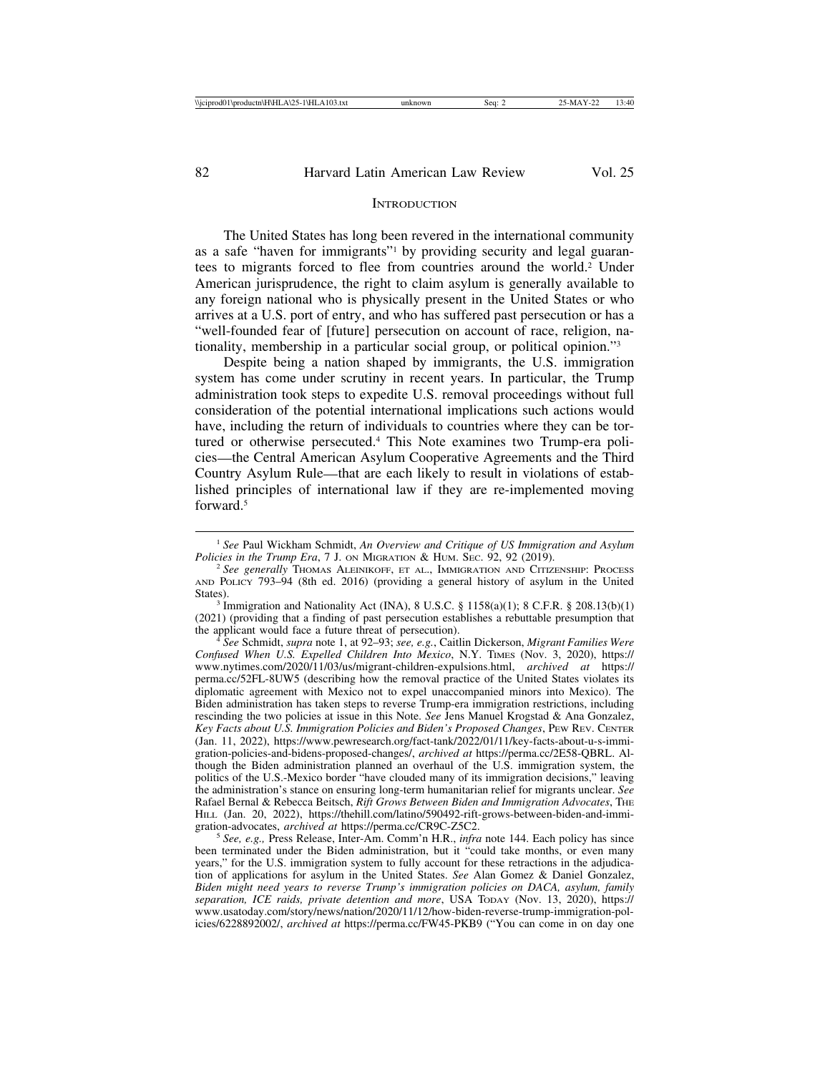#### **INTRODUCTION**

The United States has long been revered in the international community as a safe "haven for immigrants"1 by providing security and legal guarantees to migrants forced to flee from countries around the world.2 Under American jurisprudence, the right to claim asylum is generally available to any foreign national who is physically present in the United States or who arrives at a U.S. port of entry, and who has suffered past persecution or has a "well-founded fear of [future] persecution on account of race, religion, nationality, membership in a particular social group, or political opinion."3

Despite being a nation shaped by immigrants, the U.S. immigration system has come under scrutiny in recent years. In particular, the Trump administration took steps to expedite U.S. removal proceedings without full consideration of the potential international implications such actions would have, including the return of individuals to countries where they can be tortured or otherwise persecuted.4 This Note examines two Trump-era policies—the Central American Asylum Cooperative Agreements and the Third Country Asylum Rule—that are each likely to result in violations of established principles of international law if they are re-implemented moving forward<sup>5</sup>

the applicant would face a future threat of persecution). <sup>4</sup> *See* Schmidt, *supra* note 1, at 92–93; *see, e.g.*, Caitlin Dickerson, *Migrant Families Were Confused When U.S. Expelled Children Into Mexico*, N.Y. TIMES (Nov. 3, 2020), https:// www.nytimes.com/2020/11/03/us/migrant-children-expulsions.html, *archived at* https:// perma.cc/52FL-8UW5 (describing how the removal practice of the United States violates its diplomatic agreement with Mexico not to expel unaccompanied minors into Mexico). The Biden administration has taken steps to reverse Trump-era immigration restrictions, including rescinding the two policies at issue in this Note. *See* Jens Manuel Krogstad & Ana Gonzalez, *Key Facts about U.S. Immigration Policies and Biden's Proposed Changes*, PEW REV. CENTER (Jan. 11, 2022), https://www.pewresearch.org/fact-tank/2022/01/11/key-facts-about-u-s-immigration-policies-and-bidens-proposed-changes/, *archived at* https://perma.cc/2E58-QBRL. Although the Biden administration planned an overhaul of the U.S. immigration system, the politics of the U.S.-Mexico border "have clouded many of its immigration decisions," leaving the administration's stance on ensuring long-term humanitarian relief for migrants unclear. *See* Rafael Bernal & Rebecca Beitsch, *Rift Grows Between Biden and Immigration Advocates*, THE HILL (Jan. 20, 2022), https://thehill.com/latino/590492-rift-grows-between-biden-and-immigration-advocates, *archived at* https://perma.cc/CR9C-Z5C2.

<sup>5</sup> See, e.g., Press Release, Inter-Am. Comm'n H.R., *infra* note 144. Each policy has since been terminated under the Biden administration, but it "could take months, or even many years," for the U.S. immigration system to fully account for these retractions in the adjudication of applications for asylum in the United States. *See* Alan Gomez & Daniel Gonzalez, *Biden might need years to reverse Trump's immigration policies on DACA, asylum, family separation, ICE raids, private detention and more*, USA TODAY (Nov. 13, 2020), https:// www.usatoday.com/story/news/nation/2020/11/12/how-biden-reverse-trump-immigration-policies/6228892002/, *archived at* https://perma.cc/FW45-PKB9 ("You can come in on day one

<sup>&</sup>lt;sup>1</sup> *See Paul Wickham Schmidt, An Overview and Critique of US Immigration and Asylum Policies in the Trump Era, 7 J. ON MIGRATION & HUM. SEC. 92, 92 (2019).* 

<sup>&</sup>lt;sup>2</sup> See generally Thomas ALEINIKOFF, ET AL., IMMIGRATION AND CITIZENSHIP: PROCESS AND POLICY 793–94 (8th ed. 2016) (providing a general history of asylum in the United

<sup>&</sup>lt;sup>3</sup> Immigration and Nationality Act (INA), 8 U.S.C. § 1158(a)(1); 8 C.F.R. § 208.13(b)(1) (2021) (providing that a finding of past persecution establishes a rebuttable presumption that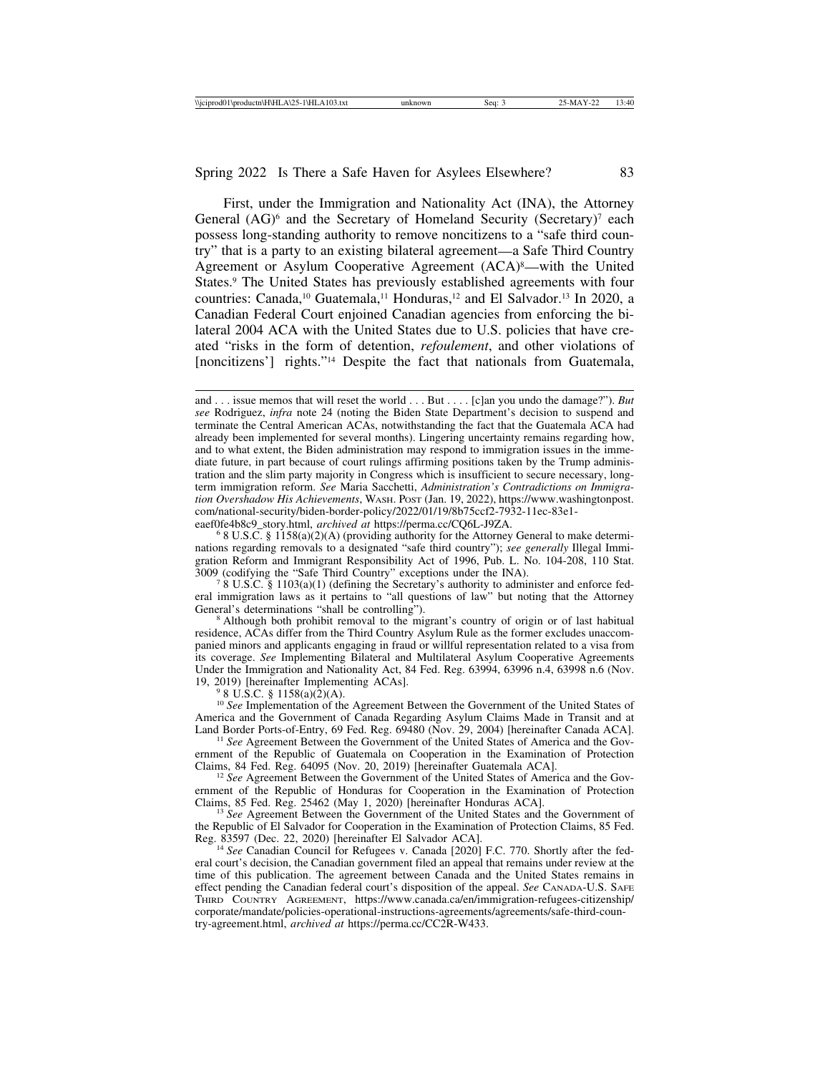First, under the Immigration and Nationality Act (INA), the Attorney General  $(AG)^6$  and the Secretary of Homeland Security (Secretary)<sup>7</sup> each possess long-standing authority to remove noncitizens to a "safe third country" that is a party to an existing bilateral agreement—a Safe Third Country Agreement or Asylum Cooperative Agreement (ACA)<sup>8</sup>—with the United States.<sup>9</sup> The United States has previously established agreements with four countries: Canada,<sup>10</sup> Guatemala,<sup>11</sup> Honduras,<sup>12</sup> and El Salvador.<sup>13</sup> In 2020, a Canadian Federal Court enjoined Canadian agencies from enforcing the bilateral 2004 ACA with the United States due to U.S. policies that have created "risks in the form of detention, *refoulement*, and other violations of [noncitizens'] rights."<sup>14</sup> Despite the fact that nationals from Guatemala,

 $68$  U.S.C. § 1158(a)(2)(A) (providing authority for the Attorney General to make determinations regarding removals to a designated "safe third country"); *see generally* Illegal Immigration Reform and Immigrant Responsibility Act of 1996, Pub. L. No. 104-208, 110 Stat. 3009 (codifying the "Safe Third Country" exceptions under the INA).

 $8 \text{ U.S.C. }$ § 1103(a)(1) (defining the Secretary's authority to administer and enforce federal immigration laws as it pertains to "all questions of law" but noting that the Attorney General's determinations "shall be controlling").

<sup>8</sup> Although both prohibit removal to the migrant's country of origin or of last habitual residence, ACAs differ from the Third Country Asylum Rule as the former excludes unaccompanied minors and applicants engaging in fraud or willful representation related to a visa from its coverage. *See* Implementing Bilateral and Multilateral Asylum Cooperative Agreements Under the Immigration and Nationality Act, 84 Fed. Reg. 63994, 63996 n.4, 63998 n.6 (Nov. 19, 2019) [hereinafter Implementing ACAs]. <sup>9</sup> 8 U.S.C. § 1158(a)(2)(A).

<sup>10</sup> See Implementation of the Agreement Between the Government of the United States of America and the Government of Canada Regarding Asylum Claims Made in Transit and at Land Border Ports-of-Entry, 69 Fed. Reg. 69480 (Nov. 29, 2004) [hereinafter Canada ACA].

<sup>11</sup> See Agreement Between the Government of the United States of America and the Government of the Republic of Guatemala on Cooperation in the Examination of Protection Claims, 84 Fed. Reg. 64095 (Nov. 20, 2019) [hereinafter Guatemala ACA].

<sup>12</sup> See Agreement Between the Government of the United States of America and the Government of the Republic of Honduras for Cooperation in the Examination of Protection Claims, 85 Fed. Reg. 25462 (May 1, 2020) [hereinafter Honduras ACA].

<sup>13</sup> See Agreement Between the Government of the United States and the Government of the Republic of El Salvador for Cooperation in the Examination of Protection Claims, 85 Fed. Reg. 83597 (Dec. 22, 2020) [hereinafter El Salvador ACA].

<sup>14</sup> See Canadian Council for Refugees v. Canada [2020] F.C. 770. Shortly after the federal court's decision, the Canadian government filed an appeal that remains under review at the time of this publication. The agreement between Canada and the United States remains in effect pending the Canadian federal court's disposition of the appeal. *See* CANADA-U.S. SAFE THIRD COUNTRY AGREEMENT, https://www.canada.ca/en/immigration-refugees-citizenship/ corporate/mandate/policies-operational-instructions-agreements/agreements/safe-third-country-agreement.html, *archived at* https://perma.cc/CC2R-W433.

and . . . issue memos that will reset the world . . . But . . . . [c]an you undo the damage?"). *But see* Rodriguez, *infra* note 24 (noting the Biden State Department's decision to suspend and terminate the Central American ACAs, notwithstanding the fact that the Guatemala ACA had already been implemented for several months). Lingering uncertainty remains regarding how, and to what extent, the Biden administration may respond to immigration issues in the immediate future, in part because of court rulings affirming positions taken by the Trump administration and the slim party majority in Congress which is insufficient to secure necessary, longterm immigration reform. *See* Maria Sacchetti, *Administration's Contradictions on Immigration Overshadow His Achievements*, WASH. POST (Jan. 19, 2022), https://www.washingtonpost. com/national-security/biden-border-policy/2022/01/19/8b75ccf2-7932-11ec-83e1-eaef0fe4b8c9\_story.html, archived at https://perma.cc/CQ6L-J9ZA.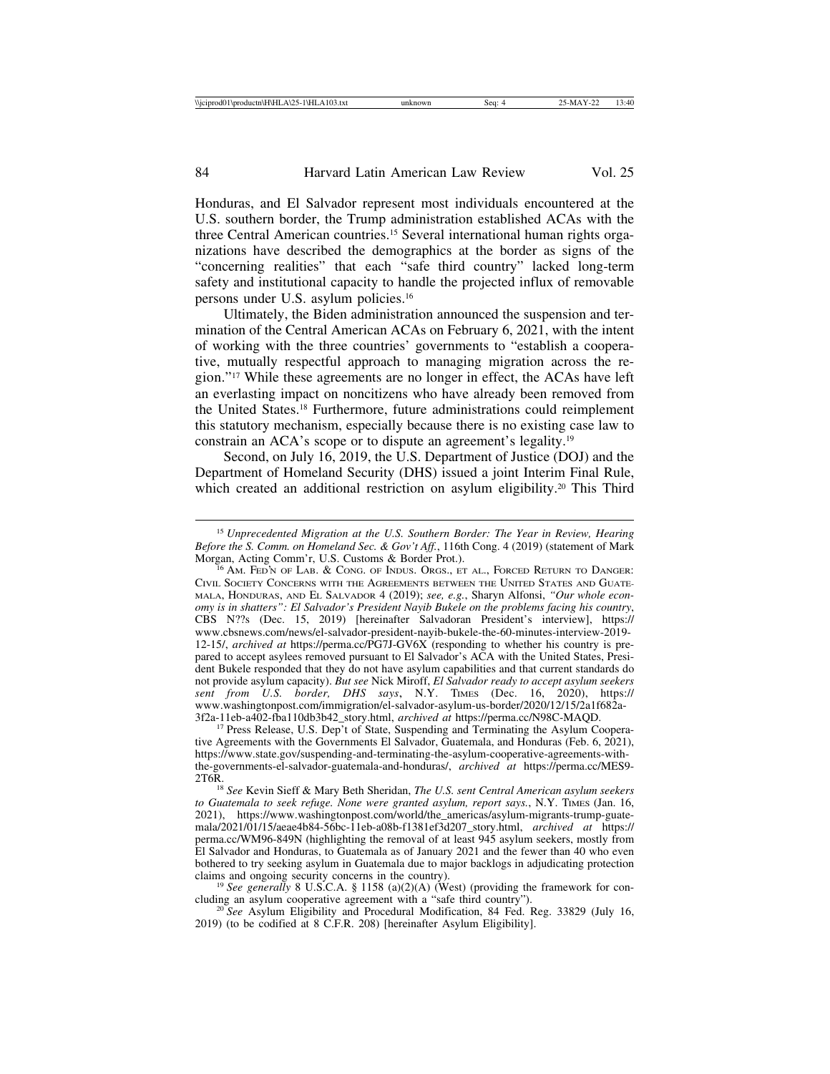Honduras, and El Salvador represent most individuals encountered at the U.S. southern border, the Trump administration established ACAs with the three Central American countries.15 Several international human rights organizations have described the demographics at the border as signs of the "concerning realities" that each "safe third country" lacked long-term safety and institutional capacity to handle the projected influx of removable persons under U.S. asylum policies.16

Ultimately, the Biden administration announced the suspension and termination of the Central American ACAs on February 6, 2021, with the intent of working with the three countries' governments to "establish a cooperative, mutually respectful approach to managing migration across the region."17 While these agreements are no longer in effect, the ACAs have left an everlasting impact on noncitizens who have already been removed from the United States.18 Furthermore, future administrations could reimplement this statutory mechanism, especially because there is no existing case law to constrain an ACA's scope or to dispute an agreement's legality.19

Second, on July 16, 2019, the U.S. Department of Justice (DOJ) and the Department of Homeland Security (DHS) issued a joint Interim Final Rule, which created an additional restriction on asylum eligibility.<sup>20</sup> This Third

<sup>15</sup> *Unprecedented Migration at the U.S. Southern Border: The Year in Review, Hearing Before the S. Comm. on Homeland Sec. & Gov't Aff.*, 116th Cong. 4 (2019) (statement of Mark Morgan, Acting Comm'r, U.S. Customs & Border Prot.).

 $^{16}$  Am. Fed'n of Lab. & Cong. of Indus. Orgs., et al., Forced Return to Danger: CIVIL SOCIETY CONCERNS WITH THE AGREEMENTS BETWEEN THE UNITED STATES AND GUATE-MALA, HONDURAS, AND EL SALVADOR 4 (2019); *see, e.g.*, Sharyn Alfonsi, *"Our whole economy is in shatters": El Salvador's President Nayib Bukele on the problems facing his country*, CBS N??s (Dec. 15, 2019) [hereinafter Salvadoran President's interview], https:// www.cbsnews.com/news/el-salvador-president-nayib-bukele-the-60-minutes-interview-2019- 12-15/, *archived at* https://perma.cc/PG7J-GV6X (responding to whether his country is prepared to accept asylees removed pursuant to El Salvador's ACA with the United States, President Bukele responded that they do not have asylum capabilities and that current standards do not provide asylum capacity). *But see* Nick Miroff, *El Salvador ready to accept asylum seekers sent from U.S. border, DHS says*, N.Y. TIMES (Dec. 16, 2020), https:// www.washingtonpost.com/immigration/el-salvador-asylum-us-border/2020/12/15/2a1f682a-3f2a-11eb-a402-fba110db3b42\_story.html, *archived at* https://perma.cc/N98C-MAQD.

<sup>&</sup>lt;sup>17</sup> Press Release, U.S. Dep't of State, Suspending and Terminating the Asylum Cooperative Agreements with the Governments El Salvador, Guatemala, and Honduras (Feb. 6, 2021), https://www.state.gov/suspending-and-terminating-the-asylum-cooperative-agreements-withthe-governments-el-salvador-guatemala-and-honduras/, *archived at* https://perma.cc/MES9-

<sup>&</sup>lt;sup>18</sup> See Kevin Sieff & Mary Beth Sheridan, *The U.S. sent Central American asylum seekers to Guatemala to seek refuge. None were granted asylum, report says.*, N.Y. TIMES (Jan. 16, 2021), https://www.washingtonpost.com/world/the\_americas/asylum-migrants-trump-guatemala/2021/01/15/aeae4b84-56bc-11eb-a08b-f1381ef3d207\_story.html, *archived at* https:// perma.cc/WM96-849N (highlighting the removal of at least 945 asylum seekers, mostly from El Salvador and Honduras, to Guatemala as of January 2021 and the fewer than 40 who even bothered to try seeking asylum in Guatemala due to major backlogs in adjudicating protection claims and ongoing security concerns in the country).

<sup>&</sup>lt;sup>19</sup> *See generally* 8 U.S.C.A. § 1158 (a)(2)(A) (West) (providing the framework for concluding an asylum cooperative agreement with a "safe third country").

<sup>&</sup>lt;sup>20</sup> See Asylum Eligibility and Procedural Modification, 84 Fed. Reg. 33829 (July 16, 2019) (to be codified at 8 C.F.R. 208) [hereinafter Asylum Eligibility].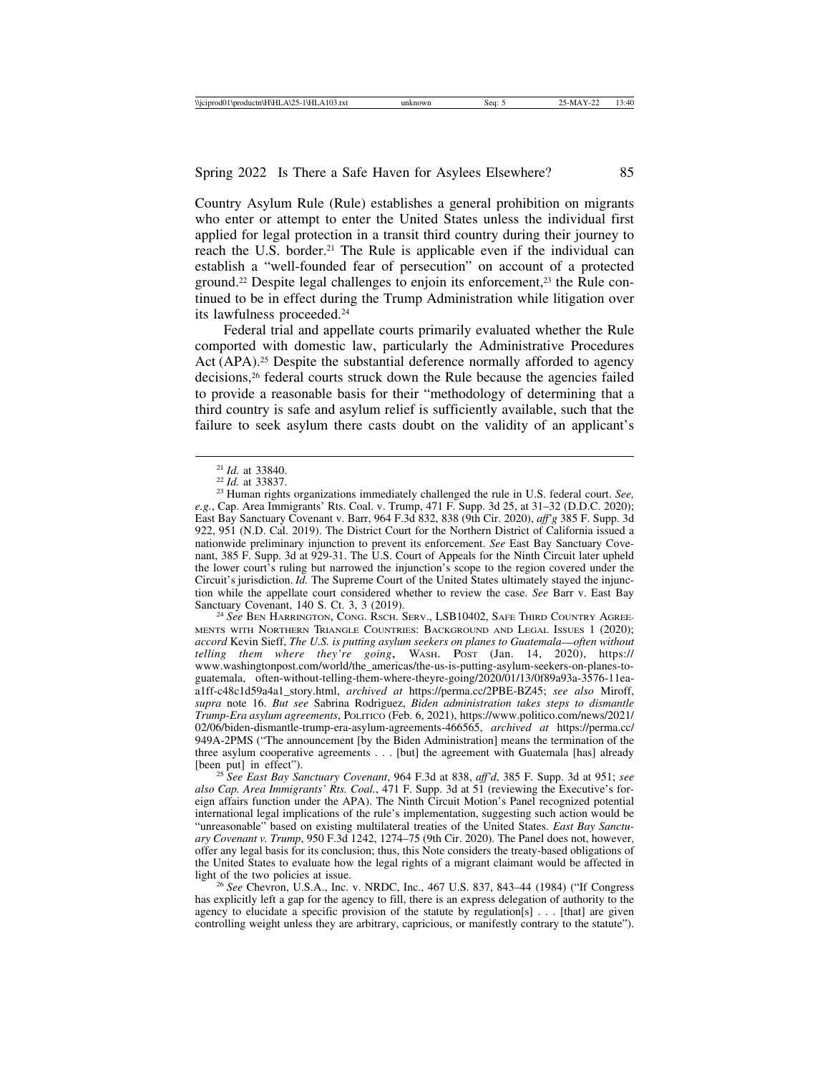Country Asylum Rule (Rule) establishes a general prohibition on migrants who enter or attempt to enter the United States unless the individual first applied for legal protection in a transit third country during their journey to reach the U.S. border.<sup>21</sup> The Rule is applicable even if the individual can establish a "well-founded fear of persecution" on account of a protected ground.<sup>22</sup> Despite legal challenges to enjoin its enforcement,<sup>23</sup> the Rule continued to be in effect during the Trump Administration while litigation over its lawfulness proceeded.24

Federal trial and appellate courts primarily evaluated whether the Rule comported with domestic law, particularly the Administrative Procedures Act (APA).<sup>25</sup> Despite the substantial deference normally afforded to agency decisions,26 federal courts struck down the Rule because the agencies failed to provide a reasonable basis for their "methodology of determining that a third country is safe and asylum relief is sufficiently available, such that the failure to seek asylum there casts doubt on the validity of an applicant's

<sup>24</sup> See BEN HARRINGTON, CONG. RSCH. SERV., LSB10402, SAFE THIRD COUNTRY AGREE-MENTS WITH NORTHERN TRIANGLE COUNTRIES: BACKGROUND AND LEGAL ISSUES 1 (2020); *accord* Kevin Sieff, *The U.S. is putting asylum seekers on planes to Guatemala*—*often without telling them where they're going*, WASH. POST (Jan. 14, 2020), https:// www.washingtonpost.com/world/the\_americas/the-us-is-putting-asylum-seekers-on-planes-toguatemala, often-without-telling-them-where-theyre-going/2020/01/13/0f89a93a-3576-11eaa1ff-c48c1d59a4a1\_story.html, *archived at* https://perma.cc/2PBE-BZ45; *see also* Miroff, *supra* note 16. *But see* Sabrina Rodriguez, *Biden administration takes steps to dismantle Trump-Era asylum agreements*, POLITICO (Feb. 6, 2021), https://www.politico.com/news/2021/ 02/06/biden-dismantle-trump-era-asylum-agreements-466565, *archived at* https://perma.cc/ 949A-2PMS ("The announcement [by the Biden Administration] means the termination of the three asylum cooperative agreements . . . [but] the agreement with Guatemala [has] already [been put] in effect"). <sup>25</sup> *See East Bay Sanctuary Covenant*, 964 F.3d at 838, *aff'd*, 385 F. Supp. 3d at 951; *see*

*also Cap. Area Immigrants' Rts. Coal.*, 471 F. Supp. 3d at 51 (reviewing the Executive's foreign affairs function under the APA). The Ninth Circuit Motion's Panel recognized potential international legal implications of the rule's implementation, suggesting such action would be "unreasonable" based on existing multilateral treaties of the United States. *East Bay Sanctuary Covenant v. Trump*, 950 F.3d 1242, 1274–75 (9th Cir. 2020). The Panel does not, however, offer any legal basis for its conclusion; thus, this Note considers the treaty-based obligations of the United States to evaluate how the legal rights of a migrant claimant would be affected in light of the two policies at issue.

<sup>26</sup> *See* Chevron, U.S.A., Inc. v. NRDC, Inc., 467 U.S. 837, 843–44 (1984) ("If Congress has explicitly left a gap for the agency to fill, there is an express delegation of authority to the agency to elucidate a specific provision of the statute by regulation  $[s]$ ... [that] are given controlling weight unless they are arbitrary, capricious, or manifestly contrary to the statute").

<sup>21</sup> *Id.* at 33840. <sup>22</sup> *Id.* at 33837. <sup>23</sup> Human rights organizations immediately challenged the rule in U.S. federal court. *See, e.g.*, Cap. Area Immigrants' Rts. Coal. v. Trump, 471 F. Supp. 3d 25, at 31–32 (D.D.C. 2020); East Bay Sanctuary Covenant v. Barr, 964 F.3d 832, 838 (9th Cir. 2020), *aff'g* 385 F. Supp. 3d 922, 951 (N.D. Cal. 2019). The District Court for the Northern District of California issued a nationwide preliminary injunction to prevent its enforcement. *See* East Bay Sanctuary Covenant, 385 F. Supp. 3d at 929-31. The U.S. Court of Appeals for the Ninth Circuit later upheld the lower court's ruling but narrowed the injunction's scope to the region covered under the Circuit's jurisdiction. *Id.* The Supreme Court of the United States ultimately stayed the injunction while the appellate court considered whether to review the case. *See* Barr v. East Bay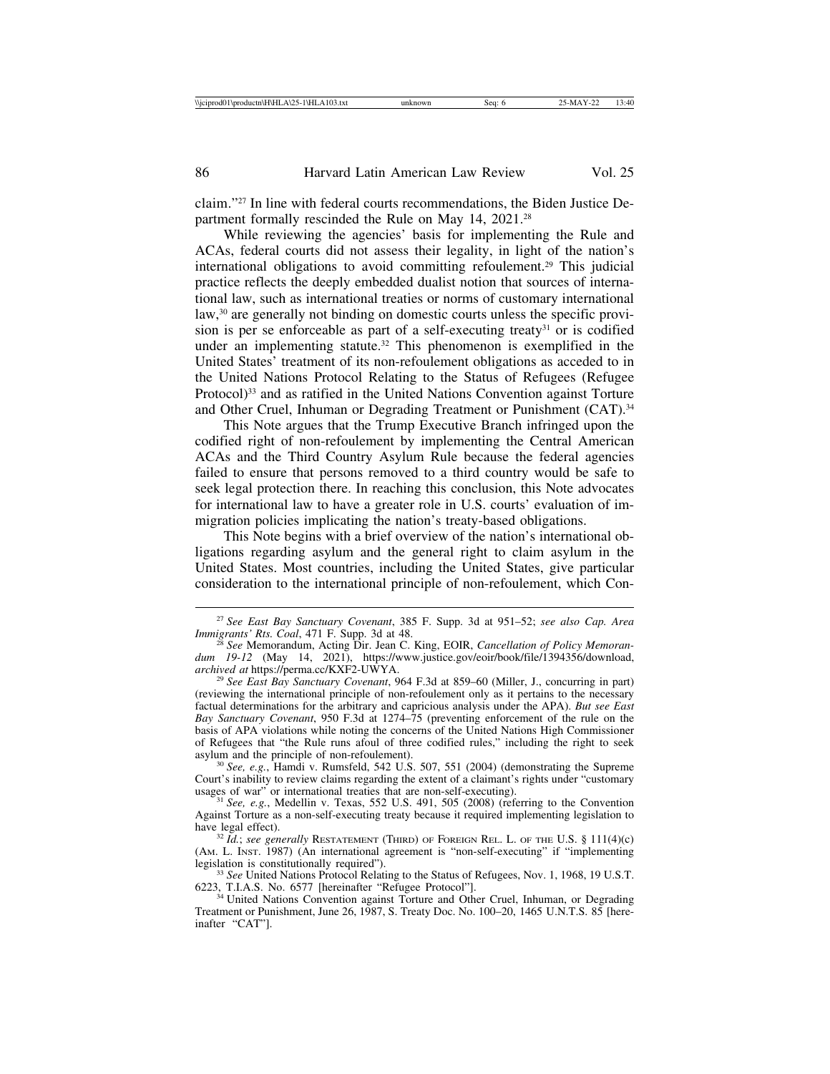claim."27 In line with federal courts recommendations, the Biden Justice Department formally rescinded the Rule on May 14, 2021.<sup>28</sup>

While reviewing the agencies' basis for implementing the Rule and ACAs, federal courts did not assess their legality, in light of the nation's international obligations to avoid committing refoulement.29 This judicial practice reflects the deeply embedded dualist notion that sources of international law, such as international treaties or norms of customary international law,30 are generally not binding on domestic courts unless the specific provision is per se enforceable as part of a self-executing treaty<sup>31</sup> or is codified under an implementing statute.<sup>32</sup> This phenomenon is exemplified in the United States' treatment of its non-refoulement obligations as acceded to in the United Nations Protocol Relating to the Status of Refugees (Refugee Protocol)<sup>33</sup> and as ratified in the United Nations Convention against Torture and Other Cruel, Inhuman or Degrading Treatment or Punishment (CAT).<sup>34</sup>

This Note argues that the Trump Executive Branch infringed upon the codified right of non-refoulement by implementing the Central American ACAs and the Third Country Asylum Rule because the federal agencies failed to ensure that persons removed to a third country would be safe to seek legal protection there. In reaching this conclusion, this Note advocates for international law to have a greater role in U.S. courts' evaluation of immigration policies implicating the nation's treaty-based obligations.

This Note begins with a brief overview of the nation's international obligations regarding asylum and the general right to claim asylum in the United States. Most countries, including the United States, give particular consideration to the international principle of non-refoulement, which Con-

<sup>27</sup> *See East Bay Sanctuary Covenant*, 385 F. Supp. 3d at 951–52; *see also Cap. Area*

*See Memorandum, Acting Dir. Jean C. King, EOIR, Cancellation of Policy Memorandum 19-12* (May 14, 2021), https://www.justice.gov/eoir/book/file/1394356/download,<br>archived at https://perma.cc/KXF2-UWYA.

<sup>&</sup>lt;sup>29</sup> See East Bay Sanctuary Covenant, 964 F.3d at 859–60 (Miller, J., concurring in part) (reviewing the international principle of non-refoulement only as it pertains to the necessary factual determinations for the arbitrary and capricious analysis under the APA). *But see East Bay Sanctuary Covenant*, 950 F.3d at 1274–75 (preventing enforcement of the rule on the basis of APA violations while noting the concerns of the United Nations High Commissioner of Refugees that "the Rule runs afoul of three codified rules," including the right to seek asylum and the principle of non-refoulement).

<sup>&</sup>lt;sup>30</sup> *See, e.g.*, Hamdi v. Rumsfeld, 542 U.S. 507, 551 (2004) (demonstrating the Supreme Court's inability to review claims regarding the extent of a claimant's rights under "customary usages of war" or international treaties that are non-self-executing).

<sup>&</sup>lt;sup>31</sup> See, e.g., Medellin v. Texas, 552 U.S. 491, 505 (2008) (referring to the Convention Against Torture as a non-self-executing treaty because it required implementing legislation to

 $h^{32}$  *Id.*; *see generally RESTATEMENT* (THIRD) OF FOREIGN REL. L. OF THE U.S. § 111(4)(c) (AM. L. INST. 1987) (An international agreement is "non-self-executing" if "implementing

legislation is constitutionally required").<br><sup>33</sup> *See* United Nations Protocol Relating to the Status of Refugees, Nov. 1, 1968, 19 U.S.T.<br>6223, T.I.A.S. No. 6577 [hereinafter "Refugee Protocol"].

<sup>&</sup>lt;sup>34</sup> United Nations Convention against Torture and Other Cruel, Inhuman, or Degrading Treatment or Punishment, June 26, 1987, S. Treaty Doc. No. 100–20, 1465 U.N.T.S. 85 [hereinafter "CAT"].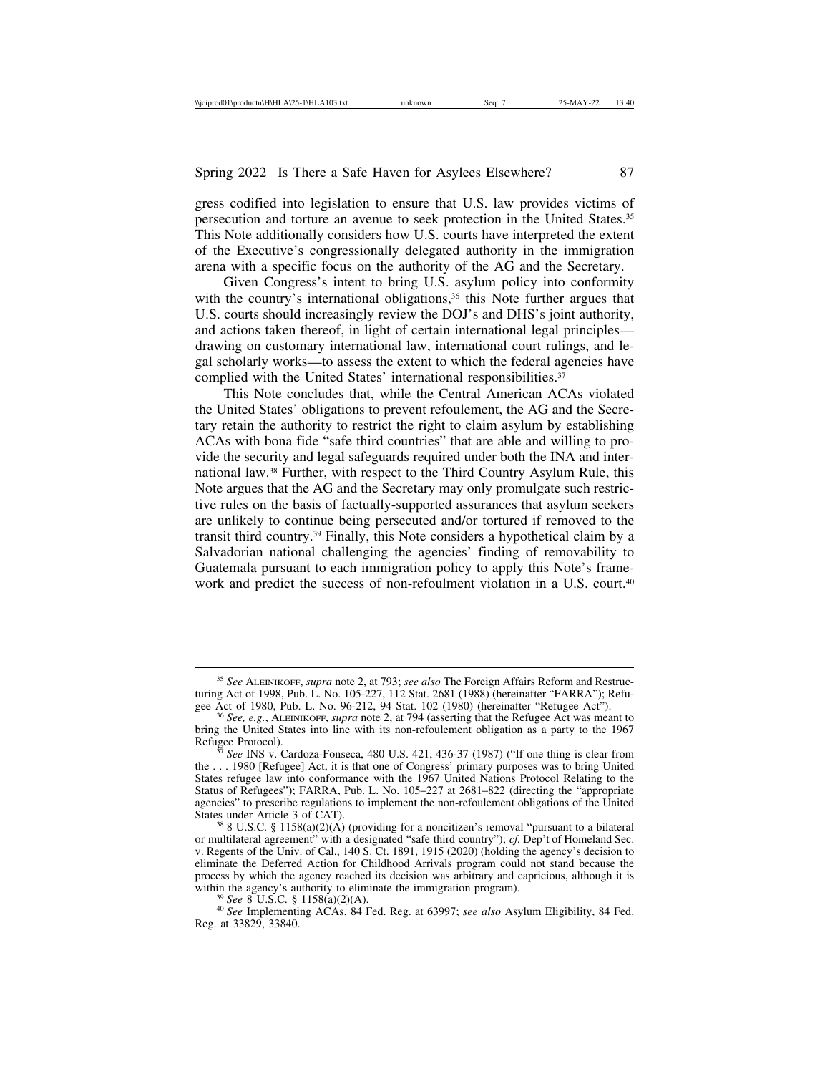gress codified into legislation to ensure that U.S. law provides victims of persecution and torture an avenue to seek protection in the United States.35 This Note additionally considers how U.S. courts have interpreted the extent of the Executive's congressionally delegated authority in the immigration arena with a specific focus on the authority of the AG and the Secretary.

Given Congress's intent to bring U.S. asylum policy into conformity with the country's international obligations,<sup>36</sup> this Note further argues that U.S. courts should increasingly review the DOJ's and DHS's joint authority, and actions taken thereof, in light of certain international legal principles drawing on customary international law, international court rulings, and legal scholarly works—to assess the extent to which the federal agencies have complied with the United States' international responsibilities.<sup>37</sup>

This Note concludes that, while the Central American ACAs violated the United States' obligations to prevent refoulement, the AG and the Secretary retain the authority to restrict the right to claim asylum by establishing ACAs with bona fide "safe third countries" that are able and willing to provide the security and legal safeguards required under both the INA and international law.38 Further, with respect to the Third Country Asylum Rule, this Note argues that the AG and the Secretary may only promulgate such restrictive rules on the basis of factually-supported assurances that asylum seekers are unlikely to continue being persecuted and/or tortured if removed to the transit third country.39 Finally, this Note considers a hypothetical claim by a Salvadorian national challenging the agencies' finding of removability to Guatemala pursuant to each immigration policy to apply this Note's framework and predict the success of non-refoulment violation in a U.S. court.<sup>40</sup>

<sup>35</sup> *See* ALEINIKOFF, *supra* note 2, at 793; *see also* The Foreign Affairs Reform and Restructuring Act of 1998, Pub. L. No. 105-227, 112 Stat. 2681 (1988) (hereinafter "FARRA"); Refu-<br>gee Act of 1980, Pub. L. No. 96-212, 94 Stat. 102 (1980) (hereinafter "Refugee Act").

<sup>&</sup>lt;sup>36</sup> See, e.g., ALEINIKOFF, *supra* note 2, at 794 (asserting that the Refugee Act was meant to bring the United States into line with its non-refoulement obligation as a party to the 1967<br>Refugee Protocol).

See INS v. Cardoza-Fonseca, 480 U.S. 421, 436-37 (1987) ("If one thing is clear from the . . . 1980 [Refugee] Act, it is that one of Congress' primary purposes was to bring United States refugee law into conformance with the 1967 United Nations Protocol Relating to the Status of Refugees"); FARRA, Pub. L. No. 105–227 at 2681–822 (directing the "appropriate agencies" to prescribe regulations to implement the non-refoulement obligations of the United States under Article 3 of CAT).

 $388$  U.S.C. § 1158(a)(2)(A) (providing for a noncitizen's removal "pursuant to a bilateral or multilateral agreement" with a designated "safe third country"); *cf.* Dep't of Homeland Sec. v. Regents of the Univ. of Cal., 140 S. Ct. 1891, 1915 (2020) (holding the agency's decision to eliminate the Deferred Action for Childhood Arrivals program could not stand because the process by which the agency reached its decision was arbitrary and capricious, although it is within the agency's authority to eliminate the immigration program).

<sup>&</sup>lt;sup>39</sup> *See* 8 U.S.C. § 1158(a)(2)(A).  $\frac{39}{40}$  *See* Implementing ACAs, 84 Fed. Reg. at 63997; *see also* Asylum Eligibility, 84 Fed. Reg. at 33829, 33840.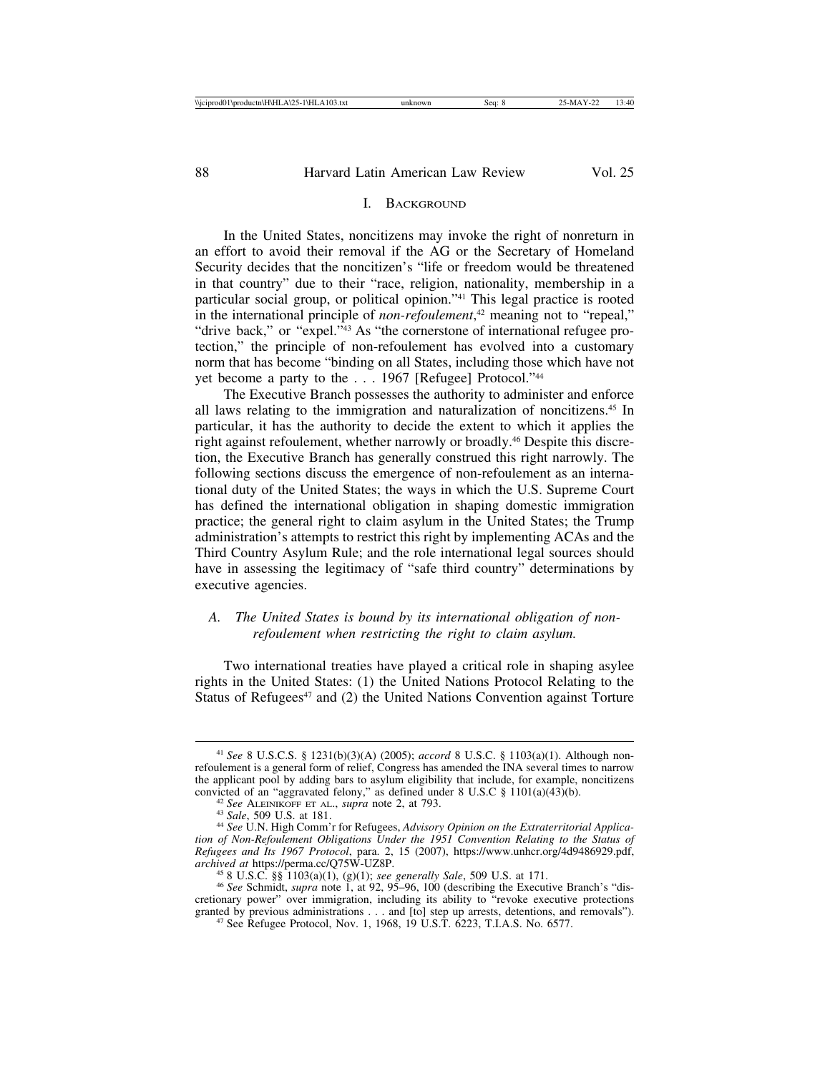## I. BACKGROUND

In the United States, noncitizens may invoke the right of nonreturn in an effort to avoid their removal if the AG or the Secretary of Homeland Security decides that the noncitizen's "life or freedom would be threatened in that country" due to their "race, religion, nationality, membership in a particular social group, or political opinion."41 This legal practice is rooted in the international principle of *non-refoulement*, 42 meaning not to "repeal," "drive back," or "expel."43 As "the cornerstone of international refugee protection," the principle of non-refoulement has evolved into a customary norm that has become "binding on all States, including those which have not yet become a party to the . . . 1967 [Refugee] Protocol."44

The Executive Branch possesses the authority to administer and enforce all laws relating to the immigration and naturalization of noncitizens.45 In particular, it has the authority to decide the extent to which it applies the right against refoulement, whether narrowly or broadly.46 Despite this discretion, the Executive Branch has generally construed this right narrowly. The following sections discuss the emergence of non-refoulement as an international duty of the United States; the ways in which the U.S. Supreme Court has defined the international obligation in shaping domestic immigration practice; the general right to claim asylum in the United States; the Trump administration's attempts to restrict this right by implementing ACAs and the Third Country Asylum Rule; and the role international legal sources should have in assessing the legitimacy of "safe third country" determinations by executive agencies.

# *A. The United States is bound by its international obligation of nonrefoulement when restricting the right to claim asylum.*

Two international treaties have played a critical role in shaping asylee rights in the United States: (1) the United Nations Protocol Relating to the Status of Refugees $47$  and (2) the United Nations Convention against Torture

<sup>41</sup> *See* 8 U.S.C.S. § 1231(b)(3)(A) (2005); *accord* 8 U.S.C. § 1103(a)(1). Although nonrefoulement is a general form of relief, Congress has amended the INA several times to narrow the applicant pool by adding bars to asylum eligibility that include, for example, noncitizens convicted of an "aggravated felony," as defined under  $8 \text{ U.S.C } \$ 1101(a)(43)(b)$ .

<sup>&</sup>lt;sup>42</sup> See ALEINIKOFF ET AL., *supra* note 2, at 793.<br><sup>43</sup> Sale, 509 U.S. at 181.<br><sup>44</sup> See U.N. High Comm'r for Refugees, *Advisory Opinion on the Extraterritorial Applica tion of Non-Refoulement Obligations Under the 1951 Convention Relating to the Status of Refugees and Its 1967 Protocol*, para. 2, 15 (2007), https://www.unhcr.org/4d9486929.pdf,

<sup>45 8</sup> U.S.C. §§ 1103(a)(1), (g)(1); see generally Sale, 509 U.S. at 171.<br><sup>45</sup> 8 U.S.C. §§ 1103(a)(1), (g)(1); see generally Sale, 509 U.S. at 171. cretionary power" over immigration, including its ability to "revoke executive protections granted by previous administrations . . . and [to] step up arrests, detentions, and removals"). <sup>47</sup> See Refugee Protocol, Nov. 1, 1968, 19 U.S.T. 6223, T.I.A.S. No. 6577.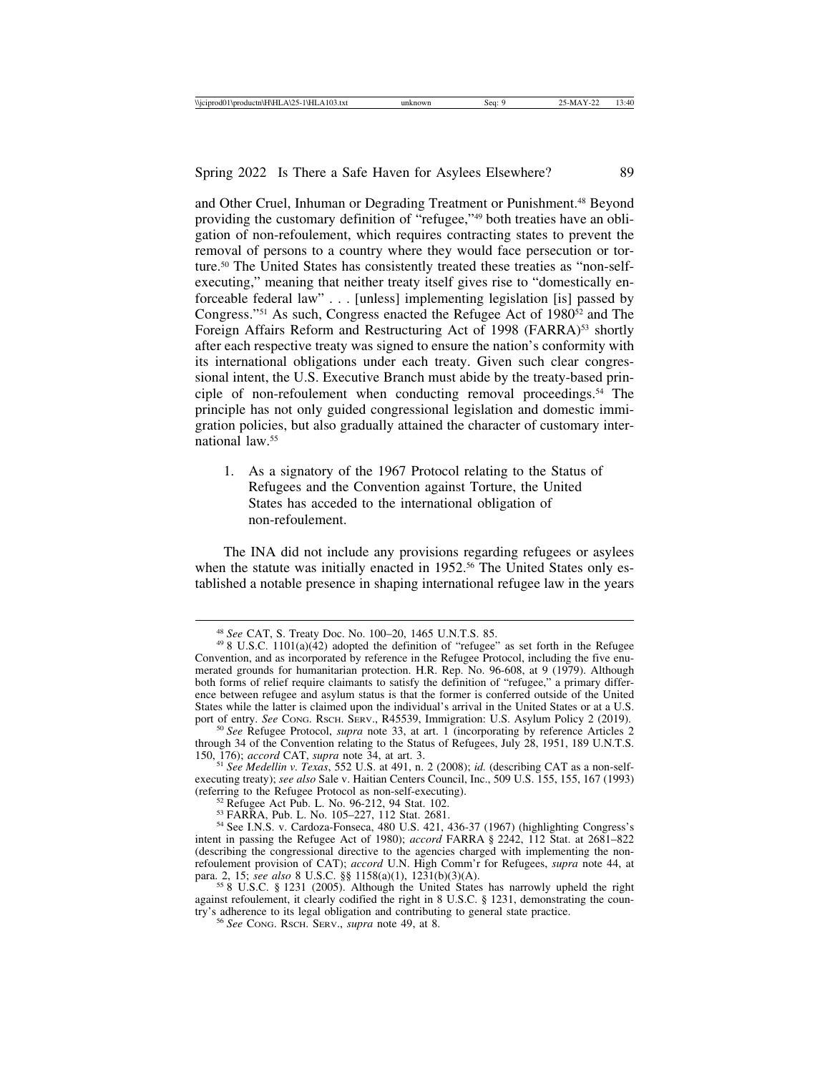and Other Cruel, Inhuman or Degrading Treatment or Punishment.48 Beyond providing the customary definition of "refugee,"49 both treaties have an obligation of non-refoulement, which requires contracting states to prevent the removal of persons to a country where they would face persecution or torture.50 The United States has consistently treated these treaties as "non-selfexecuting," meaning that neither treaty itself gives rise to "domestically enforceable federal law" . . . [unless] implementing legislation [is] passed by Congress."<sup>51</sup> As such, Congress enacted the Refugee Act of  $1980^{52}$  and The Foreign Affairs Reform and Restructuring Act of 1998 (FARRA)<sup>53</sup> shortly after each respective treaty was signed to ensure the nation's conformity with its international obligations under each treaty. Given such clear congressional intent, the U.S. Executive Branch must abide by the treaty-based principle of non-refoulement when conducting removal proceedings.<sup>54</sup> The principle has not only guided congressional legislation and domestic immigration policies, but also gradually attained the character of customary international law.55

1. As a signatory of the 1967 Protocol relating to the Status of Refugees and the Convention against Torture, the United States has acceded to the international obligation of non-refoulement.

The INA did not include any provisions regarding refugees or asylees when the statute was initially enacted in 1952.<sup>56</sup> The United States only established a notable presence in shaping international refugee law in the years

<sup>&</sup>lt;sup>48</sup> *See* CAT, S. Treaty Doc. No. 100–20, 1465 U.N.T.S. 85. <sup>49</sup> 8 U.S.C. 1101(a)(42) adopted the definition of "refugee" as set forth in the Refugee Convention, and as incorporated by reference in the Refugee Protocol, including the five enumerated grounds for humanitarian protection. H.R. Rep. No. 96-608, at 9 (1979). Although both forms of relief require claimants to satisfy the definition of "refugee," a primary difference between refugee and asylum status is that the former is conferred outside of the United States while the latter is claimed upon the individual's arrival in the United States or at a U.S. port of entry. See Cong. RscH. SERV., R45539, Immigration: U.S. Asylum Policy 2 (2019). port of entry. *See* CONG. RSCH. SERV., R45539, Immigration: U.S. Asylum Policy 2 (2019). <sup>50</sup> *See* Refugee Protocol, *supra* note 33, at art. 1 (incorporating by reference Articles 2

through 34 of the Convention relating to the Status of Refugees, July 28, 1951, 189 U.N.T.S. 150, 176); *accord* CAT, *supra* note 34, at art. 3. <sup>51</sup> *See Medellin v. Texas*, 552 U.S. at 491, n. 2 (2008); *id.* (describing CAT as a non-self-

executing treaty); *see also* Sale v. Haitian Centers Council, Inc., 509 U.S. 155, 155, 167 (1993) (referring to the Refugee Protocol as non-self-executing).

<sup>&</sup>lt;sup>52</sup> Refugee Act Pub. L. No. 96-212, 94 Stat. 102.<br><sup>53</sup> FARRA, Pub. L. No. 105–227, 112 Stat. 2681.<br><sup>54</sup> See I.N.S. v. Cardoza-Fonseca, 480 U.S. 421, 436-37 (1967) (highlighting Congress's intent in passing the Refugee Act of 1980); *accord* FARRA § 2242, 112 Stat. at 2681–822 (describing the congressional directive to the agencies charged with implementing the nonrefoulement provision of CAT); *accord* U.N. High Comm'r for Refugees, *supra* note 44, at

 $558$  U.S.C. § 1231 (2005). Although the United States has narrowly upheld the right against refoulement, it clearly codified the right in 8 U.S.C. § 1231, demonstrating the country's adherence to its legal obligation and contributing to general state practice. <sup>56</sup> *See* CONG. RSCH. SERV., *supra* note 49, at 8.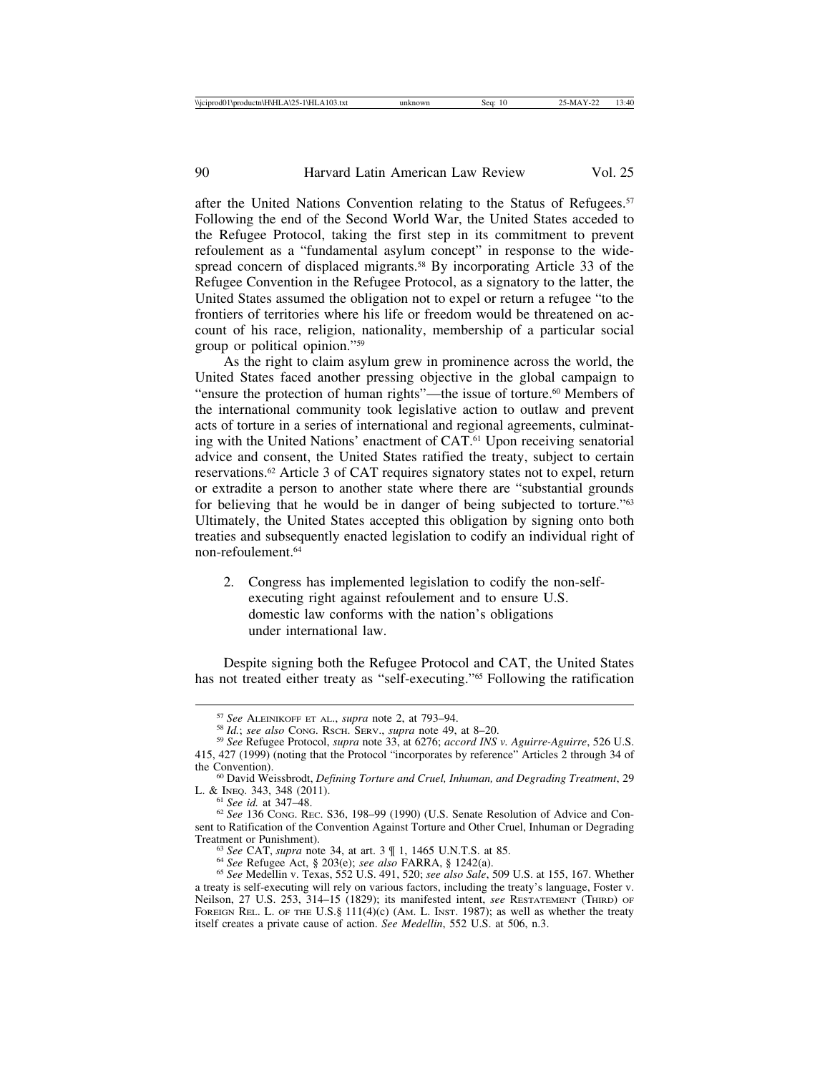after the United Nations Convention relating to the Status of Refugees.<sup>57</sup> Following the end of the Second World War, the United States acceded to the Refugee Protocol, taking the first step in its commitment to prevent refoulement as a "fundamental asylum concept" in response to the widespread concern of displaced migrants.<sup>58</sup> By incorporating Article 33 of the Refugee Convention in the Refugee Protocol, as a signatory to the latter, the United States assumed the obligation not to expel or return a refugee "to the frontiers of territories where his life or freedom would be threatened on account of his race, religion, nationality, membership of a particular social group or political opinion."59

As the right to claim asylum grew in prominence across the world, the United States faced another pressing objective in the global campaign to "ensure the protection of human rights"—the issue of torture.<sup>60</sup> Members of the international community took legislative action to outlaw and prevent acts of torture in a series of international and regional agreements, culminating with the United Nations' enactment of CAT.61 Upon receiving senatorial advice and consent, the United States ratified the treaty, subject to certain reservations.62 Article 3 of CAT requires signatory states not to expel, return or extradite a person to another state where there are "substantial grounds for believing that he would be in danger of being subjected to torture."63 Ultimately, the United States accepted this obligation by signing onto both treaties and subsequently enacted legislation to codify an individual right of non-refoulement.64

2. Congress has implemented legislation to codify the non-selfexecuting right against refoulement and to ensure U.S. domestic law conforms with the nation's obligations under international law.

Despite signing both the Refugee Protocol and CAT, the United States has not treated either treaty as "self-executing."65 Following the ratification

<sup>&</sup>lt;sup>57</sup> See ALEINIKOFF ET AL., *supra* note 2, at 793–94.<br><sup>58</sup> Id.; *see also* Cong. Rsch. SERV., *supra* note 49, at 8–20.<br><sup>59</sup> See Refugee Protocol, *supra* note 33, at 6276; *accord INS v. Aguirre-Aguirre*, 526 U.S. 415, 427 (1999) (noting that the Protocol "incorporates by reference" Articles 2 through 34 of

<sup>&</sup>lt;sup>60</sup> David Weissbrodt, *Defining Torture and Cruel, Inhuman, and Degrading Treatment*, 29 L. & INEO. 343, 348 (2011).

 $\frac{61}{2}$  *See id.* at 347–48.<br> $\frac{62}{2}$  *See* 136 Cong. Rec. S36, 198–99 (1990) (U.S. Senate Resolution of Advice and Consent to Ratification of the Convention Against Torture and Other Cruel, Inhuman or Degrading<br>Treatment or Punishment).

<sup>&</sup>lt;sup>63</sup> See CAT, supra note 34, at art. 3  $\P$  1, 1465 U.N.T.S. at 85.<br><sup>64</sup> See Refugee Act, § 203(e); *see also* FARRA, § 1242(a).<br><sup>65</sup> See Medellin v. Texas, 552 U.S. 491, 520; *see also Sale*, 509 U.S. at 155, 167. Whether a treaty is self-executing will rely on various factors, including the treaty's language, Foster v. Neilson, 27 U.S. 253, 314–15 (1829); its manifested intent, *see* RESTATEMENT (THIRD) OF FOREIGN REL. L. OF THE U.S.§ 111(4)(c) (AM. L. INST. 1987); as well as whether the treaty itself creates a private cause of action. *See Medellin*, 552 U.S. at 506, n.3.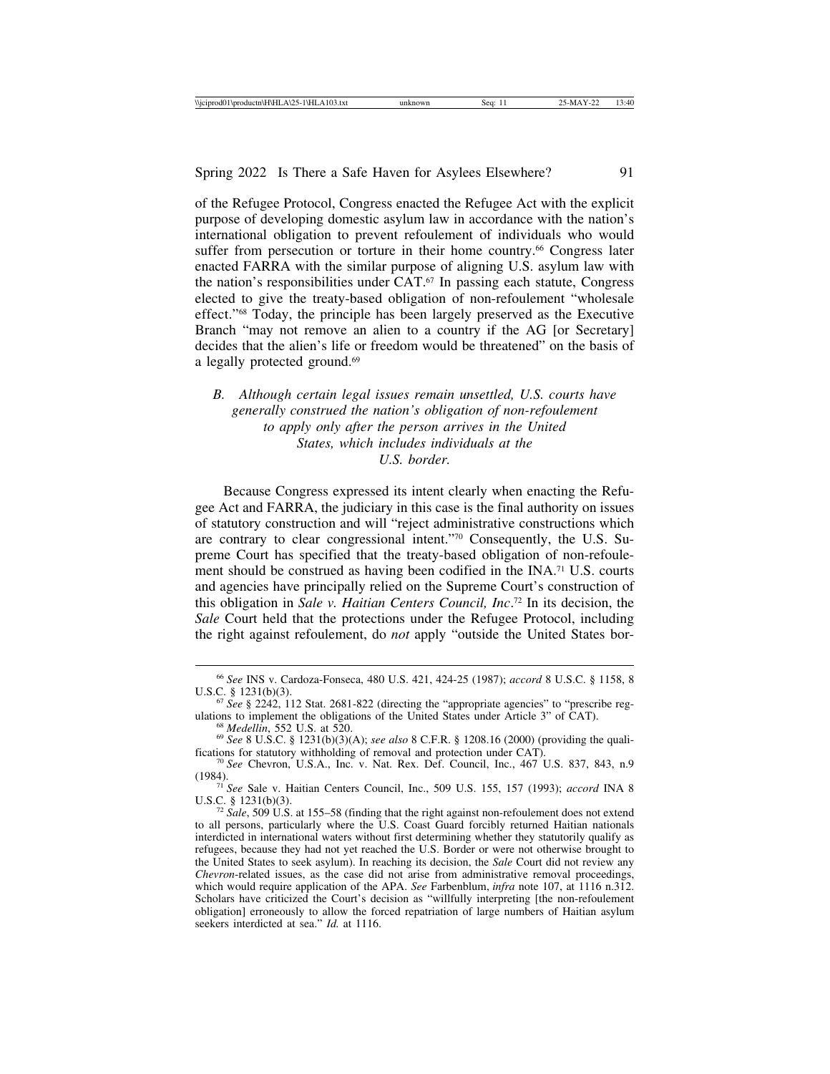of the Refugee Protocol, Congress enacted the Refugee Act with the explicit purpose of developing domestic asylum law in accordance with the nation's international obligation to prevent refoulement of individuals who would suffer from persecution or torture in their home country.<sup>66</sup> Congress later enacted FARRA with the similar purpose of aligning U.S. asylum law with the nation's responsibilities under CAT.67 In passing each statute, Congress elected to give the treaty-based obligation of non-refoulement "wholesale effect."68 Today, the principle has been largely preserved as the Executive Branch "may not remove an alien to a country if the AG [or Secretary] decides that the alien's life or freedom would be threatened" on the basis of a legally protected ground.<sup>69</sup>

*B. Although certain legal issues remain unsettled, U.S. courts have generally construed the nation's obligation of non-refoulement to apply only after the person arrives in the United States, which includes individuals at the U.S. border.*

Because Congress expressed its intent clearly when enacting the Refugee Act and FARRA, the judiciary in this case is the final authority on issues of statutory construction and will "reject administrative constructions which are contrary to clear congressional intent."70 Consequently, the U.S. Supreme Court has specified that the treaty-based obligation of non-refoulement should be construed as having been codified in the INA.71 U.S. courts and agencies have principally relied on the Supreme Court's construction of this obligation in *Sale v. Haitian Centers Council, Inc*. 72 In its decision, the *Sale* Court held that the protections under the Refugee Protocol, including the right against refoulement, do *not* apply "outside the United States bor-

<sup>66</sup> *See* INS v. Cardoza-Fonseca, 480 U.S. 421, 424-25 (1987); *accord* 8 U.S.C. § 1158, 8

<sup>&</sup>lt;sup>67</sup> *See* § 2242, 112 Stat. 2681-822 (directing the "appropriate agencies" to "prescribe regulations to implement the obligations of the United States under Article 3" of CAT).

<sup>&</sup>lt;sup>68</sup> Medellin, 552 U.S. at 520.<br><sup>69</sup> See 8 U.S.C. § 1231(b)(3)(A); see also 8 C.F.R. § 1208.16 (2000) (providing the quali-<br>fications for statutory withholding of removal and protection under CAT).

<sup>&</sup>lt;sup>70</sup> See Chevron, U.S.A., Inc. v. Nat. Rex. Def. Council, Inc., 467 U.S. 837, 843, n.9

<sup>(1984).</sup> <sup>71</sup> *See* Sale v. Haitian Centers Council, Inc., 509 U.S. 155, 157 (1993); *accord* INA 8

 $\frac{72}{3}$  *Sale*, 509 U.S. at 155–58 (finding that the right against non-refoulement does not extend to all persons, particularly where the U.S. Coast Guard forcibly returned Haitian nationals interdicted in international waters without first determining whether they statutorily qualify as refugees, because they had not yet reached the U.S. Border or were not otherwise brought to the United States to seek asylum). In reaching its decision, the *Sale* Court did not review any *Chevron*-related issues, as the case did not arise from administrative removal proceedings, which would require application of the APA. *See* Farbenblum, *infra* note 107, at 1116 n.312. Scholars have criticized the Court's decision as "willfully interpreting [the non-refoulement obligation] erroneously to allow the forced repatriation of large numbers of Haitian asylum seekers interdicted at sea." *Id.* at 1116.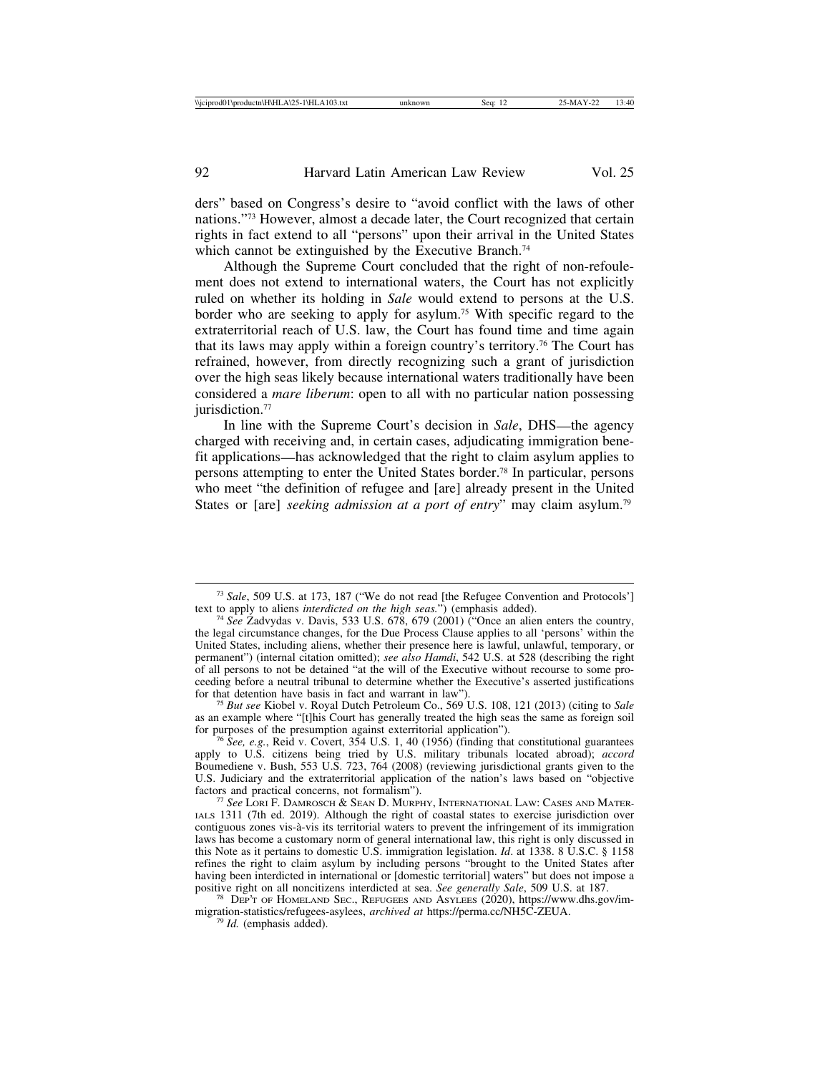ders" based on Congress's desire to "avoid conflict with the laws of other nations."73 However, almost a decade later, the Court recognized that certain rights in fact extend to all "persons" upon their arrival in the United States which cannot be extinguished by the Executive Branch.<sup>74</sup>

Although the Supreme Court concluded that the right of non-refoulement does not extend to international waters, the Court has not explicitly ruled on whether its holding in *Sale* would extend to persons at the U.S. border who are seeking to apply for asylum.75 With specific regard to the extraterritorial reach of U.S. law, the Court has found time and time again that its laws may apply within a foreign country's territory.76 The Court has refrained, however, from directly recognizing such a grant of jurisdiction over the high seas likely because international waters traditionally have been considered a *mare liberum*: open to all with no particular nation possessing jurisdiction.<sup>77</sup>

In line with the Supreme Court's decision in *Sale*, DHS—the agency charged with receiving and, in certain cases, adjudicating immigration benefit applications—has acknowledged that the right to claim asylum applies to persons attempting to enter the United States border.78 In particular, persons who meet "the definition of refugee and [are] already present in the United States or [are] *seeking admission at a port of entry*" may claim asylum.79

<sup>75</sup> *But see* Kiobel v. Royal Dutch Petroleum Co., 569 U.S. 108, 121 (2013) (citing to *Sale* as an example where "[t]his Court has generally treated the high seas the same as foreign soil for purposes of the presumption against exterritorial application"). <sup>76</sup> *See, e.g.*, Reid v. Covert, 354 U.S. 1, 40 (1956) (finding that constitutional guarantees

apply to U.S. citizens being tried by U.S. military tribunals located abroad); *accord* Boumediene v. Bush, 553 U.S. 723, 764 (2008) (reviewing jurisdictional grants given to the U.S. Judiciary and the extraterritorial application of the nation's laws based on "objective factors and practical concerns, not formalism").<br><sup>77</sup> *See* LORI F. DAMROSCH & SEAN D. MURPHY, INTERNATIONAL LAW: CASES AND MATER-

IALS 1311 (7th ed. 2019). Although the right of coastal states to exercise jurisdiction over contiguous zones vis-à-vis its territorial waters to prevent the infringement of its immigration laws has become a customary norm of general international law, this right is only discussed in this Note as it pertains to domestic U.S. immigration legislation. *Id*. at 1338. 8 U.S.C. § 1158 refines the right to claim asylum by including persons "brought to the United States after having been interdicted in international or [domestic territorial] waters" but does not impose a positive right on all noncitizens interdicted at sea. See generally Sale, 509 U.S. at 187.

<sup>78</sup> DEP'T OF HOMELAND SEC., REFUGEES AND ASYLEES (2020), https://www.dhs.gov/immigration-statistics/refugees-asylees, *archived at* https://perma.cc/NH5C-ZEUA. <sup>79</sup> *Id.* (emphasis added).

<sup>&</sup>lt;sup>73</sup> *Sale*, 509 U.S. at 173, 187 ("We do not read [the Refugee Convention and Protocols'] text to apply to aliens *interdicted on the high seas*.") (emphasis added).

<sup>&</sup>lt;sup>74</sup> *See* Zadvydas v. Davis, 533 U.S. 678, 679 (2001) ("Once an alien enters the country, the legal circumstance changes, for the Due Process Clause applies to all 'persons' within the United States, including aliens, whether their presence here is lawful, unlawful, temporary, or permanent") (internal citation omitted); *see also Hamdi*, 542 U.S. at 528 (describing the right of all persons to not be detained "at the will of the Executive without recourse to some proceeding before a neutral tribunal to determine whether the Executive's asserted justifications for that detention have basis in fact and warrant in law").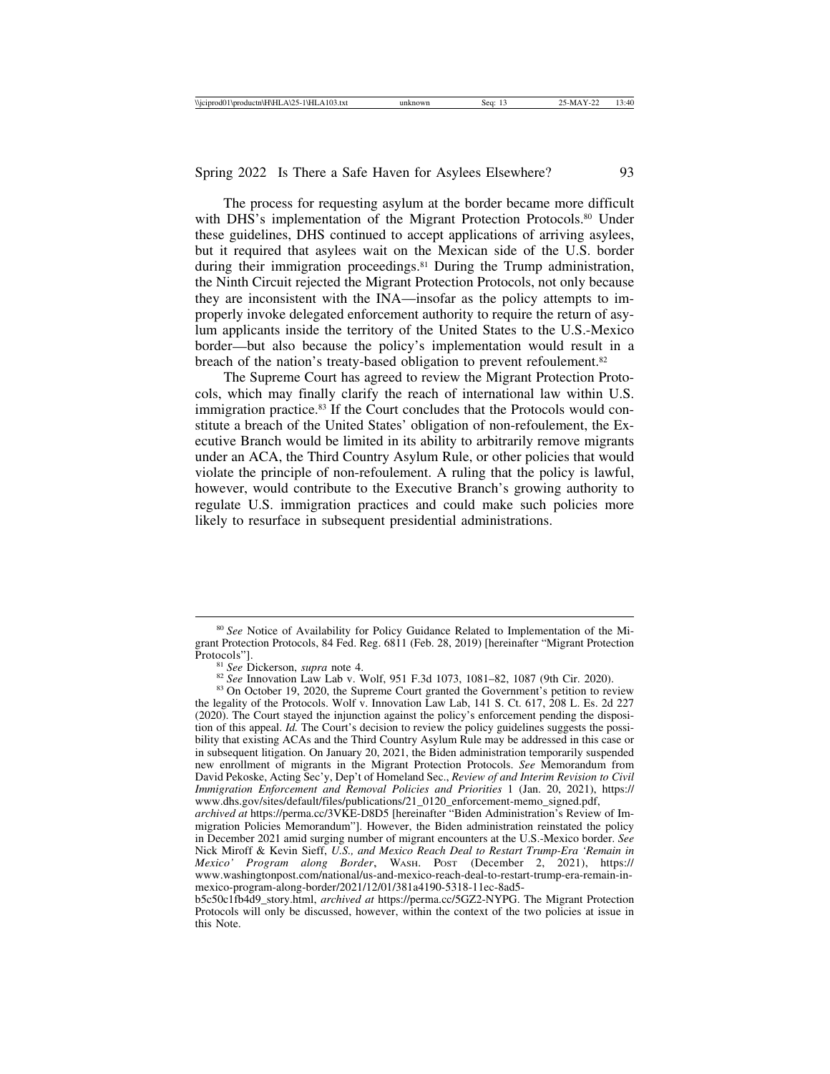The process for requesting asylum at the border became more difficult with DHS's implementation of the Migrant Protection Protocols.<sup>80</sup> Under these guidelines, DHS continued to accept applications of arriving asylees, but it required that asylees wait on the Mexican side of the U.S. border during their immigration proceedings.<sup>81</sup> During the Trump administration, the Ninth Circuit rejected the Migrant Protection Protocols, not only because they are inconsistent with the INA—insofar as the policy attempts to improperly invoke delegated enforcement authority to require the return of asylum applicants inside the territory of the United States to the U.S.-Mexico border—but also because the policy's implementation would result in a breach of the nation's treaty-based obligation to prevent refoulement.<sup>82</sup>

The Supreme Court has agreed to review the Migrant Protection Protocols, which may finally clarify the reach of international law within U.S. immigration practice.<sup>83</sup> If the Court concludes that the Protocols would constitute a breach of the United States' obligation of non-refoulement, the Executive Branch would be limited in its ability to arbitrarily remove migrants under an ACA, the Third Country Asylum Rule, or other policies that would violate the principle of non-refoulement. A ruling that the policy is lawful, however, would contribute to the Executive Branch's growing authority to regulate U.S. immigration practices and could make such policies more likely to resurface in subsequent presidential administrations.

the legality of the Protocols. Wolf v. Innovation Law Lab, 141 S. Ct. 617, 208 L. Es. 2d 227 (2020). The Court stayed the injunction against the policy's enforcement pending the disposition of this appeal. *Id.* The Court's decision to review the policy guidelines suggests the possibility that existing ACAs and the Third Country Asylum Rule may be addressed in this case or in subsequent litigation. On January 20, 2021, the Biden administration temporarily suspended new enrollment of migrants in the Migrant Protection Protocols. *See* Memorandum from David Pekoske, Acting Sec'y, Dep't of Homeland Sec., *Review of and Interim Revision to Civil Immigration Enforcement and Removal Policies and Priorities* 1 (Jan. 20, 2021), https:// www.dhs.gov/sites/default/files/publications/21\_0120\_enforcement-memo\_signed.pdf,

*archived at* https://perma.cc/3VKE-D8D5 [hereinafter "Biden Administration's Review of Immigration Policies Memorandum"]. However, the Biden administration reinstated the policy in December 2021 amid surging number of migrant encounters at the U.S.-Mexico border. *See* Nick Miroff & Kevin Sieff, *U.S., and Mexico Reach Deal to Restart Trump-Era 'Remain in Mexico' Program along Border*, WASH. POST (December 2, 2021), https:// www.washingtonpost.com/national/us-and-mexico-reach-deal-to-restart-trump-era-remain-inmexico-program-along-border/2021/12/01/381a4190-5318-11ec-8ad5-

b5c50c1fb4d9\_story.html, *archived at* https://perma.cc/5GZ2-NYPG. The Migrant Protection Protocols will only be discussed, however, within the context of the two policies at issue in this Note.

<sup>80</sup> *See* Notice of Availability for Policy Guidance Related to Implementation of the Migrant Protection Protocols, 84 Fed. Reg. 6811 (Feb. 28, 2019) [hereinafter "Migrant Protection Protocols"].<br><sup>81</sup> See Dickerson, *supra* note 4.<br><sup>82</sup> See Innovation Law Lab v. Wolf, 951 F.3d 1073, 1081–82, 1087 (9th Cir. 2020).<br><sup>83</sup> On October 19, 2020, the Supreme Court granted the Government's petition to review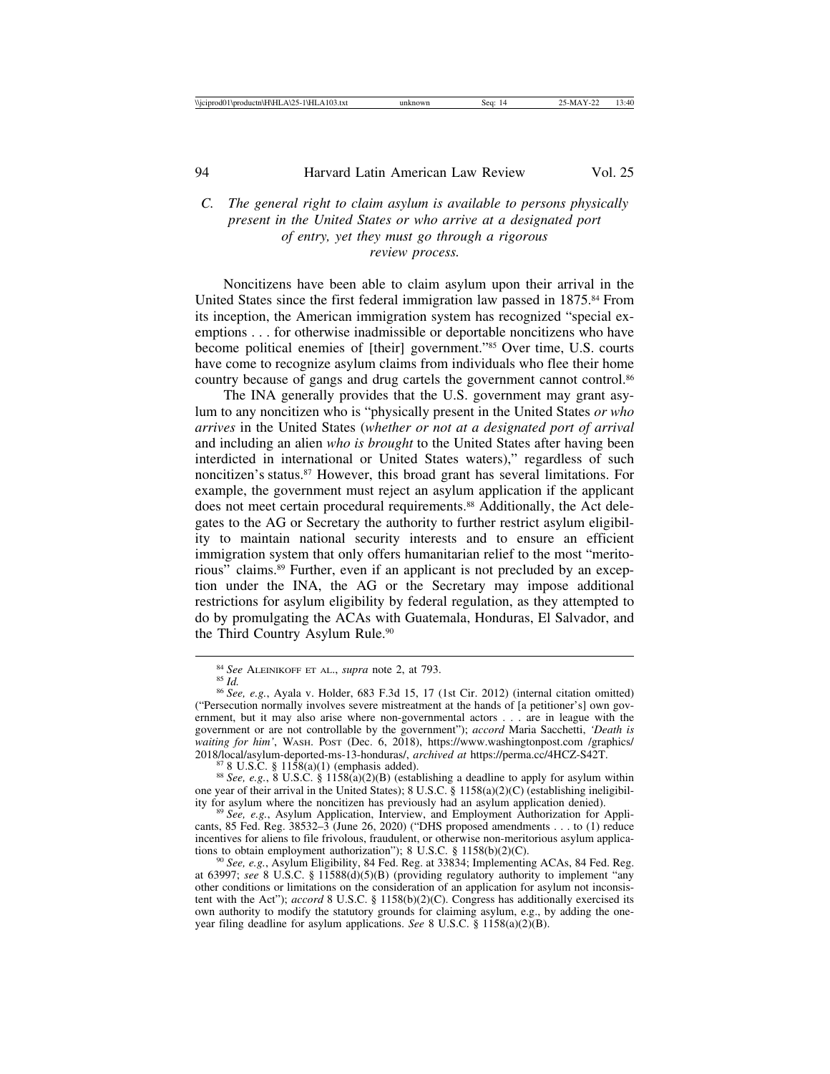# *C. The general right to claim asylum is available to persons physically present in the United States or who arrive at a designated port of entry, yet they must go through a rigorous review process.*

Noncitizens have been able to claim asylum upon their arrival in the United States since the first federal immigration law passed in 1875.<sup>84</sup> From its inception, the American immigration system has recognized "special exemptions . . . for otherwise inadmissible or deportable noncitizens who have become political enemies of [their] government."85 Over time, U.S. courts have come to recognize asylum claims from individuals who flee their home country because of gangs and drug cartels the government cannot control.<sup>86</sup>

The INA generally provides that the U.S. government may grant asylum to any noncitizen who is "physically present in the United States *or who arrives* in the United States (*whether or not at a designated port of arrival* and including an alien *who is brought* to the United States after having been interdicted in international or United States waters)," regardless of such noncitizen's status.87 However, this broad grant has several limitations. For example, the government must reject an asylum application if the applicant does not meet certain procedural requirements.<sup>88</sup> Additionally, the Act delegates to the AG or Secretary the authority to further restrict asylum eligibility to maintain national security interests and to ensure an efficient immigration system that only offers humanitarian relief to the most "meritorious" claims.89 Further, even if an applicant is not precluded by an exception under the INA, the AG or the Secretary may impose additional restrictions for asylum eligibility by federal regulation, as they attempted to do by promulgating the ACAs with Guatemala, Honduras, El Salvador, and the Third Country Asylum Rule.<sup>90</sup>

<sup>&</sup>lt;sup>84</sup> *See* ALEINIKOFF ET AL., *supra* note 2, at 793.<br><sup>85</sup> *Id.* 86 *See, e.g.*, Ayala v. Holder, 683 F.3d 15, 17 (1st Cir. 2012) (internal citation omitted) ("Persecution normally involves severe mistreatment at the hands of [a petitioner's] own government, but it may also arise where non-governmental actors . . . are in league with the government or are not controllable by the government"); *accord* Maria Sacchetti, *'Death is waiting for him'*, WASH. POST (Dec. 6, 2018), https://www.washingtonpost.com /graphics/ 2018/local/asylum-deported-ms-13-honduras/, *archived at https://perma.cc/4HCZ-S42T.*<br><sup>87</sup> 8 U.S.C. § 1158(a)(1) (emphasis added).<br><sup>88</sup> See, e.g., 8 U.S.C. § 1158(a)(2)(B) (establishing a deadline to apply for asylum with

one year of their arrival in the United States); 8 U.S.C. § 1158(a)(2)(C) (establishing ineligibil-<br>ity for asylum where the noncitizen has previously had an asylum application denied).

<sup>&</sup>lt;sup>89</sup> See, e.g., Asylum Application, Interview, and Employment Authorization for Applicants, 85 Fed. Reg. 38532–3 (June 26, 2020) ("DHS proposed amendments . . . to (1) reduce incentives for aliens to file frivolous, fraudulent, or otherwise non-meritorious asylum applications to obtain employment authorization");  $8 \text{ U.S.C. } \frac{8}{1158(b)(2)(C)}$ .

<sup>&</sup>lt;sup>90</sup> See, e.g., Asylum Eligibility, 84 Fed. Reg. at 33834; Implementing ACAs, 84 Fed. Reg. at 63997; *see* 8 U.S.C. § 11588(d)(5)(B) (providing regulatory authority to implement "any other conditions or limitations on the consideration of an application for asylum not inconsistent with the Act"); *accord* 8 U.S.C. § 1158(b)(2)(C). Congress has additionally exercised its own authority to modify the statutory grounds for claiming asylum, e.g., by adding the oneyear filing deadline for asylum applications. *See* 8 U.S.C. § 1158(a)(2)(B).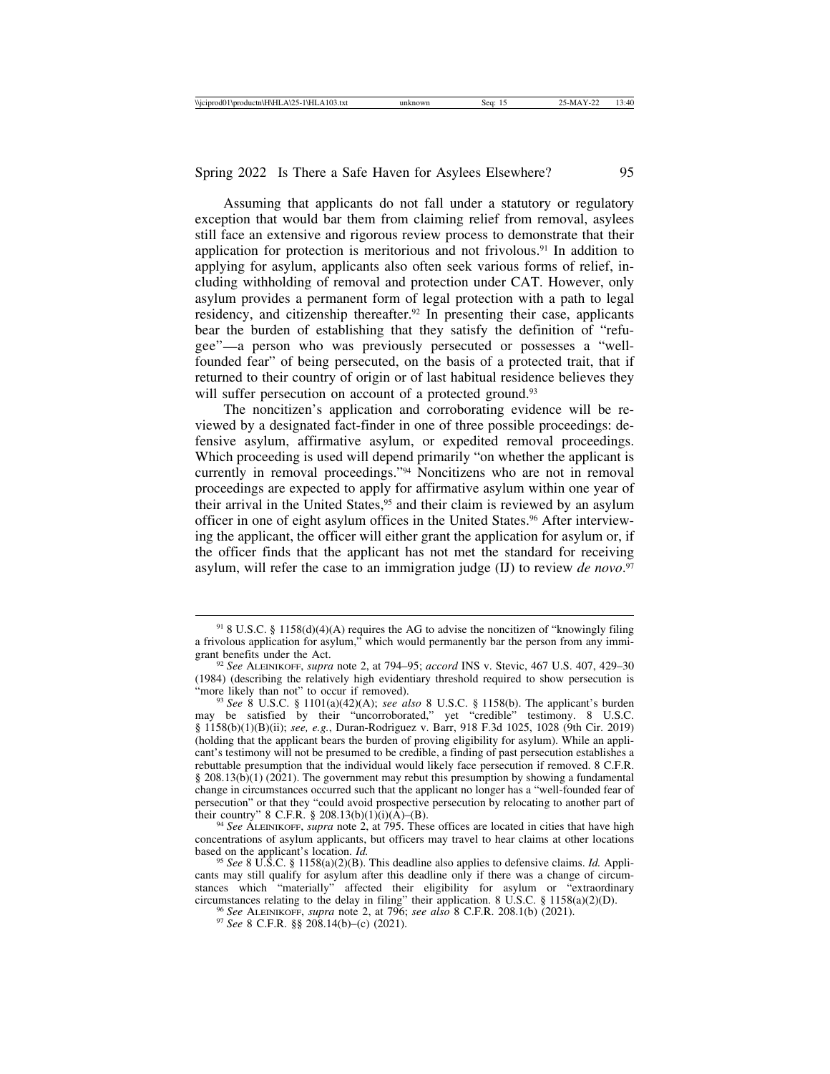Assuming that applicants do not fall under a statutory or regulatory exception that would bar them from claiming relief from removal, asylees still face an extensive and rigorous review process to demonstrate that their application for protection is meritorious and not frivolous.<sup>91</sup> In addition to applying for asylum, applicants also often seek various forms of relief, including withholding of removal and protection under CAT. However, only asylum provides a permanent form of legal protection with a path to legal residency, and citizenship thereafter.92 In presenting their case, applicants bear the burden of establishing that they satisfy the definition of "refugee"—a person who was previously persecuted or possesses a "wellfounded fear" of being persecuted, on the basis of a protected trait, that if returned to their country of origin or of last habitual residence believes they will suffer persecution on account of a protected ground.<sup>93</sup>

The noncitizen's application and corroborating evidence will be reviewed by a designated fact-finder in one of three possible proceedings: defensive asylum, affirmative asylum, or expedited removal proceedings. Which proceeding is used will depend primarily "on whether the applicant is currently in removal proceedings."94 Noncitizens who are not in removal proceedings are expected to apply for affirmative asylum within one year of their arrival in the United States,<sup>95</sup> and their claim is reviewed by an asylum officer in one of eight asylum offices in the United States.96 After interviewing the applicant, the officer will either grant the application for asylum or, if the officer finds that the applicant has not met the standard for receiving asylum, will refer the case to an immigration judge (IJ) to review *de novo*. 97

 $91$  8 U.S.C. § 1158(d)(4)(A) requires the AG to advise the noncitizen of "knowingly filing a frivolous application for asylum," which would permanently bar the person from any immi-

<sup>&</sup>lt;sup>92</sup> See ALEINIKOFF, *supra* note 2, at 794–95; *accord* INS v. Stevic, 467 U.S. 407, 429–30 (1984) (describing the relatively high evidentiary threshold required to show persecution is

<sup>&</sup>quot;more likely than not" to occur if removed). <sup>93</sup> *See* 8 U.S.C. § 1101(a)(42)(A); *see also* 8 U.S.C. § 1158(b). The applicant's burden may be satisfied by their "uncorroborated," yet "credible" testimony. 8 U.S.C. § 1158(b)(1)(B)(ii); *see, e.g.*, Duran-Rodriguez v. Barr, 918 F.3d 1025, 1028 (9th Cir. 2019) (holding that the applicant bears the burden of proving eligibility for asylum). While an applicant's testimony will not be presumed to be credible, a finding of past persecution establishes a rebuttable presumption that the individual would likely face persecution if removed. 8 C.F.R. § 208.13(b)(1) (2021). The government may rebut this presumption by showing a fundamental change in circumstances occurred such that the applicant no longer has a "well-founded fear of persecution" or that they "could avoid prospective persecution by relocating to another part of their country"  $8 \text{ C.F.R. } § 208.13(b)(1)(i)(A)–(B).$ 

<sup>&</sup>lt;sup>94</sup> See ALEINIKOFF, *supra* note 2, at 795. These offices are located in cities that have high concentrations of asylum applicants, but officers may travel to hear claims at other locations based on the applicant's location.  $Id$ .

based on the applicant's location. *Id.* <sup>95</sup> *See* 8 U.S.C. § 1158(a)(2)(B). This deadline also applies to defensive claims. *Id.* Applicants may still qualify for asylum after this deadline only if there was a change of circumstances which "materially" affected their eligibility for asylum or "extraordinary circumstances relating to the delay in filing" their application. 8 U.S.C. § 1158(a)(2)(D).<br><sup>96</sup> See ALEINIKOFF, *supra* note 2, at 796; *see also* 8 C.F.R. 208.1(b) (2021).<br><sup>97</sup> See 8 C.F.R. §§ 208.14(b)–(c) (2021).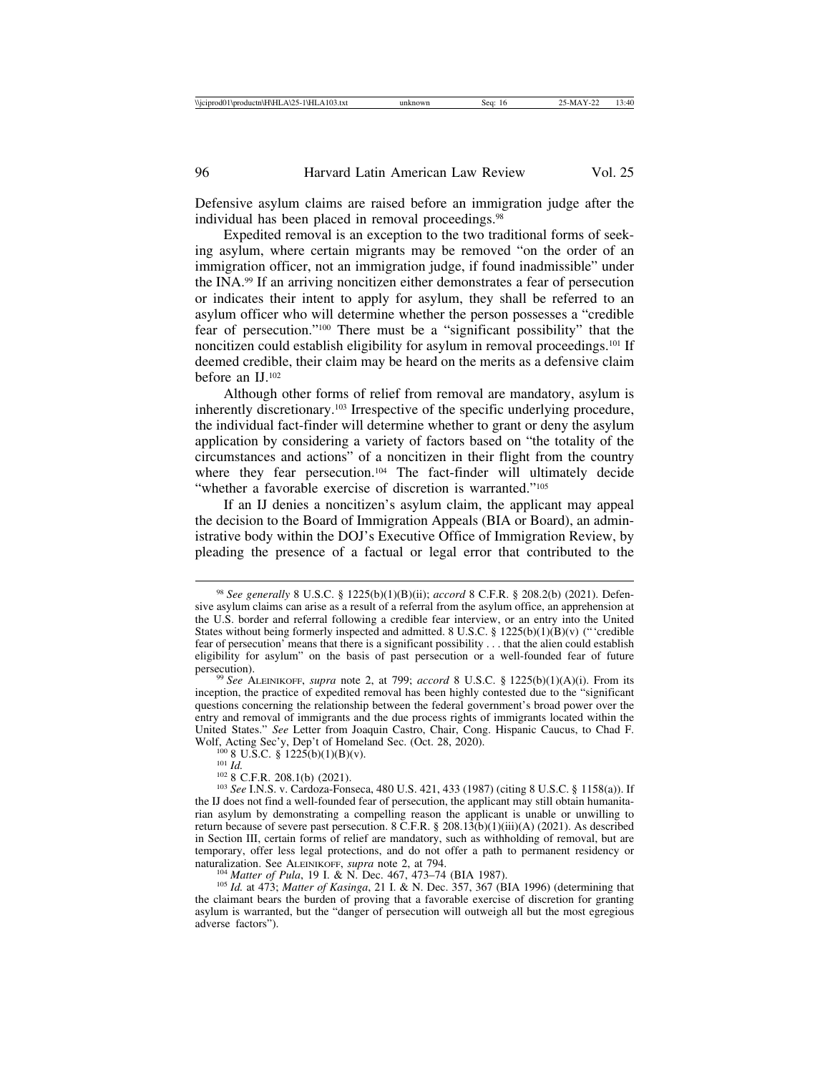Defensive asylum claims are raised before an immigration judge after the individual has been placed in removal proceedings.98

Expedited removal is an exception to the two traditional forms of seeking asylum, where certain migrants may be removed "on the order of an immigration officer, not an immigration judge, if found inadmissible" under the INA.99 If an arriving noncitizen either demonstrates a fear of persecution or indicates their intent to apply for asylum, they shall be referred to an asylum officer who will determine whether the person possesses a "credible fear of persecution."100 There must be a "significant possibility" that the noncitizen could establish eligibility for asylum in removal proceedings.<sup>101</sup> If deemed credible, their claim may be heard on the merits as a defensive claim before an IJ.102

Although other forms of relief from removal are mandatory, asylum is inherently discretionary.103 Irrespective of the specific underlying procedure, the individual fact-finder will determine whether to grant or deny the asylum application by considering a variety of factors based on "the totality of the circumstances and actions" of a noncitizen in their flight from the country where they fear persecution.<sup>104</sup> The fact-finder will ultimately decide "whether a favorable exercise of discretion is warranted."<sup>105</sup>

If an IJ denies a noncitizen's asylum claim, the applicant may appeal the decision to the Board of Immigration Appeals (BIA or Board), an administrative body within the DOJ's Executive Office of Immigration Review, by pleading the presence of a factual or legal error that contributed to the

<sup>98</sup> *See generally* 8 U.S.C. § 1225(b)(1)(B)(ii); *accord* 8 C.F.R. § 208.2(b) (2021). Defensive asylum claims can arise as a result of a referral from the asylum office, an apprehension at the U.S. border and referral following a credible fear interview, or an entry into the United States without being formerly inspected and admitted. 8 U.S.C.  $\S$  1225(b)(1)(B)(v) ("credible fear of persecution' means that there is a significant possibility . . . that the alien could establish eligibility for asylum" on the basis of past persecution or a well-founded fear of future persecution). <sup>99</sup> *See* ALEINIKOFF, *supra* note 2, at 799; *accord* 8 U.S.C. § 1225(b)(1)(A)(i). From its

inception, the practice of expedited removal has been highly contested due to the "significant questions concerning the relationship between the federal government's broad power over the entry and removal of immigrants and the due process rights of immigrants located within the United States." *See* Letter from Joaquin Castro, Chair, Cong. Hispanic Caucus, to Chad F. Wolf, Acting Sec'y, Dep't of Homeland Sec. (Oct. 28, 2020).

<sup>&</sup>lt;sup>100</sup> 8 U.S.C. § 1225(b)(1)(B)(v).<br><sup>101</sup> *Id.*<br><sup>102</sup> 8 C.F.R. 208.1(b) (2021).<br><sup>102</sup> 8 C.F.R. 208.1(b) (2021).<br><sup>103</sup> *See* I.N.S. v. Cardoza-Fonseca, 480 U.S. 421, 433 (1987) (citing 8 U.S.C. § 1158(a)). If the IJ does not find a well-founded fear of persecution, the applicant may still obtain humanitarian asylum by demonstrating a compelling reason the applicant is unable or unwilling to return because of severe past persecution. 8 C.F.R. § 208.13(b)(1)(iii)(A) (2021). As described in Section III, certain forms of relief are mandatory, such as withholding of removal, but are temporary, offer less legal protections, and do not offer a path to permanent residency or naturalization. See ALEINIKOFF, *supra* note 2, at 794.

<sup>&</sup>lt;sup>104</sup> Matter of Pula, 19 I. & N. Dec. 467, 473–74 (BIA 1987).<br><sup>105</sup> Id. at 473; Matter of Kasinga, 21 I. & N. Dec. 357, 367 (BIA 1996) (determining that the claimant bears the burden of proving that a favorable exercise of discretion for granting asylum is warranted, but the "danger of persecution will outweigh all but the most egregious adverse factors").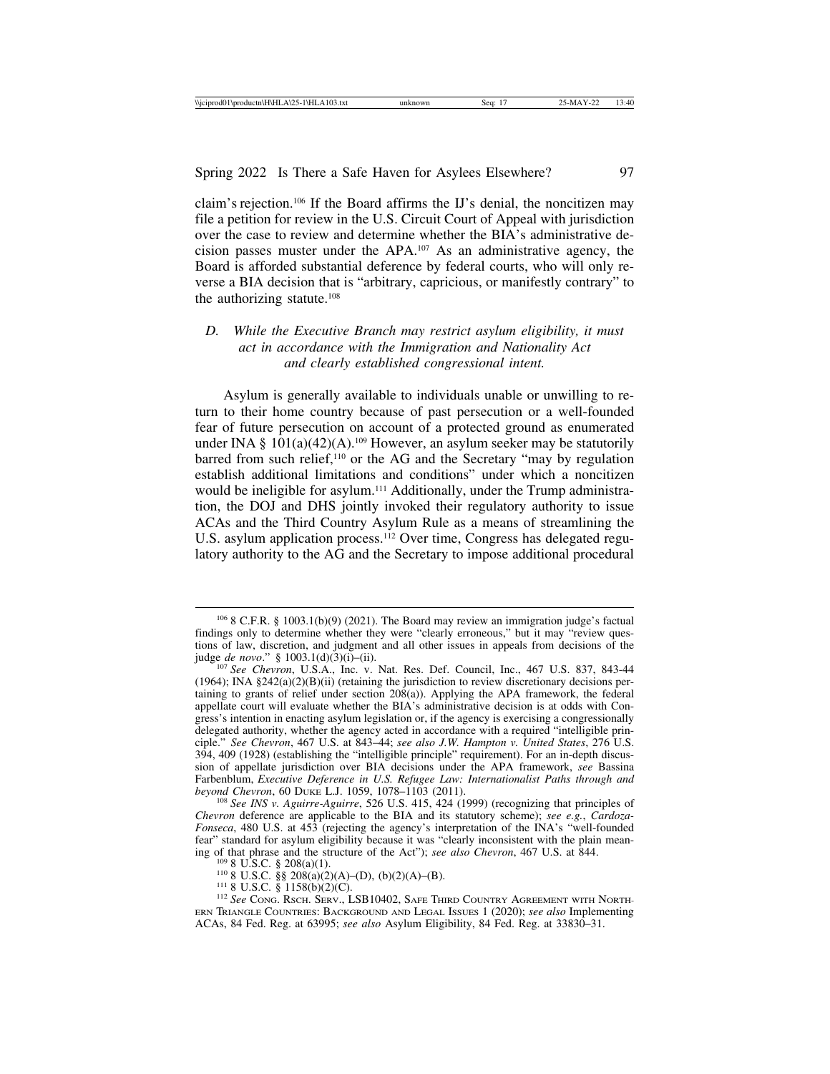claim's rejection.106 If the Board affirms the IJ's denial, the noncitizen may file a petition for review in the U.S. Circuit Court of Appeal with jurisdiction over the case to review and determine whether the BIA's administrative decision passes muster under the APA.107 As an administrative agency, the Board is afforded substantial deference by federal courts, who will only reverse a BIA decision that is "arbitrary, capricious, or manifestly contrary" to the authorizing statute.108

## *D. While the Executive Branch may restrict asylum eligibility, it must act in accordance with the Immigration and Nationality Act and clearly established congressional intent.*

Asylum is generally available to individuals unable or unwilling to return to their home country because of past persecution or a well-founded fear of future persecution on account of a protected ground as enumerated under INA §  $101(a)(42)(A)$ .<sup>109</sup> However, an asylum seeker may be statutorily barred from such relief,<sup>110</sup> or the AG and the Secretary "may by regulation establish additional limitations and conditions" under which a noncitizen would be ineligible for asylum.111 Additionally, under the Trump administration, the DOJ and DHS jointly invoked their regulatory authority to issue ACAs and the Third Country Asylum Rule as a means of streamlining the U.S. asylum application process.<sup>112</sup> Over time, Congress has delegated regulatory authority to the AG and the Secretary to impose additional procedural

 $1068$  C.F.R. § 1003.1(b)(9) (2021). The Board may review an immigration judge's factual findings only to determine whether they were "clearly erroneous," but it may "review questions of law, discretion, and judgment and all other issues in appeals from decisions of the judge *de novo*." § 1003.1(d)(3)(i)–(ii).

<sup>&</sup>lt;sup>107</sup> See Chevron, U.S.A., Inc. v. Nat. Res. Def. Council, Inc., 467 U.S. 837, 843-44  $(1964)$ ; INA §242(a)(2)(B)(ii) (retaining the jurisdiction to review discretionary decisions pertaining to grants of relief under section  $208(a)$ ). Applying the APA framework, the federal appellate court will evaluate whether the BIA's administrative decision is at odds with Congress's intention in enacting asylum legislation or, if the agency is exercising a congressionally delegated authority, whether the agency acted in accordance with a required "intelligible principle." *See Chevron*, 467 U.S. at 843–44; *see also J.W. Hampton v. United States*, 276 U.S. 394, 409 (1928) (establishing the "intelligible principle" requirement). For an in-depth discussion of appellate jurisdiction over BIA decisions under the APA framework, *see* Bassina Farbenblum, *Executive Deference in U.S. Refugee Law: Internationalist Paths through and*

<sup>&</sup>lt;sup>108</sup> See INS v. Aguirre-Aguirre, 526 U.S. 415, 424 (1999) (recognizing that principles of *Chevron* deference are applicable to the BIA and its statutory scheme); *see e.g.*, *Cardoza-Fonseca*, 480 U.S. at 453 (rejecting the agency's interpretation of the INA's "well-founded fear" standard for asylum eligibility because it was "clearly inconsistent with the plain mean-<br>ing of that phrase and the structure of the Act"); see also Chevron, 467 U.S. at 844.

<sup>&</sup>lt;sup>109</sup> 8 U.S.C. § 208(a)(1).<br><sup>110</sup> 8 U.S.C. §§ 208(a)(2)(A)–(D), (b)(2)(A)–(B).<br><sup>111</sup> 8 U.S.C. § 1158(b)(2)(C).<br><sup>112</sup> *See* Cong. Rsch. Serv., LSB10402, Safe Third Country Agreement with North-ERN TRIANGLE COUNTRIES: BACKGROUND AND LEGAL ISSUES 1 (2020); *see also* Implementing ACAs, 84 Fed. Reg. at 63995; *see also* Asylum Eligibility, 84 Fed. Reg. at 33830–31.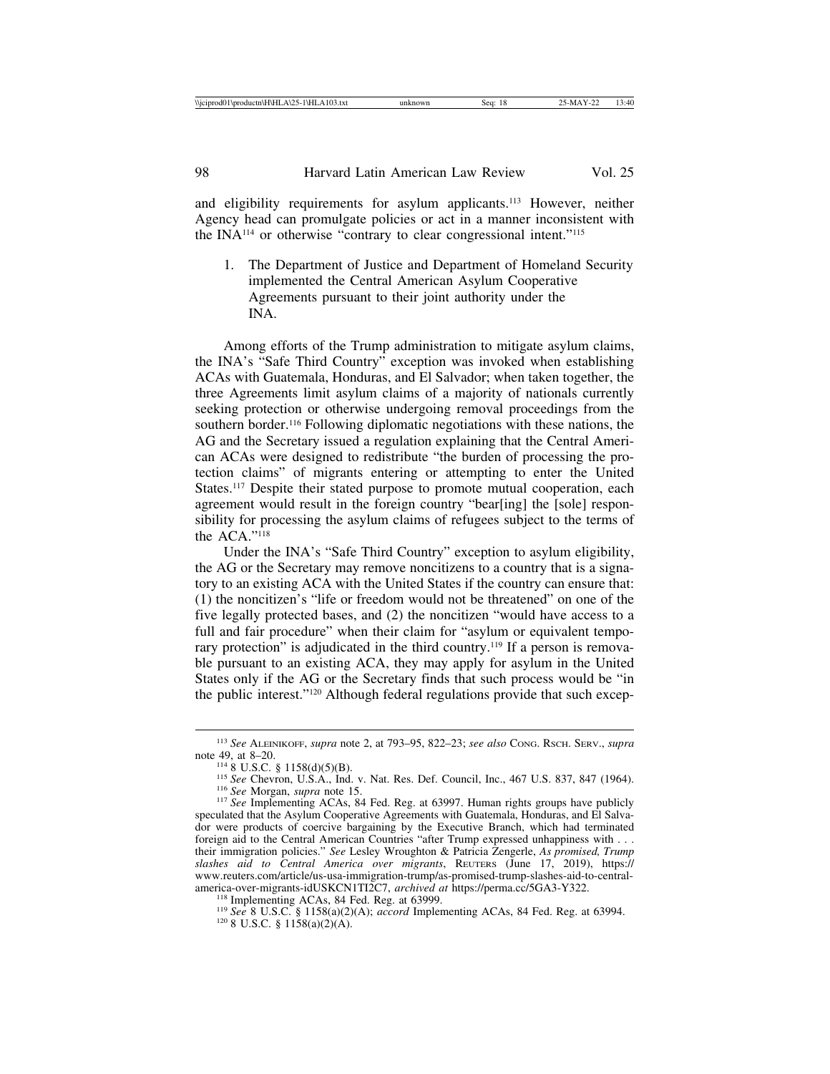and eligibility requirements for asylum applicants.113 However, neither Agency head can promulgate policies or act in a manner inconsistent with the INA114 or otherwise "contrary to clear congressional intent."115

1. The Department of Justice and Department of Homeland Security implemented the Central American Asylum Cooperative Agreements pursuant to their joint authority under the INA.

Among efforts of the Trump administration to mitigate asylum claims, the INA's "Safe Third Country" exception was invoked when establishing ACAs with Guatemala, Honduras, and El Salvador; when taken together, the three Agreements limit asylum claims of a majority of nationals currently seeking protection or otherwise undergoing removal proceedings from the southern border.116 Following diplomatic negotiations with these nations, the AG and the Secretary issued a regulation explaining that the Central American ACAs were designed to redistribute "the burden of processing the protection claims" of migrants entering or attempting to enter the United States.<sup>117</sup> Despite their stated purpose to promote mutual cooperation, each agreement would result in the foreign country "bear[ing] the [sole] responsibility for processing the asylum claims of refugees subject to the terms of the ACA."118

Under the INA's "Safe Third Country" exception to asylum eligibility, the AG or the Secretary may remove noncitizens to a country that is a signatory to an existing ACA with the United States if the country can ensure that: (1) the noncitizen's "life or freedom would not be threatened" on one of the five legally protected bases, and (2) the noncitizen "would have access to a full and fair procedure" when their claim for "asylum or equivalent temporary protection" is adjudicated in the third country.<sup>119</sup> If a person is removable pursuant to an existing ACA, they may apply for asylum in the United States only if the AG or the Secretary finds that such process would be "in the public interest."120 Although federal regulations provide that such excep-

<sup>113</sup> *See* ALEINIKOFF, *supra* note 2, at 793–95, 822–23; *see also* CONG. RSCH. SERV., *supra*

<sup>&</sup>lt;sup>114</sup> 8 U.S.C. § 1158(d)(5)(B).<br><sup>115</sup> See Chevron, U.S.A., Ind. v. Nat. Res. Def. Council, Inc., 467 U.S. 837, 847 (1964).<br><sup>116</sup> See Morgan, *supra* note 15.<br><sup>117</sup> See Implementing ACAs, 84 Fed. Reg. at 63997. Human right

speculated that the Asylum Cooperative Agreements with Guatemala, Honduras, and El Salvador were products of coercive bargaining by the Executive Branch, which had terminated foreign aid to the Central American Countries "after Trump expressed unhappiness with . . . their immigration policies." *See* Lesley Wroughton & Patricia Zengerle, *As promised, Trump slashes aid to Central America over migrants*, REUTERS (June 17, 2019), https:// www.reuters.com/article/us-usa-immigration-trump/as-promised-trump-slashes-aid-to-central-america-over-migrants-idUSKCN1T12C7, archived at https://perma.cc/5GA3-Y322.

<sup>&</sup>lt;sup>118</sup> Implementing ACAs, 84 Fed. Reg. at 63999.<br><sup>119</sup> See 8 U.S.C. § 1158(a)(2)(A); *accord* Implementing ACAs, 84 Fed. Reg. at 63994.<br><sup>120</sup> 8 U.S.C. § 1158(a)(2)(A).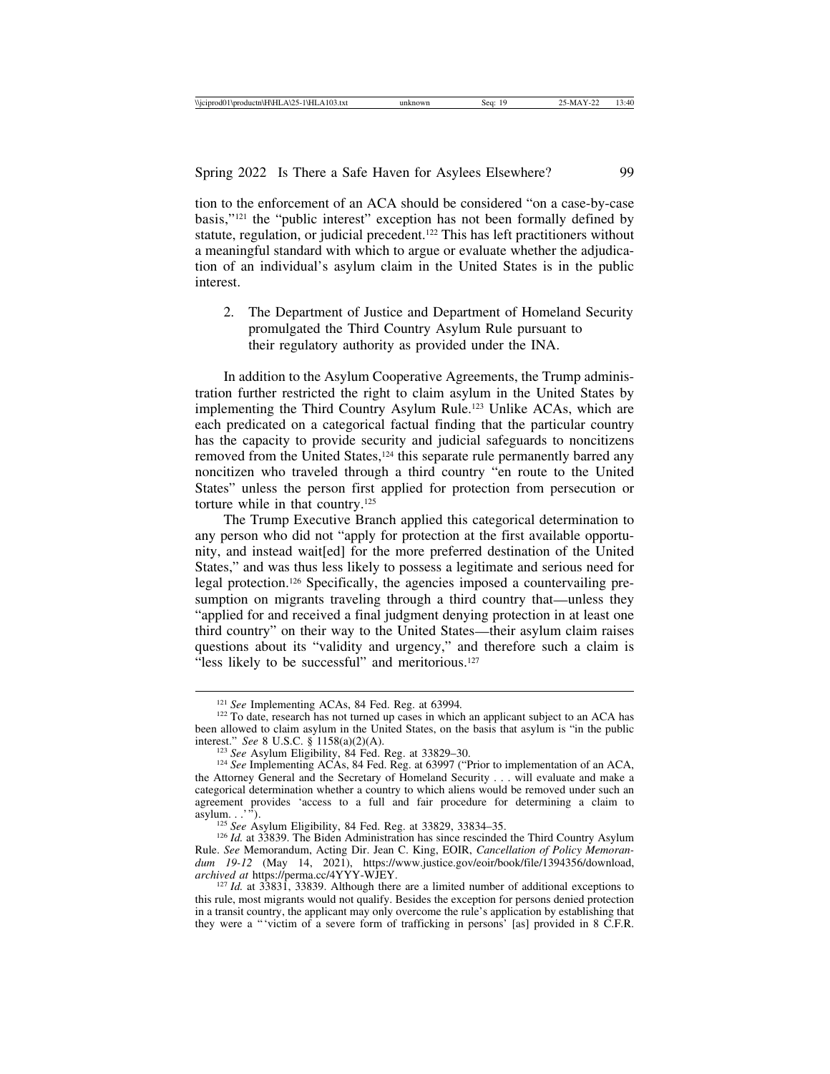tion to the enforcement of an ACA should be considered "on a case-by-case basis,"121 the "public interest" exception has not been formally defined by statute, regulation, or judicial precedent.<sup>122</sup> This has left practitioners without a meaningful standard with which to argue or evaluate whether the adjudication of an individual's asylum claim in the United States is in the public interest.

2. The Department of Justice and Department of Homeland Security promulgated the Third Country Asylum Rule pursuant to their regulatory authority as provided under the INA.

In addition to the Asylum Cooperative Agreements, the Trump administration further restricted the right to claim asylum in the United States by implementing the Third Country Asylum Rule.123 Unlike ACAs, which are each predicated on a categorical factual finding that the particular country has the capacity to provide security and judicial safeguards to noncitizens removed from the United States,<sup>124</sup> this separate rule permanently barred any noncitizen who traveled through a third country "en route to the United States" unless the person first applied for protection from persecution or torture while in that country.125

The Trump Executive Branch applied this categorical determination to any person who did not "apply for protection at the first available opportunity, and instead wait[ed] for the more preferred destination of the United States," and was thus less likely to possess a legitimate and serious need for legal protection.126 Specifically, the agencies imposed a countervailing presumption on migrants traveling through a third country that—unless they "applied for and received a final judgment denying protection in at least one third country" on their way to the United States—their asylum claim raises questions about its "validity and urgency," and therefore such a claim is "less likely to be successful" and meritorious.<sup>127</sup>

<sup>&</sup>lt;sup>121</sup> *See* Implementing ACAs, 84 Fed. Reg. at 63994.<br><sup>122</sup> To date, research has not turned up cases in which an applicant subject to an ACA has been allowed to claim asylum in the United States, on the basis that asylum is "in the public interest." *See* 8 U.S.C. § 1158(a)(2)(A). 123 *See* Asylum Eligibility, 84 Fed. Reg. at 33829–30. <sup>124</sup> *See* Implementing ACAs, 84 Fed. Reg. at 63997 ("Prior to implementation of an ACA,

the Attorney General and the Secretary of Homeland Security . . . will evaluate and make a categorical determination whether a country to which aliens would be removed under such an agreement provides 'access to a full and fair procedure for determining a claim to asylum..."

<sup>&</sup>lt;sup>125</sup> *See* Asylum Eligibility, 84 Fed. Reg. at 33829, 33834–35. <sup>126</sup> *Id.* at 33839. The Biden Administration has since rescinded the Third Country Asylum Rule. *See* Memorandum, Acting Dir. Jean C. King, EOIR, *Cancellation of Policy Memoran*dum 19-12 (May 14, 2021), https://www.justice.gov/eoir/book/file/1394356/download, archived at https://perma.cc/4YYY-WJEY.

<sup>&</sup>lt;sup>127</sup> *Id.* at 33831, 33839. Although there are a limited number of additional exceptions to this rule, most migrants would not qualify. Besides the exception for persons denied protection in a transit country, the applicant may only overcome the rule's application by establishing that they were a "'victim of a severe form of trafficking in persons' [as] provided in 8 C.F.R.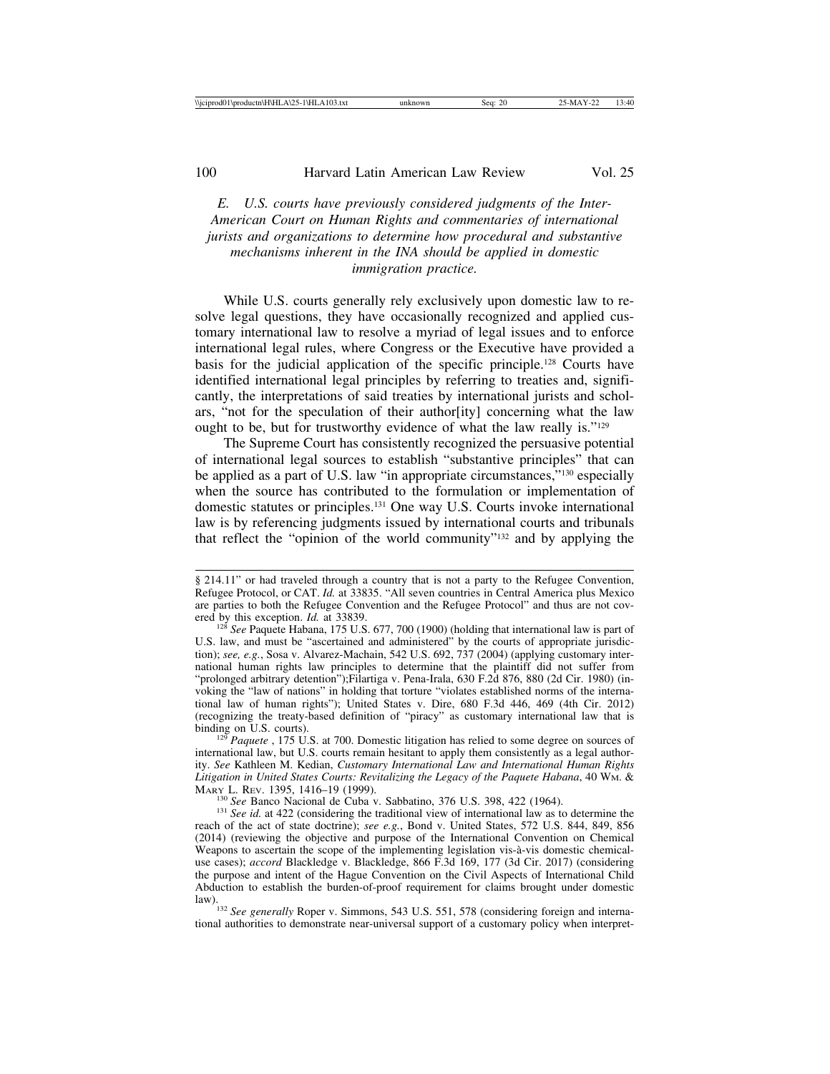*E. U.S. courts have previously considered judgments of the Inter-American Court on Human Rights and commentaries of international jurists and organizations to determine how procedural and substantive mechanisms inherent in the INA should be applied in domestic immigration practice.*

While U.S. courts generally rely exclusively upon domestic law to resolve legal questions, they have occasionally recognized and applied customary international law to resolve a myriad of legal issues and to enforce international legal rules, where Congress or the Executive have provided a basis for the judicial application of the specific principle.128 Courts have identified international legal principles by referring to treaties and, significantly, the interpretations of said treaties by international jurists and scholars, "not for the speculation of their author[ity] concerning what the law ought to be, but for trustworthy evidence of what the law really is."129

The Supreme Court has consistently recognized the persuasive potential of international legal sources to establish "substantive principles" that can be applied as a part of U.S. law "in appropriate circumstances,"130 especially when the source has contributed to the formulation or implementation of domestic statutes or principles.131 One way U.S. Courts invoke international law is by referencing judgments issued by international courts and tribunals that reflect the "opinion of the world community"132 and by applying the

<sup>130</sup> *See* Banco Nacional de Cuba v. Sabbatino, 376 U.S. 398, 422 (1964). <sup>131</sup> *See id.* at 422 (considering the traditional view of international law as to determine the

<sup>§ 214.11&</sup>quot; or had traveled through a country that is not a party to the Refugee Convention, Refugee Protocol, or CAT. *Id.* at 33835. "All seven countries in Central America plus Mexico are parties to both the Refugee Convention and the Refugee Protocol" and thus are not cov-<br>ered by this exception. *Id.* at 33839.

<sup>&</sup>lt;sup>128</sup> See Paquete Habana, 175 U.S. 677, 700 (1900) (holding that international law is part of U.S. law, and must be "ascertained and administered" by the courts of appropriate jurisdiction); *see, e.g.*, Sosa v. Alvarez-Machain, 542 U.S. 692, 737 (2004) (applying customary international human rights law principles to determine that the plaintiff did not suffer from "prolonged arbitrary detention");Filartiga v. Pena-Irala, 630 F.2d 876, 880 (2d Cir. 1980) (invoking the "law of nations" in holding that torture "violates established norms of the international law of human rights"); United States v. Dire, 680 F.3d 446, 469 (4th Cir. 2012) (recognizing the treaty-based definition of "piracy" as customary international law that is binding on U.S. courts).<br><sup>129</sup> *Paquete* , 175 U.S. at 700. Domestic litigation has relied to some degree on sources of

international law, but U.S. courts remain hesitant to apply them consistently as a legal authority. *See* Kathleen M. Kedian, *Customary International Law and International Human Rights* Litigation in United States Courts: Revitalizing the Legacy of the Paquete Habana, 40 WM. & MARY L. REV. 1395, 1416–19 (1999).

reach of the act of state doctrine); *see e.g.*, Bond v. United States, 572 U.S. 844, 849, 856 (2014) (reviewing the objective and purpose of the International Convention on Chemical Weapons to ascertain the scope of the implementing legislation vis-à-vis domestic chemicaluse cases); *accord* Blackledge v. Blackledge, 866 F.3d 169, 177 (3d Cir. 2017) (considering the purpose and intent of the Hague Convention on the Civil Aspects of International Child Abduction to establish the burden-of-proof requirement for claims brought under domestic

law).132 *See generally* Roper v. Simmons, 543 U.S. 551, 578 (considering foreign and international authorities to demonstrate near-universal support of a customary policy when interpret-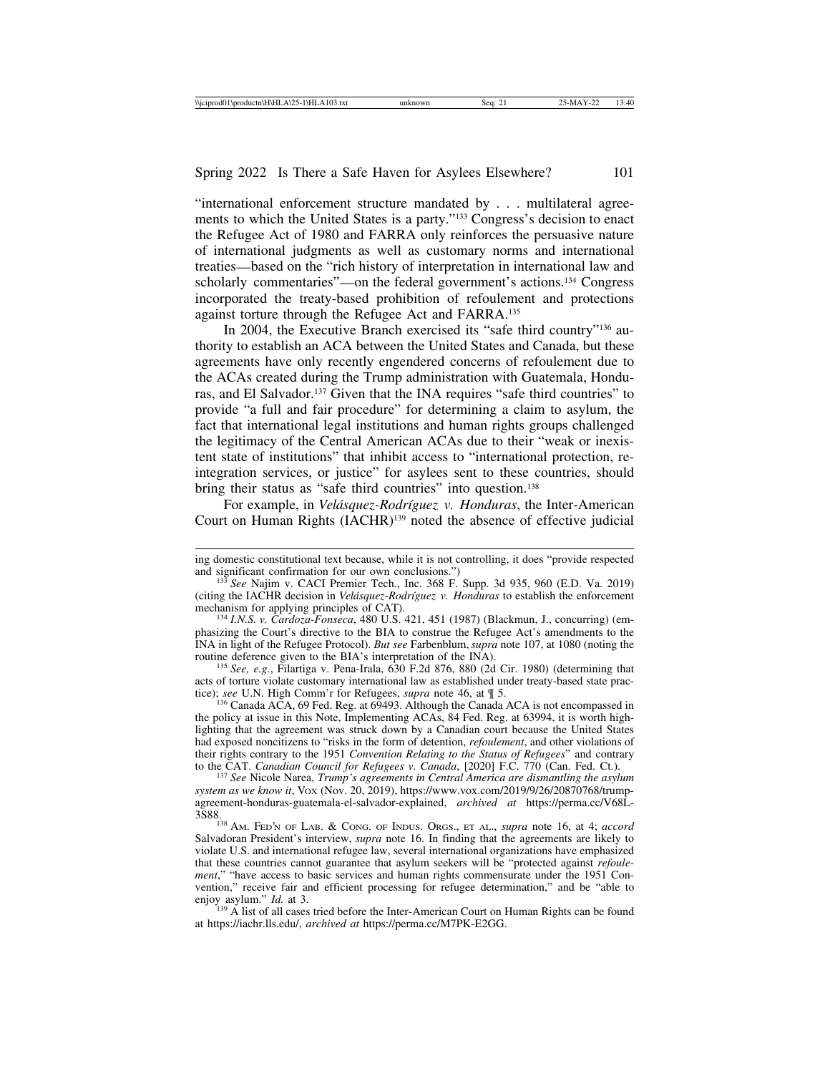"international enforcement structure mandated by . . . multilateral agreements to which the United States is a party."133 Congress's decision to enact the Refugee Act of 1980 and FARRA only reinforces the persuasive nature of international judgments as well as customary norms and international treaties—based on the "rich history of interpretation in international law and scholarly commentaries"—on the federal government's actions.134 Congress incorporated the treaty-based prohibition of refoulement and protections against torture through the Refugee Act and FARRA.135

In 2004, the Executive Branch exercised its "safe third country"136 authority to establish an ACA between the United States and Canada, but these agreements have only recently engendered concerns of refoulement due to the ACAs created during the Trump administration with Guatemala, Honduras, and El Salvador.137 Given that the INA requires "safe third countries" to provide "a full and fair procedure" for determining a claim to asylum, the fact that international legal institutions and human rights groups challenged the legitimacy of the Central American ACAs due to their "weak or inexistent state of institutions" that inhibit access to "international protection, reintegration services, or justice" for asylees sent to these countries, should bring their status as "safe third countries" into question.<sup>138</sup>

For example, in *Velásquez-Rodríguez v. Honduras*, the Inter-American Court on Human Rights (IACHR)139 noted the absence of effective judicial

mechanism for applying principles of CAT). <sup>134</sup> *I.N.S. v. Cardoza-Fonseca*, 480 U.S. 421, 451 (1987) (Blackmun, J., concurring) (emphasizing the Court's directive to the BIA to construe the Refugee Act's amendments to the INA in light of the Refugee Protocol). *But see* Farbenblum, *supra* note 107, at 1080 (noting the

<sup>135</sup> See, e.g., Filartiga v. Pena-Irala, 630 F.2d 876, 880 (2d Cir. 1980) (determining that acts of torture violate customary international law as established under treaty-based state prac-<br>tice); see U.N. High Comm'r for Refugees, *supra* note 46, at  $\P$  5.

 $136$  Canada ACA, 69 Fed. Reg. at  $6\overline{9}493$ . Although the Canada ACA is not encompassed in the policy at issue in this Note, Implementing ACAs, 84 Fed. Reg. at 63994, it is worth highlighting that the agreement was struck down by a Canadian court because the United States had exposed noncitizens to "risks in the form of detention, *refoulement*, and other violations of their rights contrary to the 1951 *Convention Relating to the Status of Refugees*" and contrary

<sup>137</sup> See Nicole Narea, *Trump's agreements in Central America are dismantling the asylum system as we know it*, VOX (Nov. 20, 2019), https://www.vox.com/2019/9/26/20870768/trumpagreement-honduras-guatemala-el-salvador-explained, *archived at* https://perma.cc/V68L-

3S88.138 AM. FED'N OF LAB. & CONG. OF INDUS. ORGS., ET AL., *supra* note 16, at 4; *accord* Salvadoran President's interview, *supra* note 16. In finding that the agreements are likely to violate U.S. and international refugee law, several international organizations have emphasized that these countries cannot guarantee that asylum seekers will be "protected against *refoulement*," "have access to basic services and human rights commensurate under the 1951 Convention," receive fair and efficient processing for refugee determination," and be "able to enjoy asylum."  $Id$  at 3.

<sup>139</sup> A list of all cases tried before the Inter-American Court on Human Rights can be found at https://iachr.lls.edu/, *archived at* https://perma.cc/M7PK-E2GG.

ing domestic constitutional text because, while it is not controlling, it does "provide respected and significant confirmation for our own conclusions.")<br><sup>133</sup> *See* Najim v. CACI Premier Tech., Inc. 368 F. Supp. 3d 935, 960 (E.D. Va. 2019)

<sup>(</sup>citing the IACHR decision in *Velásquez-Rodríguez v. Honduras* to establish the enforcement mechanism for applying principles of CAT).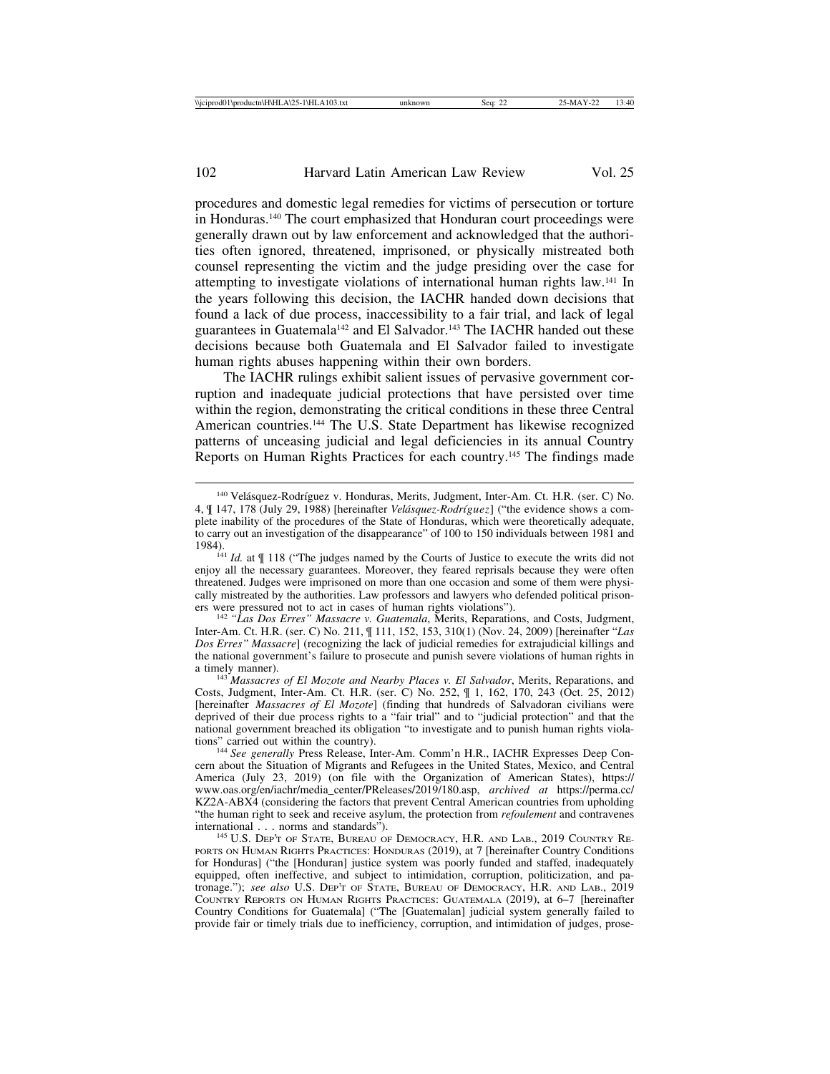procedures and domestic legal remedies for victims of persecution or torture in Honduras.140 The court emphasized that Honduran court proceedings were generally drawn out by law enforcement and acknowledged that the authorities often ignored, threatened, imprisoned, or physically mistreated both counsel representing the victim and the judge presiding over the case for attempting to investigate violations of international human rights law.141 In the years following this decision, the IACHR handed down decisions that found a lack of due process, inaccessibility to a fair trial, and lack of legal guarantees in Guatemala<sup>142</sup> and El Salvador.<sup>143</sup> The IACHR handed out these decisions because both Guatemala and El Salvador failed to investigate human rights abuses happening within their own borders.

The IACHR rulings exhibit salient issues of pervasive government corruption and inadequate judicial protections that have persisted over time within the region, demonstrating the critical conditions in these three Central American countries.144 The U.S. State Department has likewise recognized patterns of unceasing judicial and legal deficiencies in its annual Country Reports on Human Rights Practices for each country.145 The findings made

<sup>&</sup>lt;sup>140</sup> Velásquez-Rodríguez v. Honduras, Merits, Judgment, Inter-Am. Ct. H.R. (ser. C) No. 4, ¶ 147, 178 (July 29, 1988) [hereinafter *Velásquez-Rodríguez*] ("the evidence shows a complete inability of the procedures of the State of Honduras, which were theoretically adequate, to carry out an investigation of the disappearance" of 100 to 150 individuals between 1981 and

<sup>1984).&</sup>lt;br><sup>141</sup> *Id.* at ¶ 118 ("The judges named by the Courts of Justice to execute the writs did not enjoy all the necessary guarantees. Moreover, they feared reprisals because they were often threatened. Judges were imprisoned on more than one occasion and some of them were physically mistreated by the authorities. Law professors and lawyers who defended political prisoners were pressured not to act in cases of human rights violations").<br><sup>142</sup> *"Las Dos Erres" Massacre v. Guatemala*, Merits, Reparations, and Costs, Judgment,

Inter-Am. Ct. H.R. (ser. C) No. 211, ¶ 111, 152, 153, 310(1) (Nov. 24, 2009) [hereinafter "*Las Dos Erres" Massacre*] (recognizing the lack of judicial remedies for extrajudicial killings and the national government's failure to prosecute and punish severe violations of human rights in

<sup>&</sup>lt;sup>143</sup> *Massacres of El Mozote and Nearby Places v. El Salvador*, Merits, Reparations, and Costs, Judgment, Inter-Am. Ct. H.R. (ser. C) No. 252, ¶ 1, 162, 170, 243 (Oct. 25, 2012) [hereinafter *Massacres of El Mozote*] (finding that hundreds of Salvadoran civilians were deprived of their due process rights to a "fair trial" and to "judicial protection" and that the national government breached its obligation "to investigate and to punish human rights violations" carried out within the country).

<sup>&</sup>lt;sup>144</sup> See generally Press Release, Inter-Am. Comm'n H.R., IACHR Expresses Deep Concern about the Situation of Migrants and Refugees in the United States, Mexico, and Central America (July 23, 2019) (on file with the Organization of American States), https:// www.oas.org/en/iachr/media\_center/PReleases/2019/180.asp, *archived at* https://perma.cc/ KZ2A-ABX4 (considering the factors that prevent Central American countries from upholding "the human right to seek and receive asylum, the protection from *refoulement* and contravenes

<sup>&</sup>lt;sup>145</sup> U.S. DEP'T OF STATE, BUREAU OF DEMOCRACY, H.R. AND LAB., 2019 COUNTRY RE-PORTS ON HUMAN RIGHTS PRACTICES: HONDURAS (2019), at 7 [hereinafter Country Conditions for Honduras] ("the [Honduran] justice system was poorly funded and staffed, inadequately equipped, often ineffective, and subject to intimidation, corruption, politicization, and patronage."); *see also* U.S. DEP'T OF STATE, BUREAU OF DEMOCRACY, H.R. AND LAB., 2019 COUNTRY REPORTS ON HUMAN RIGHTS PRACTICES: GUATEMALA (2019), at 6–7 [hereinafter Country Conditions for Guatemala] ("The [Guatemalan] judicial system generally failed to provide fair or timely trials due to inefficiency, corruption, and intimidation of judges, prose-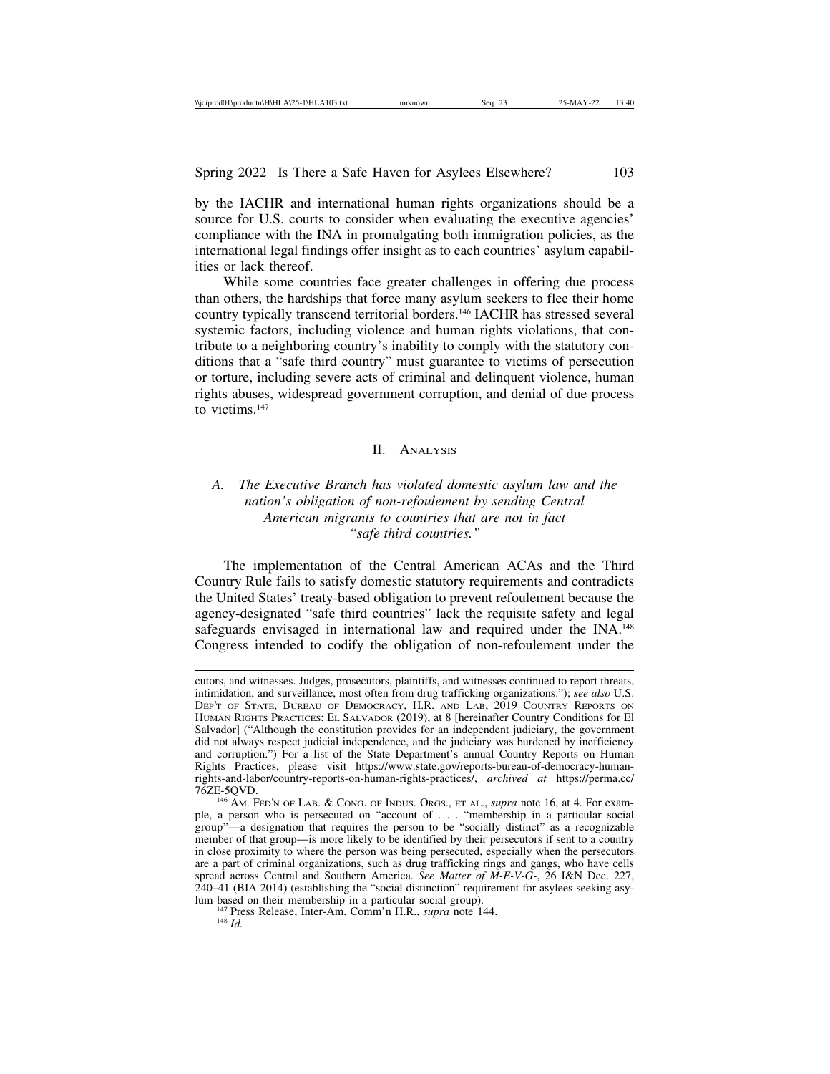by the IACHR and international human rights organizations should be a source for U.S. courts to consider when evaluating the executive agencies' compliance with the INA in promulgating both immigration policies, as the international legal findings offer insight as to each countries' asylum capabilities or lack thereof.

While some countries face greater challenges in offering due process than others, the hardships that force many asylum seekers to flee their home country typically transcend territorial borders.146 IACHR has stressed several systemic factors, including violence and human rights violations, that contribute to a neighboring country's inability to comply with the statutory conditions that a "safe third country" must guarantee to victims of persecution or torture, including severe acts of criminal and delinquent violence, human rights abuses, widespread government corruption, and denial of due process to victims.147

### II. ANALYSIS

## *A. The Executive Branch has violated domestic asylum law and the nation's obligation of non-refoulement by sending Central American migrants to countries that are not in fact "safe third countries."*

The implementation of the Central American ACAs and the Third Country Rule fails to satisfy domestic statutory requirements and contradicts the United States' treaty-based obligation to prevent refoulement because the agency-designated "safe third countries" lack the requisite safety and legal safeguards envisaged in international law and required under the INA.<sup>148</sup> Congress intended to codify the obligation of non-refoulement under the

cutors, and witnesses. Judges, prosecutors, plaintiffs, and witnesses continued to report threats, intimidation, and surveillance, most often from drug trafficking organizations."); *see also* U.S. DEP'T OF STATE, BUREAU OF DEMOCRACY, H.R. AND LAB, 2019 COUNTRY REPORTS ON HUMAN RIGHTS PRACTICES: EL SALVADOR (2019), at 8 [hereinafter Country Conditions for El Salvador] ("Although the constitution provides for an independent judiciary, the government did not always respect judicial independence, and the judiciary was burdened by inefficiency and corruption.") For a list of the State Department's annual Country Reports on Human Rights Practices, please visit https://www.state.gov/reports-bureau-of-democracy-humanrights-and-labor/country-reports-on-human-rights-practices/, *archived at* https://perma.cc/

<sup>76</sup>ZE-5QVD. <sup>146</sup> AM. FED'N OF LAB. & CONG. OF INDUS. ORGS., ET AL., *supra* note 16, at 4. For example, a person who is persecuted on "account of . . . "membership in a particular social group"—a designation that requires the person to be "socially distinct" as a recognizable member of that group—is more likely to be identified by their persecutors if sent to a country in close proximity to where the person was being persecuted, especially when the persecutors are a part of criminal organizations, such as drug trafficking rings and gangs, who have cells spread across Central and Southern America. *See Matter of M-E-V-G-*, 26 I&N Dec. 227, 240–41 (BIA 2014) (establishing the "social distinction" requirement for asylees seeking asy-

lum based on their membership in a particular social group). <sup>147</sup> Press Release, Inter-Am. Comm'n H.R., *supra* note 144. <sup>148</sup> *Id.*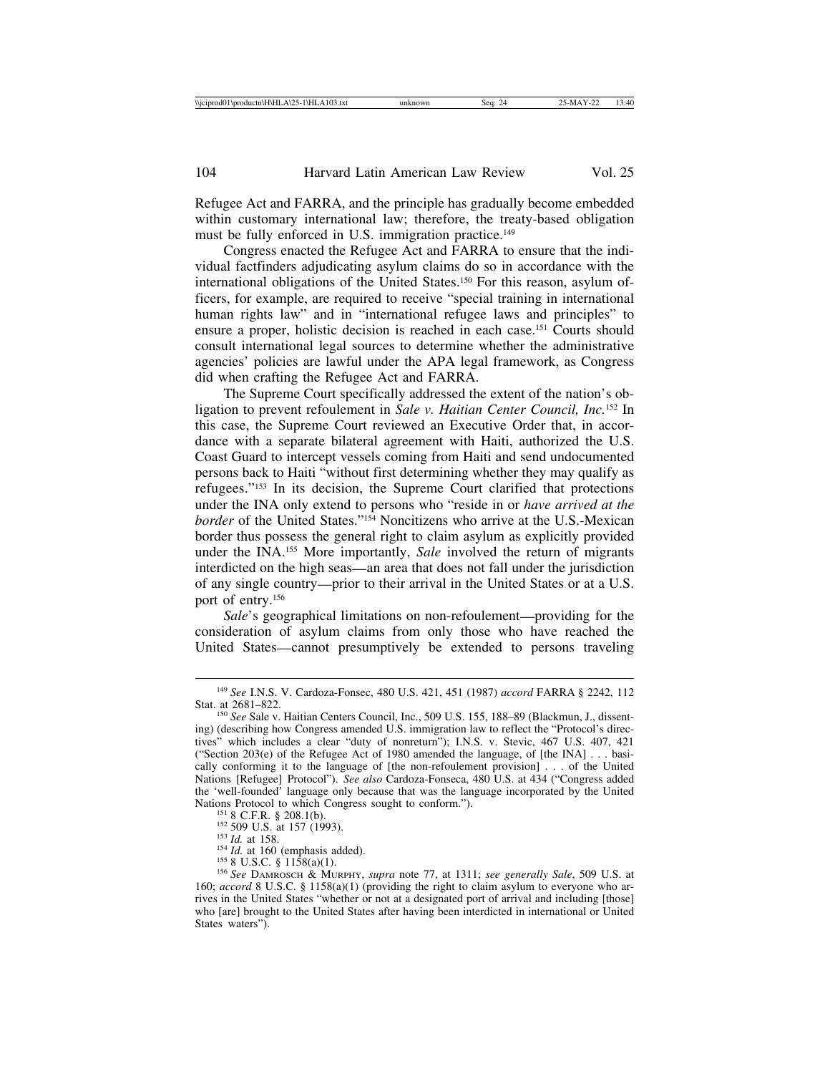Refugee Act and FARRA, and the principle has gradually become embedded within customary international law; therefore, the treaty-based obligation must be fully enforced in U.S. immigration practice.<sup>149</sup>

Congress enacted the Refugee Act and FARRA to ensure that the individual factfinders adjudicating asylum claims do so in accordance with the international obligations of the United States.150 For this reason, asylum officers, for example, are required to receive "special training in international human rights law" and in "international refugee laws and principles" to ensure a proper, holistic decision is reached in each case.151 Courts should consult international legal sources to determine whether the administrative agencies' policies are lawful under the APA legal framework, as Congress did when crafting the Refugee Act and FARRA.

The Supreme Court specifically addressed the extent of the nation's obligation to prevent refoulement in *Sale v. Haitian Center Council, Inc.*152 In this case, the Supreme Court reviewed an Executive Order that, in accordance with a separate bilateral agreement with Haiti, authorized the U.S. Coast Guard to intercept vessels coming from Haiti and send undocumented persons back to Haiti "without first determining whether they may qualify as refugees."153 In its decision, the Supreme Court clarified that protections under the INA only extend to persons who "reside in or *have arrived at the border* of the United States."154 Noncitizens who arrive at the U.S.-Mexican border thus possess the general right to claim asylum as explicitly provided under the INA.155 More importantly, *Sale* involved the return of migrants interdicted on the high seas—an area that does not fall under the jurisdiction of any single country—prior to their arrival in the United States or at a U.S. port of entry.156

*Sale*'s geographical limitations on non-refoulement—providing for the consideration of asylum claims from only those who have reached the United States—cannot presumptively be extended to persons traveling

<sup>149</sup> *See* I.N.S. V. Cardoza-Fonsec, 480 U.S. 421, 451 (1987) *accord* FARRA § 2242, 112

<sup>&</sup>lt;sup>150</sup> See Sale v. Haitian Centers Council, Inc., 509 U.S. 155, 188–89 (Blackmun, J., dissenting) (describing how Congress amended U.S. immigration law to reflect the "Protocol's directives" which includes a clear "duty of nonreturn"); I.N.S. v. Stevic, 467 U.S. 407, 421 ("Section 203(e) of the Refugee Act of 1980 amended the language, of [the INA] . . . basically conforming it to the language of [the non-refoulement provision] . . . of the United Nations [Refugee] Protocol"). *See also* Cardoza-Fonseca, 480 U.S. at 434 ("Congress added the 'well-founded' language only because that was the language incorporated by the United

<sup>&</sup>lt;sup>151</sup> 8 C.F.R. § 208.1(b).<br>
<sup>152</sup> 509 U.S. at 157 (1993).<br>
<sup>153</sup> *Id.* at 158.<br>
<sup>154</sup> *Id.* at 150 (emphasis added).<br>
<sup>154</sup> *Id.* at 150 (emphasis added).<br>
<sup>156</sup> 8 U.S.C. § 1158(a)(1).<br>
<sup>156</sup> *See DAMROSCH & MURPHY, supra* 160; *accord* 8 U.S.C. § 1158(a)(1) (providing the right to claim asylum to everyone who arrives in the United States "whether or not at a designated port of arrival and including [those] who [are] brought to the United States after having been interdicted in international or United States waters").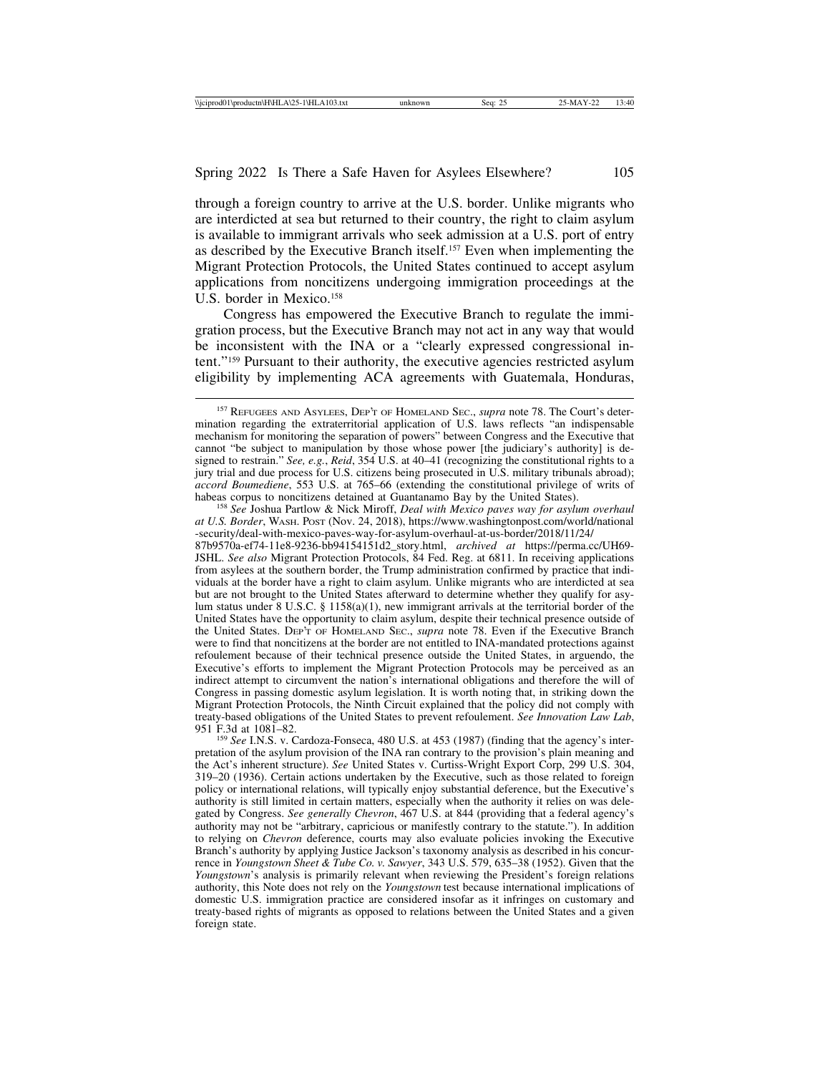through a foreign country to arrive at the U.S. border. Unlike migrants who are interdicted at sea but returned to their country, the right to claim asylum is available to immigrant arrivals who seek admission at a U.S. port of entry as described by the Executive Branch itself.157 Even when implementing the Migrant Protection Protocols, the United States continued to accept asylum applications from noncitizens undergoing immigration proceedings at the U.S. border in Mexico.<sup>158</sup>

Congress has empowered the Executive Branch to regulate the immigration process, but the Executive Branch may not act in any way that would be inconsistent with the INA or a "clearly expressed congressional intent."159 Pursuant to their authority, the executive agencies restricted asylum eligibility by implementing ACA agreements with Guatemala, Honduras,

<sup>158</sup> See Joshua Partlow & Nick Miroff, *Deal with Mexico paves way for asylum overhaul at U.S. Border*, WASH. POST (Nov. 24, 2018), https://www.washingtonpost.com/world/national -security/deal-with-mexico-paves-way-for-asylum-overhaul-at-us-border/2018/11/24/ 87b9570a-ef74-11e8-9236-bb94154151d2\_story.html, *archived at* https://perma.cc/UH69- JSHL. *See also* Migrant Protection Protocols, 84 Fed. Reg. at 6811. In receiving applications from asylees at the southern border, the Trump administration confirmed by practice that individuals at the border have a right to claim asylum. Unlike migrants who are interdicted at sea but are not brought to the United States afterward to determine whether they qualify for asylum status under 8 U.S.C. § 1158(a)(1), new immigrant arrivals at the territorial border of the United States have the opportunity to claim asylum, despite their technical presence outside of the United States. DEP'T OF HOMELAND SEC., *supra* note 78. Even if the Executive Branch were to find that noncitizens at the border are not entitled to INA-mandated protections against refoulement because of their technical presence outside the United States, in arguendo, the Executive's efforts to implement the Migrant Protection Protocols may be perceived as an indirect attempt to circumvent the nation's international obligations and therefore the will of Congress in passing domestic asylum legislation. It is worth noting that, in striking down the Migrant Protection Protocols, the Ninth Circuit explained that the policy did not comply with treaty-based obligations of the United States to prevent refoulement. *See Innovation Law Lab*,

<sup>159</sup> See I.N.S. v. Cardoza-Fonseca, 480 U.S. at 453 (1987) (finding that the agency's interpretation of the asylum provision of the INA ran contrary to the provision's plain meaning and the Act's inherent structure). *See* United States v. Curtiss-Wright Export Corp, 299 U.S. 304, 319–20 (1936). Certain actions undertaken by the Executive, such as those related to foreign policy or international relations, will typically enjoy substantial deference, but the Executive's authority is still limited in certain matters, especially when the authority it relies on was delegated by Congress. *See generally Chevron*, 467 U.S. at 844 (providing that a federal agency's authority may not be "arbitrary, capricious or manifestly contrary to the statute."). In addition to relying on *Chevron* deference, courts may also evaluate policies invoking the Executive Branch's authority by applying Justice Jackson's taxonomy analysis as described in his concurrence in *Youngstown Sheet & Tube Co. v. Sawyer*, 343 U.S. 579, 635–38 (1952). Given that the *Youngstown*'s analysis is primarily relevant when reviewing the President's foreign relations authority, this Note does not rely on the *Youngstown* test because international implications of domestic U.S. immigration practice are considered insofar as it infringes on customary and treaty-based rights of migrants as opposed to relations between the United States and a given foreign state.

<sup>157</sup> REFUGEES AND ASYLEES, DEP'T OF HOMELAND SEC., *supra* note 78. The Court's determination regarding the extraterritorial application of U.S. laws reflects "an indispensable mechanism for monitoring the separation of powers" between Congress and the Executive that cannot "be subject to manipulation by those whose power [the judiciary's authority] is designed to restrain." *See, e.g.*, *Reid*, 354 U.S. at 40–41 (recognizing the constitutional rights to a jury trial and due process for U.S. citizens being prosecuted in U.S. military tribunals abroad); *accord Boumediene*, 553 U.S. at 765–66 (extending the constitutional privilege of writs of habeas corpus to noncitizens detained at Guantanamo Bay by the United States).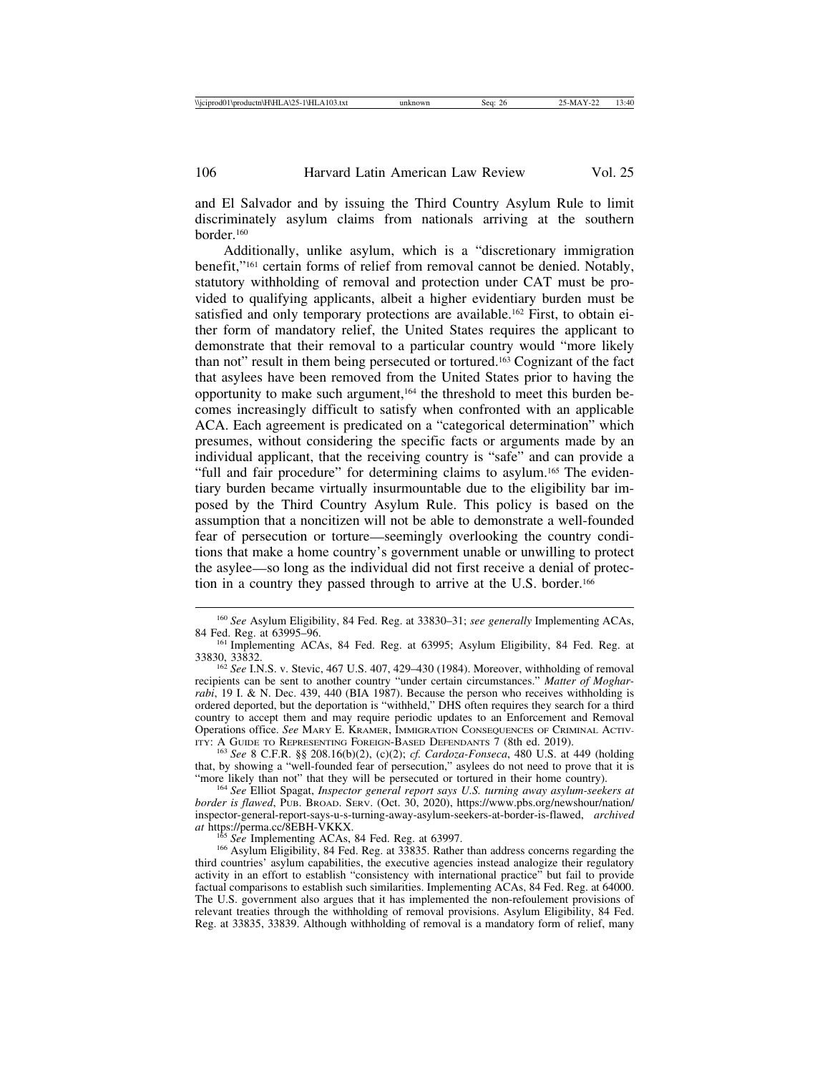and El Salvador and by issuing the Third Country Asylum Rule to limit discriminately asylum claims from nationals arriving at the southern border<sup>160</sup>

Additionally, unlike asylum, which is a "discretionary immigration benefit,"161 certain forms of relief from removal cannot be denied. Notably, statutory withholding of removal and protection under CAT must be provided to qualifying applicants, albeit a higher evidentiary burden must be satisfied and only temporary protections are available.<sup>162</sup> First, to obtain either form of mandatory relief, the United States requires the applicant to demonstrate that their removal to a particular country would "more likely than not" result in them being persecuted or tortured.163 Cognizant of the fact that asylees have been removed from the United States prior to having the opportunity to make such argument,164 the threshold to meet this burden becomes increasingly difficult to satisfy when confronted with an applicable ACA. Each agreement is predicated on a "categorical determination" which presumes, without considering the specific facts or arguments made by an individual applicant, that the receiving country is "safe" and can provide a "full and fair procedure" for determining claims to asylum.<sup>165</sup> The evidentiary burden became virtually insurmountable due to the eligibility bar imposed by the Third Country Asylum Rule. This policy is based on the assumption that a noncitizen will not be able to demonstrate a well-founded fear of persecution or torture—seemingly overlooking the country conditions that make a home country's government unable or unwilling to protect the asylee—so long as the individual did not first receive a denial of protection in a country they passed through to arrive at the U.S. border.<sup>166</sup>

163 *See* 8 C.F.R. §§ 208.16(b)(2), (c)(2); *cf. Cardoza-Fonseca*, 480 U.S. at 449 (holding that, by showing a "well-founded fear of persecution," asylees do not need to prove that it is "more likely than not" that they will be persecuted or tortured in their home country).

<sup>164</sup> See Elliot Spagat, *Inspector general report says U.S. turning away asylum-seekers at border is flawed*, PUB. BROAD. SERV. (Oct. 30, 2020), https://www.pbs.org/newshour/nation/ inspector-general-report-says-u-s-turning-away-asylum-seekers-at-border-is-flawed, *archived*

<sup>160</sup> *See* Asylum Eligibility, 84 Fed. Reg. at 33830–31; *see generally* Implementing ACAs,

<sup>&</sup>lt;sup>161</sup> Implementing ACAs, 84 Fed. Reg. at 63995; Asylum Eligibility, 84 Fed. Reg. at 33830, 33832.

<sup>&</sup>lt;sup>162</sup> See I.N.S. v. Stevic, 467 U.S. 407, 429–430 (1984). Moreover, withholding of removal recipients can be sent to another country "under certain circumstances." *Matter of Mogharrabi*, 19 I. & N. Dec. 439, 440 (BIA 1987). Because the person who receives withholding is ordered deported, but the deportation is "withheld," DHS often requires they search for a third country to accept them and may require periodic updates to an Enforcement and Removal Operations office. *See MARY E. KRAMER, IMMIGRATION CONSEQUENCES OF CRIMINAL ACTIV-ITY:* A GUIDE TO REPRESENTING FOREIGN-BASED DEFENDANTS 7 (8th ed. 2019).

<sup>&</sup>lt;sup>165</sup> *See* Implementing ACAs, 84 Fed. Reg. at 63997.<br><sup>166</sup> Asylum Eligibility, 84 Fed. Reg. at 33835. Rather than address concerns regarding the third countries' asylum capabilities, the executive agencies instead analogize their regulatory activity in an effort to establish "consistency with international practice" but fail to provide factual comparisons to establish such similarities. Implementing ACAs, 84 Fed. Reg. at 64000. The U.S. government also argues that it has implemented the non-refoulement provisions of relevant treaties through the withholding of removal provisions. Asylum Eligibility, 84 Fed. Reg. at 33835, 33839. Although withholding of removal is a mandatory form of relief, many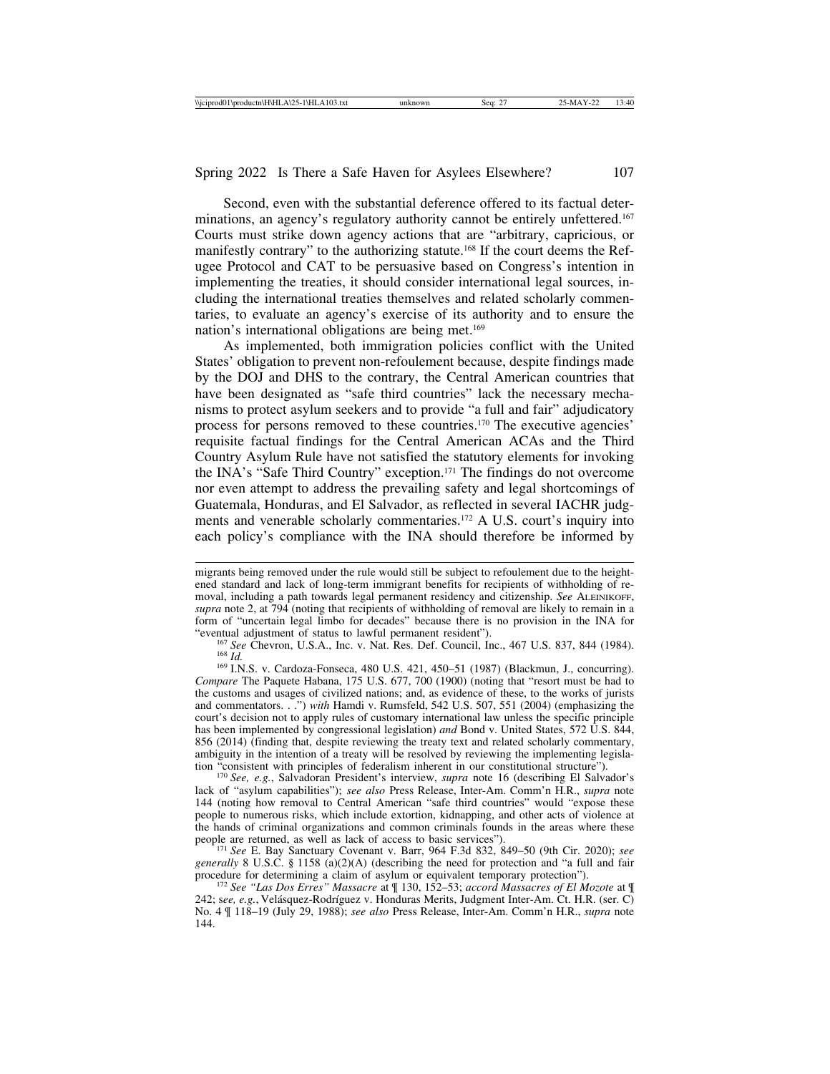Second, even with the substantial deference offered to its factual determinations, an agency's regulatory authority cannot be entirely unfettered.167 Courts must strike down agency actions that are "arbitrary, capricious, or manifestly contrary" to the authorizing statute.168 If the court deems the Refugee Protocol and CAT to be persuasive based on Congress's intention in implementing the treaties, it should consider international legal sources, including the international treaties themselves and related scholarly commentaries, to evaluate an agency's exercise of its authority and to ensure the nation's international obligations are being met.<sup>169</sup>

As implemented, both immigration policies conflict with the United States' obligation to prevent non-refoulement because, despite findings made by the DOJ and DHS to the contrary, the Central American countries that have been designated as "safe third countries" lack the necessary mechanisms to protect asylum seekers and to provide "a full and fair" adjudicatory process for persons removed to these countries.170 The executive agencies' requisite factual findings for the Central American ACAs and the Third Country Asylum Rule have not satisfied the statutory elements for invoking the INA's "Safe Third Country" exception.171 The findings do not overcome nor even attempt to address the prevailing safety and legal shortcomings of Guatemala, Honduras, and El Salvador, as reflected in several IACHR judgments and venerable scholarly commentaries.172 A U.S. court's inquiry into each policy's compliance with the INA should therefore be informed by

<sup>167</sup> See Chevron, U.S.A., Inc. v. Nat. Res. Def. Council, Inc., 467 U.S. 837, 844 (1984).<br><sup>168</sup> Id. <sup>169</sup> I.N.S. v. Cardoza-Fonseca, 480 U.S. 421, 450–51 (1987) (Blackmun, J., concurring).

*Compare* The Paquete Habana, 175 U.S. 677, 700 (1900) (noting that "resort must be had to the customs and usages of civilized nations; and, as evidence of these, to the works of jurists and commentators. . .") *with* Hamdi v. Rumsfeld, 542 U.S. 507, 551 (2004) (emphasizing the court's decision not to apply rules of customary international law unless the specific principle has been implemented by congressional legislation) *and* Bond v. United States, 572 U.S. 844, 856 (2014) (finding that, despite reviewing the treaty text and related scholarly commentary, ambiguity in the intention of a treaty will be resolved by reviewing the implementing legislation "consistent with principles of federalism inherent in our constitutional structure").

<sup>170</sup> See, e.g., Salvadoran President's interview, *supra* note 16 (describing El Salvador's lack of "asylum capabilities"); *see also* Press Release, Inter-Am. Comm'n H.R., *supra* note 144 (noting how removal to Central American "safe third countries" would "expose these people to numerous risks, which include extortion, kidnapping, and other acts of violence at the hands of criminal organizations and common criminals founds in the areas where these people are returned, as well as lack of access to basic services").

<sup>171</sup> See E. Bay Sanctuary Covenant v. Barr, 964 F.3d 832, 849–50 (9th Cir. 2020); see *generally* 8 U.S.C. § 1158 (a)(2)(A) (describing the need for protection and "a full and fair procedure for determining a claim of asylum or equivalent temporary protection").

<sup>172</sup> See "Las Dos Erres" Massacre at ¶ 130, 152–53; *accord Massacres of El Mozote* at ¶ 242; see, e.g., Velásquez-Rodríguez v. Honduras Merits, Judgment Inter-Am. Ct. H.R. (ser. C) No. 4 ¶ 118–19 (July 29, 1988); *see also* Press Release, Inter-Am. Comm'n H.R., *supra* note 144.

migrants being removed under the rule would still be subject to refoulement due to the heightened standard and lack of long-term immigrant benefits for recipients of withholding of removal, including a path towards legal permanent residency and citizenship. *See* ALEINIKOFF, *supra* note 2, at 794 (noting that recipients of withholding of removal are likely to remain in a form of "uncertain legal limbo for decades" because there is no provision in the INA for "eventual adjustment of status to lawful permanent resident").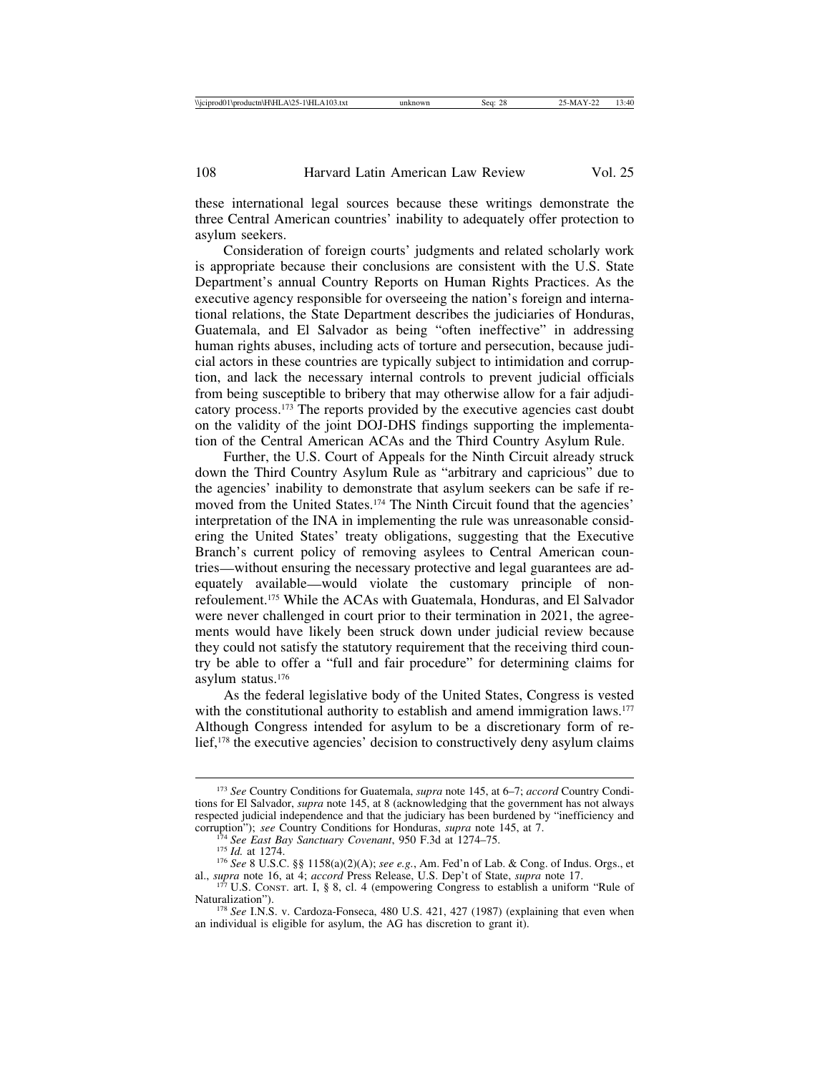these international legal sources because these writings demonstrate the three Central American countries' inability to adequately offer protection to asylum seekers.

Consideration of foreign courts' judgments and related scholarly work is appropriate because their conclusions are consistent with the U.S. State Department's annual Country Reports on Human Rights Practices. As the executive agency responsible for overseeing the nation's foreign and international relations, the State Department describes the judiciaries of Honduras, Guatemala, and El Salvador as being "often ineffective" in addressing human rights abuses, including acts of torture and persecution, because judicial actors in these countries are typically subject to intimidation and corruption, and lack the necessary internal controls to prevent judicial officials from being susceptible to bribery that may otherwise allow for a fair adjudicatory process.173 The reports provided by the executive agencies cast doubt on the validity of the joint DOJ-DHS findings supporting the implementation of the Central American ACAs and the Third Country Asylum Rule.

Further, the U.S. Court of Appeals for the Ninth Circuit already struck down the Third Country Asylum Rule as "arbitrary and capricious" due to the agencies' inability to demonstrate that asylum seekers can be safe if removed from the United States.<sup>174</sup> The Ninth Circuit found that the agencies' interpretation of the INA in implementing the rule was unreasonable considering the United States' treaty obligations, suggesting that the Executive Branch's current policy of removing asylees to Central American countries—without ensuring the necessary protective and legal guarantees are adequately available—would violate the customary principle of nonrefoulement.175 While the ACAs with Guatemala, Honduras, and El Salvador were never challenged in court prior to their termination in 2021, the agreements would have likely been struck down under judicial review because they could not satisfy the statutory requirement that the receiving third country be able to offer a "full and fair procedure" for determining claims for asylum status.176

As the federal legislative body of the United States, Congress is vested with the constitutional authority to establish and amend immigration laws.<sup>177</sup> Although Congress intended for asylum to be a discretionary form of relief,<sup>178</sup> the executive agencies' decision to constructively deny asylum claims

<sup>173</sup> *See* Country Conditions for Guatemala, *supra* note 145, at 6–7; *accord* Country Conditions for El Salvador, *supra* note 145, at 8 (acknowledging that the government has not always respected judicial independence and that the judiciary has been burdened by "inefficiency and corruption"); see Country Conditions for Honduras, supra note 145, at 7.

<sup>&</sup>lt;sup>174</sup> See East Bay Sanctuary Covenant, 950 F.3d at 1274–75.<br><sup>175</sup> Id. at 1274.<br><sup>176</sup> See 8 U.S.C. §§ 1158(a)(2)(A); see e.g., Am. Fed'n of Lab. & Cong. of Indus. Orgs., et al., *supra* note 16, at 4; *accord* Press Releas

 $1^{77}$  U.S. CONST. art. I, § 8, cl. 4 (empowering Congress to establish a uniform "Rule of Naturalization").

<sup>&</sup>lt;sup>178</sup> *See* I.N.S. v. Cardoza-Fonseca, 480 U.S. 421, 427 (1987) (explaining that even when an individual is eligible for asylum, the AG has discretion to grant it).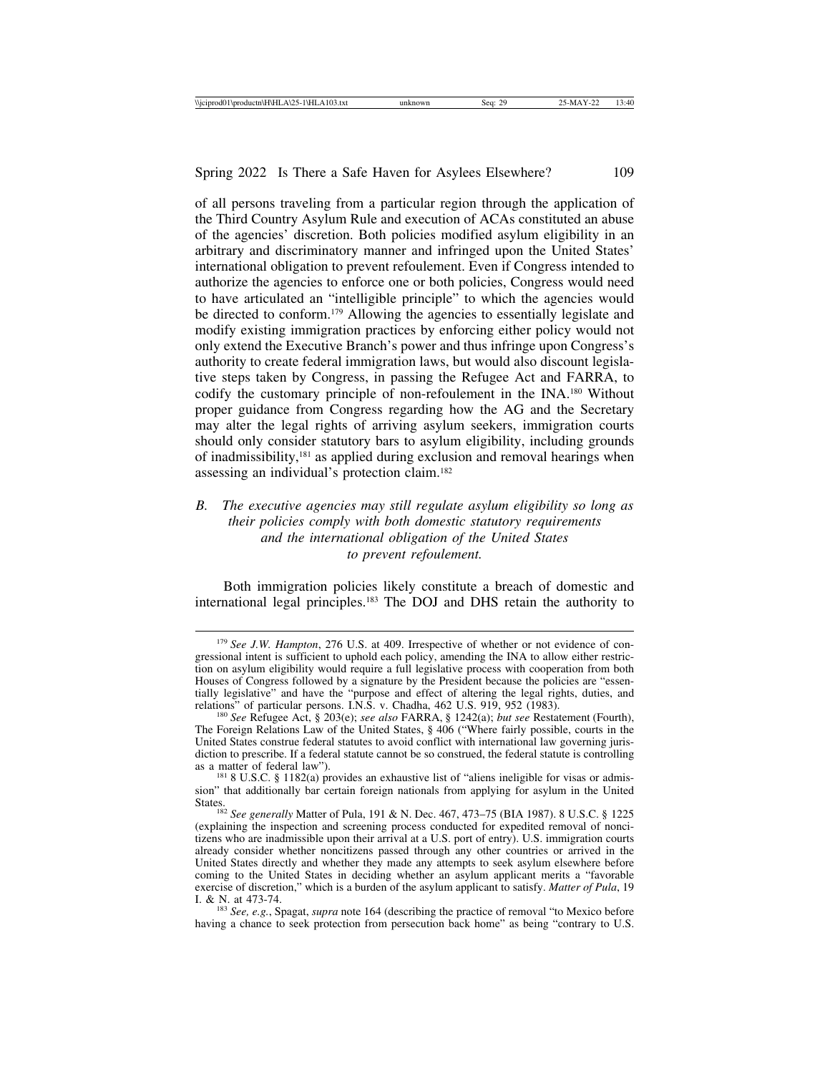of all persons traveling from a particular region through the application of the Third Country Asylum Rule and execution of ACAs constituted an abuse of the agencies' discretion. Both policies modified asylum eligibility in an arbitrary and discriminatory manner and infringed upon the United States' international obligation to prevent refoulement. Even if Congress intended to authorize the agencies to enforce one or both policies, Congress would need to have articulated an "intelligible principle" to which the agencies would be directed to conform.179 Allowing the agencies to essentially legislate and modify existing immigration practices by enforcing either policy would not only extend the Executive Branch's power and thus infringe upon Congress's authority to create federal immigration laws, but would also discount legislative steps taken by Congress, in passing the Refugee Act and FARRA, to codify the customary principle of non-refoulement in the INA.180 Without proper guidance from Congress regarding how the AG and the Secretary may alter the legal rights of arriving asylum seekers, immigration courts should only consider statutory bars to asylum eligibility, including grounds of inadmissibility,181 as applied during exclusion and removal hearings when assessing an individual's protection claim.182

## *B. The executive agencies may still regulate asylum eligibility so long as their policies comply with both domestic statutory requirements and the international obligation of the United States to prevent refoulement.*

Both immigration policies likely constitute a breach of domestic and international legal principles.183 The DOJ and DHS retain the authority to

<sup>&</sup>lt;sup>179</sup> See J.W. Hampton, 276 U.S. at 409. Irrespective of whether or not evidence of congressional intent is sufficient to uphold each policy, amending the INA to allow either restriction on asylum eligibility would require a full legislative process with cooperation from both Houses of Congress followed by a signature by the President because the policies are "essentially legislative" and have the "purpose and effect of altering the legal rights, duties, and relations" of particular persons. I.N.S. v. Chadha, 462 U.S. 919, 952 (1983).

<sup>&</sup>lt;sup>180</sup> See Refugee Act, § 203(e); *see also* FARRA, § 1242(a); *but see* Restatement (Fourth), The Foreign Relations Law of the United States, § 406 ("Where fairly possible, courts in the United States construe federal statutes to avoid conflict with international law governing jurisdiction to prescribe. If a federal statute cannot be so construed, the federal statute is controlling as a matter of federal law").

 $181$  8 U.S.C. § 1182(a) provides an exhaustive list of "aliens ineligible for visas or admission" that additionally bar certain foreign nationals from applying for asylum in the United States. <sup>182</sup> *See generally* Matter of Pula, 191 & N. Dec. 467, 473–75 (BIA 1987). 8 U.S.C. § 1225

<sup>(</sup>explaining the inspection and screening process conducted for expedited removal of noncitizens who are inadmissible upon their arrival at a U.S. port of entry). U.S. immigration courts already consider whether noncitizens passed through any other countries or arrived in the United States directly and whether they made any attempts to seek asylum elsewhere before coming to the United States in deciding whether an asylum applicant merits a "favorable exercise of discretion," which is a burden of the asylum applicant to satisfy. *Matter of Pula*, 19 I. & N. at 473-74.

<sup>&</sup>lt;sup>183</sup> *See, e.g., Spagat, supra note 164 (describing the practice of removal "to Mexico before*" having a chance to seek protection from persecution back home" as being "contrary to U.S.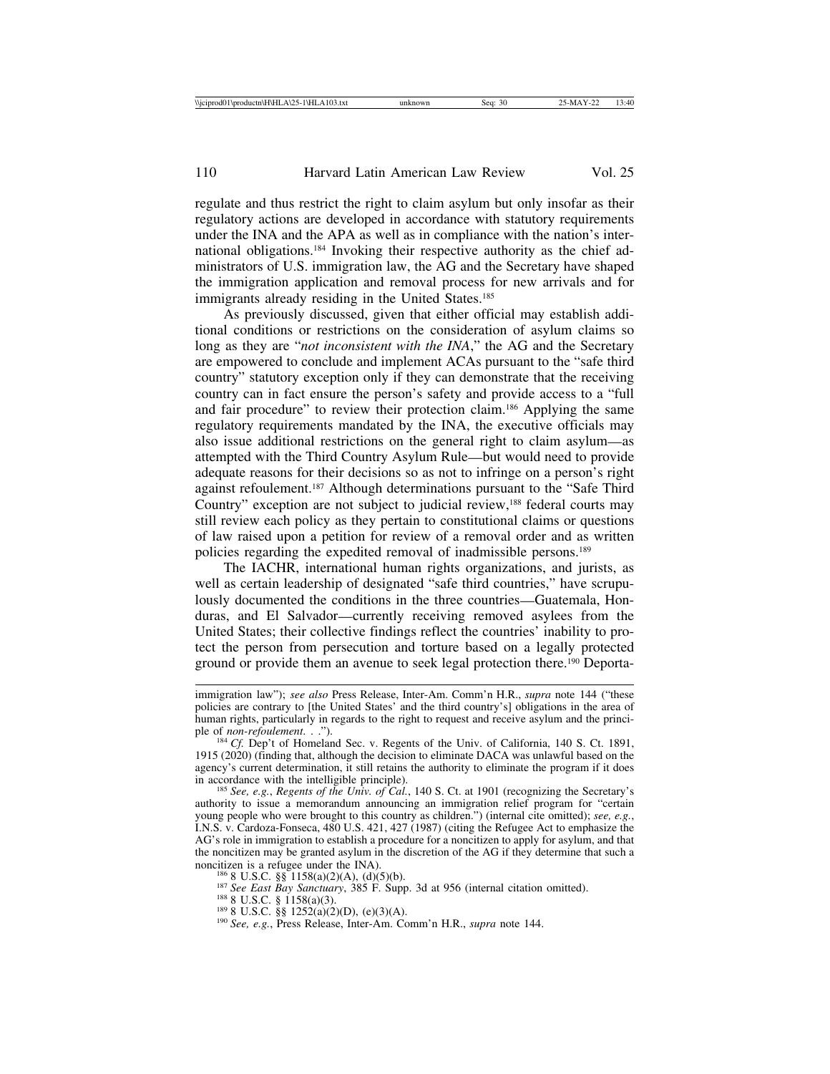regulate and thus restrict the right to claim asylum but only insofar as their regulatory actions are developed in accordance with statutory requirements under the INA and the APA as well as in compliance with the nation's international obligations.184 Invoking their respective authority as the chief administrators of U.S. immigration law, the AG and the Secretary have shaped the immigration application and removal process for new arrivals and for immigrants already residing in the United States.<sup>185</sup>

As previously discussed, given that either official may establish additional conditions or restrictions on the consideration of asylum claims so long as they are "*not inconsistent with the INA*," the AG and the Secretary are empowered to conclude and implement ACAs pursuant to the "safe third country" statutory exception only if they can demonstrate that the receiving country can in fact ensure the person's safety and provide access to a "full and fair procedure" to review their protection claim.186 Applying the same regulatory requirements mandated by the INA, the executive officials may also issue additional restrictions on the general right to claim asylum—as attempted with the Third Country Asylum Rule—but would need to provide adequate reasons for their decisions so as not to infringe on a person's right against refoulement.187 Although determinations pursuant to the "Safe Third Country" exception are not subject to judicial review,<sup>188</sup> federal courts may still review each policy as they pertain to constitutional claims or questions of law raised upon a petition for review of a removal order and as written policies regarding the expedited removal of inadmissible persons.189

The IACHR, international human rights organizations, and jurists, as well as certain leadership of designated "safe third countries," have scrupulously documented the conditions in the three countries—Guatemala, Honduras, and El Salvador—currently receiving removed asylees from the United States; their collective findings reflect the countries' inability to protect the person from persecution and torture based on a legally protected ground or provide them an avenue to seek legal protection there.190 Deporta-

<sup>185</sup> See, e.g., *Regents of the Univ. of Cal.*, 140 S. Ct. at 1901 (recognizing the Secretary's authority to issue a memorandum announcing an immigration relief program for "certain young people who were brought to this country as children.") (internal cite omitted); *see, e.g.*, I.N.S. v. Cardoza-Fonseca, 480 U.S. 421, 427 (1987) (citing the Refugee Act to emphasize the AG's role in immigration to establish a procedure for a noncitizen to apply for asylum, and that the noncitizen may be granted asylum in the discretion of the AG if they determine that such a noncitizen is a refugee under the INA).

<sup>186</sup> 8 U.S.C. §§ 1158(a)(2)(A), (d)(5)(b).<br><sup>187</sup> *See East Bay Sanctuary*, 385 F. Supp. 3d at 956 (internal citation omitted).<br><sup>188</sup> 8 U.S.C. § 1158(a)(3).<br><sup>189</sup> 8 U.S.C. §§ 1252(a)(2)(D), (e)(3)(A).<br><sup>190</sup> *See*, *e.g.*,

immigration law"); *see also* Press Release, Inter-Am. Comm'n H.R., *supra* note 144 ("these policies are contrary to [the United States' and the third country's] obligations in the area of human rights, particularly in regards to the right to request and receive asylum and the principle of *non-refoulement*. . .").<br><sup>184</sup> *Cf.* Dep't of Homeland Sec. v. Regents of the Univ. of California, 140 S. Ct. 1891,

<sup>1915 (2020) (</sup>finding that, although the decision to eliminate DACA was unlawful based on the agency's current determination, it still retains the authority to eliminate the program if it does in accordance with the intelligible principle).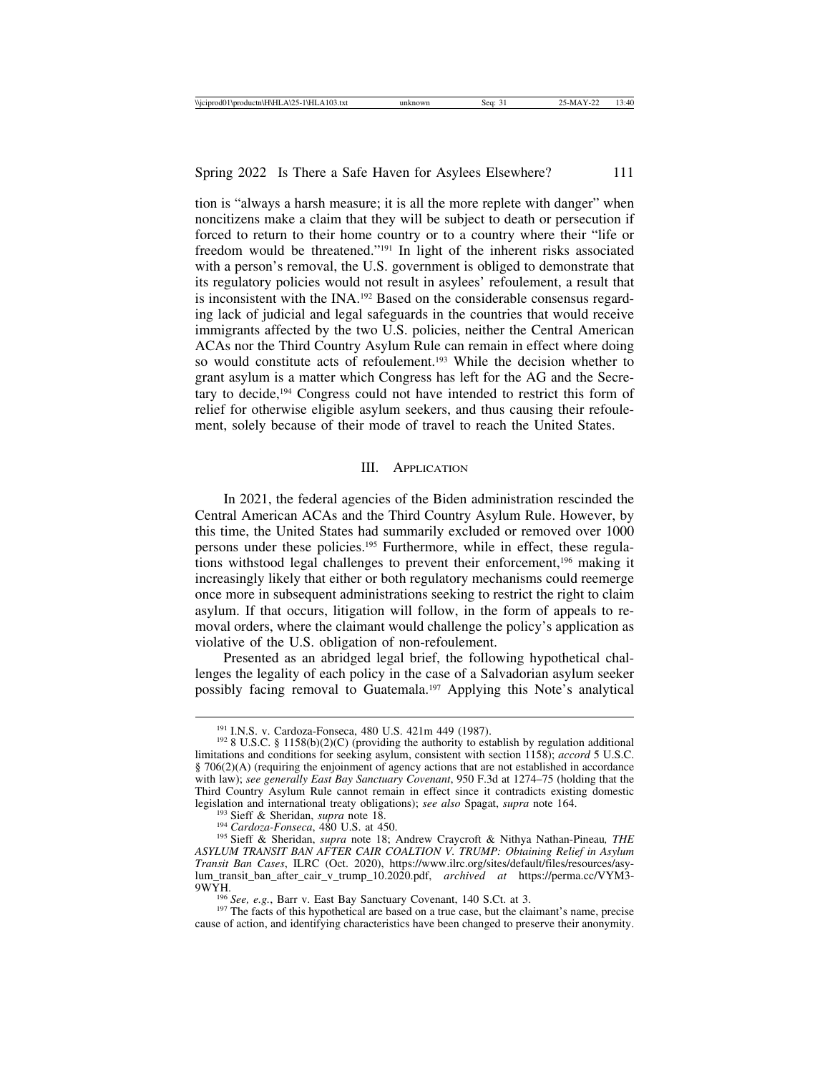tion is "always a harsh measure; it is all the more replete with danger" when noncitizens make a claim that they will be subject to death or persecution if forced to return to their home country or to a country where their "life or freedom would be threatened."191 In light of the inherent risks associated with a person's removal, the U.S. government is obliged to demonstrate that its regulatory policies would not result in asylees' refoulement, a result that is inconsistent with the INA.192 Based on the considerable consensus regarding lack of judicial and legal safeguards in the countries that would receive immigrants affected by the two U.S. policies, neither the Central American ACAs nor the Third Country Asylum Rule can remain in effect where doing so would constitute acts of refoulement.193 While the decision whether to grant asylum is a matter which Congress has left for the AG and the Secretary to decide,194 Congress could not have intended to restrict this form of relief for otherwise eligible asylum seekers, and thus causing their refoulement, solely because of their mode of travel to reach the United States.

#### III. APPLICATION

In 2021, the federal agencies of the Biden administration rescinded the Central American ACAs and the Third Country Asylum Rule. However, by this time, the United States had summarily excluded or removed over 1000 persons under these policies.195 Furthermore, while in effect, these regulations withstood legal challenges to prevent their enforcement,196 making it increasingly likely that either or both regulatory mechanisms could reemerge once more in subsequent administrations seeking to restrict the right to claim asylum. If that occurs, litigation will follow, in the form of appeals to removal orders, where the claimant would challenge the policy's application as violative of the U.S. obligation of non-refoulement.

Presented as an abridged legal brief, the following hypothetical challenges the legality of each policy in the case of a Salvadorian asylum seeker possibly facing removal to Guatemala.197 Applying this Note's analytical

<sup>&</sup>lt;sup>191</sup> I.N.S. v. Cardoza-Fonseca, 480 U.S. 421m 449 (1987).<br><sup>192</sup> 8 U.S.C. § 1158(b)(2)(C) (providing the authority to establish by regulation additional limitations and conditions for seeking asylum, consistent with section 1158); *accord* 5 U.S.C.  $§$  706(2)(A) (requiring the enjoinment of agency actions that are not established in accordance with law); *see generally East Bay Sanctuary Covenant*, 950 F.3d at 1274–75 (holding that the Third Country Asylum Rule cannot remain in effect since it contradicts existing domestic legislation and international treaty obligations); see also Spagat, supra note 164.

<sup>&</sup>lt;sup>193</sup> Sieff & Sheridan, *supra* note 18.<br><sup>194</sup> Cardoza-Fonseca, 480 U.S. at 450.<br><sup>195</sup> Sieff & Sheridan, *supra* note 18; Andrew Craycroft & Nithya Nathan-Pineau, THE *ASYLUM TRANSIT BAN AFTER CAIR COALTION V. TRUMP: Obtaining Relief in Asylum Transit Ban Cases*, ILRC (Oct. 2020), https://www.ilrc.org/sites/default/files/resources/asylum\_transit\_ban\_after\_cair\_v\_trump\_10.2020.pdf, *archived at* https://perma.cc/VYM3- 9WYH.<br><sup>196</sup> *See, e.g.*, Barr v. East Bay Sanctuary Covenant, 140 S.Ct. at 3.<br><sup>197</sup> The facts of this hypothetical are based on a true case, but the claimant's name, precise

cause of action, and identifying characteristics have been changed to preserve their anonymity.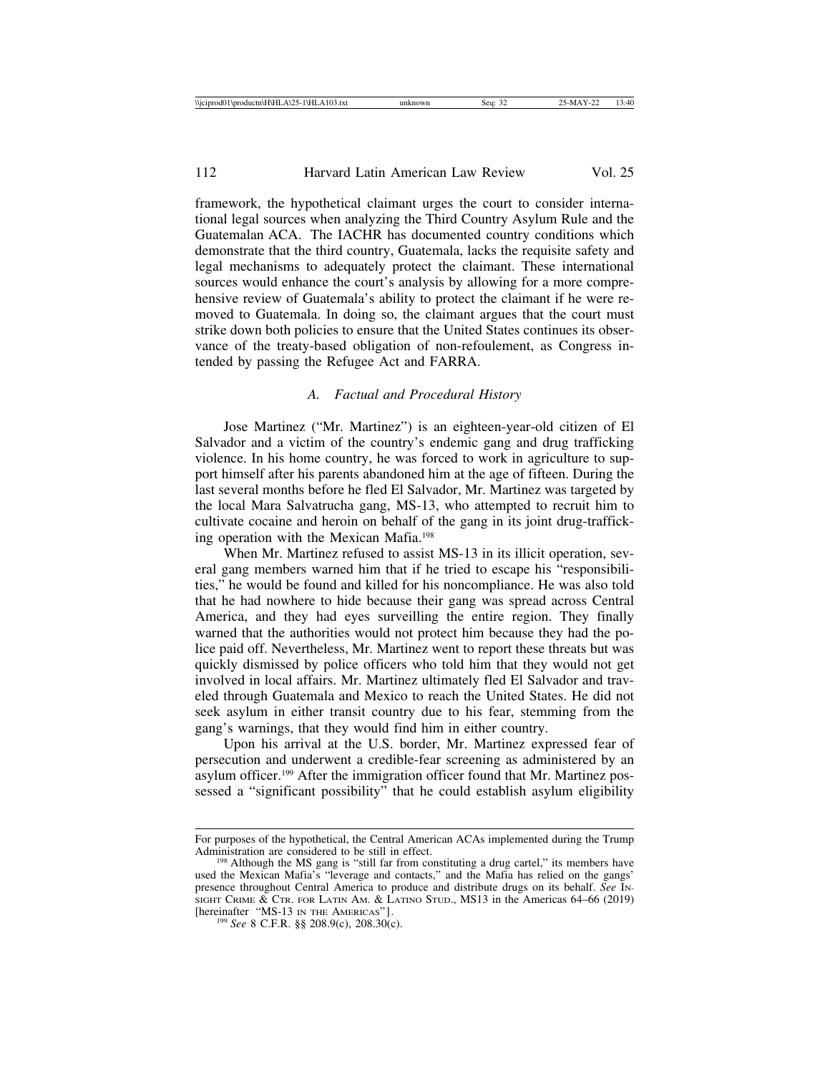framework, the hypothetical claimant urges the court to consider international legal sources when analyzing the Third Country Asylum Rule and the Guatemalan ACA. The IACHR has documented country conditions which demonstrate that the third country, Guatemala, lacks the requisite safety and legal mechanisms to adequately protect the claimant. These international sources would enhance the court's analysis by allowing for a more comprehensive review of Guatemala's ability to protect the claimant if he were removed to Guatemala. In doing so, the claimant argues that the court must strike down both policies to ensure that the United States continues its observance of the treaty-based obligation of non-refoulement, as Congress intended by passing the Refugee Act and FARRA.

## *A. Factual and Procedural History*

Jose Martinez ("Mr. Martinez") is an eighteen-year-old citizen of El Salvador and a victim of the country's endemic gang and drug trafficking violence. In his home country, he was forced to work in agriculture to support himself after his parents abandoned him at the age of fifteen. During the last several months before he fled El Salvador, Mr. Martinez was targeted by the local Mara Salvatrucha gang, MS-13, who attempted to recruit him to cultivate cocaine and heroin on behalf of the gang in its joint drug-trafficking operation with the Mexican Mafia.198

When Mr. Martinez refused to assist MS-13 in its illicit operation, several gang members warned him that if he tried to escape his "responsibilities," he would be found and killed for his noncompliance. He was also told that he had nowhere to hide because their gang was spread across Central America, and they had eyes surveilling the entire region. They finally warned that the authorities would not protect him because they had the police paid off. Nevertheless, Mr. Martinez went to report these threats but was quickly dismissed by police officers who told him that they would not get involved in local affairs. Mr. Martinez ultimately fled El Salvador and traveled through Guatemala and Mexico to reach the United States. He did not seek asylum in either transit country due to his fear, stemming from the gang's warnings, that they would find him in either country.

Upon his arrival at the U.S. border, Mr. Martinez expressed fear of persecution and underwent a credible-fear screening as administered by an asylum officer.199 After the immigration officer found that Mr. Martinez possessed a "significant possibility" that he could establish asylum eligibility

For purposes of the hypothetical, the Central American ACAs implemented during the Trump

<sup>&</sup>lt;sup>198</sup> Although the MS gang is "still far from constituting a drug cartel," its members have used the Mexican Mafia's "leverage and contacts," and the Mafia has relied on the gangs' presence throughout Central America to produce and distribute drugs on its behalf. *See* IN-SIGHT CRIME  $\&$  CTR. FOR LATIN AM.  $\&$  LATINO STUD., MS13 in the Americas 64–66 (2019) [hereinafter "MS-13 IN THE AMERICAS"].

 $^{199}$  See 8 C.F.R. §§ 208.9(c), 208.30(c).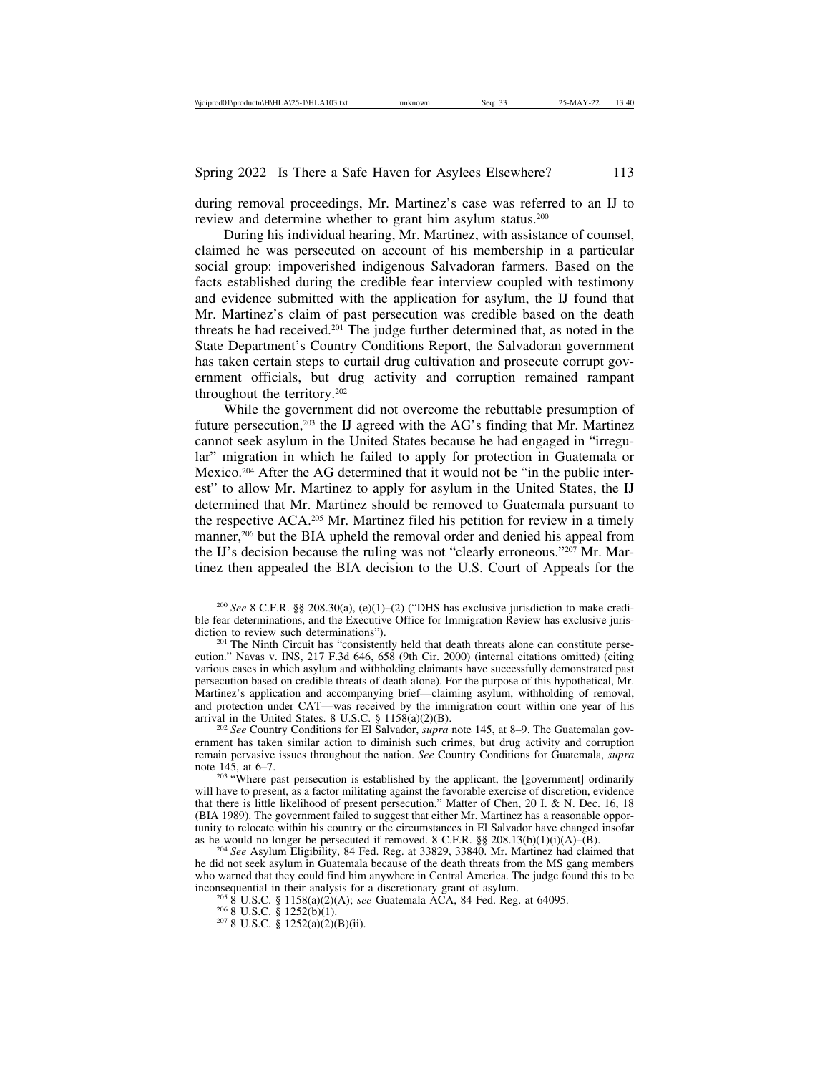during removal proceedings, Mr. Martinez's case was referred to an IJ to review and determine whether to grant him asylum status.<sup>200</sup>

During his individual hearing, Mr. Martinez, with assistance of counsel, claimed he was persecuted on account of his membership in a particular social group: impoverished indigenous Salvadoran farmers. Based on the facts established during the credible fear interview coupled with testimony and evidence submitted with the application for asylum, the IJ found that Mr. Martinez's claim of past persecution was credible based on the death threats he had received.<sup>201</sup> The judge further determined that, as noted in the State Department's Country Conditions Report, the Salvadoran government has taken certain steps to curtail drug cultivation and prosecute corrupt government officials, but drug activity and corruption remained rampant throughout the territory.202

While the government did not overcome the rebuttable presumption of future persecution,<sup>203</sup> the IJ agreed with the AG's finding that Mr. Martinez cannot seek asylum in the United States because he had engaged in "irregular" migration in which he failed to apply for protection in Guatemala or Mexico.204 After the AG determined that it would not be "in the public interest" to allow Mr. Martinez to apply for asylum in the United States, the IJ determined that Mr. Martinez should be removed to Guatemala pursuant to the respective ACA.205 Mr. Martinez filed his petition for review in a timely manner,<sup>206</sup> but the BIA upheld the removal order and denied his appeal from the IJ's decision because the ruling was not "clearly erroneous."207 Mr. Martinez then appealed the BIA decision to the U.S. Court of Appeals for the

<sup>&</sup>lt;sup>200</sup> *See* 8 C.F.R. §§ 208.30(a), (e)(1)–(2) ("DHS has exclusive jurisdiction to make credible fear determinations, and the Executive Office for Immigration Review has exclusive juris-<br>diction to review such determinations").

<sup>&</sup>lt;sup>201</sup> The Ninth Circuit has "consistently held that death threats alone can constitute persecution." Navas v. INS, 217 F.3d 646, 658 (9th Cir. 2000) (internal citations omitted) (citing various cases in which asylum and withholding claimants have successfully demonstrated past persecution based on credible threats of death alone). For the purpose of this hypothetical, Mr. Martinez's application and accompanying brief—claiming asylum, withholding of removal, and protection under CAT—was received by the immigration court within one year of his arrival in the United States. 8 U.S.C.  $\S$  1158(a)(2)(B).

<sup>&</sup>lt;sup>202</sup> See Country Conditions for El Salvador, *supra* note 145, at 8–9. The Guatemalan government has taken similar action to diminish such crimes, but drug activity and corruption remain pervasive issues throughout the nation. *See* Country Conditions for Guatemala, *supra*

<sup>&</sup>lt;sup>203</sup> "Where past persecution is established by the applicant, the [government] ordinarily will have to present, as a factor militating against the favorable exercise of discretion, evidence that there is little likelihood of present persecution." Matter of Chen, 20 I. & N. Dec. 16, 18 (BIA 1989). The government failed to suggest that either Mr. Martinez has a reasonable opportunity to relocate within his country or the circumstances in El Salvador have changed insofar as he would no longer be persecuted if removed. 8 C.F.R. §§ 208.13(b)(1)(i)(A)–(B). <sup>204</sup> *See* Asylum Eligibility, 84 Fed. Reg. at 33829, 33840. Mr. Martinez had claimed that

he did not seek asylum in Guatemala because of the death threats from the MS gang members who warned that they could find him anywhere in Central America. The judge found this to be inconsequential in their analysis for a discretionary grant of asylum.

<sup>&</sup>lt;sup>205</sup> 8 U.S.C. § 1158(a)(2)(A); *see* Guatemala ACA, 84 Fed. Reg. at 64095. <sup>206</sup> 8 U.S.C. § 1252(b)(1). <sup>207</sup> 8 U.S.C. § 1252(a)(2)(B)(ii).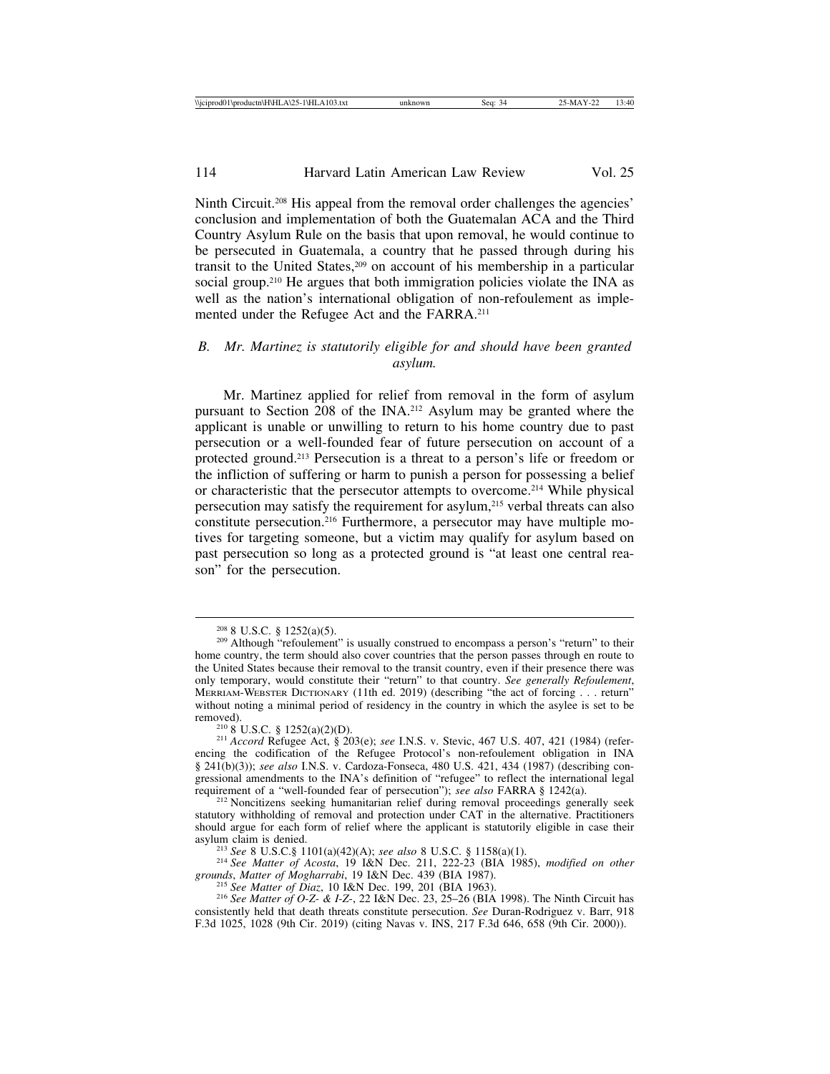Ninth Circuit.208 His appeal from the removal order challenges the agencies' conclusion and implementation of both the Guatemalan ACA and the Third Country Asylum Rule on the basis that upon removal, he would continue to be persecuted in Guatemala, a country that he passed through during his transit to the United States,209 on account of his membership in a particular social group.<sup>210</sup> He argues that both immigration policies violate the INA as well as the nation's international obligation of non-refoulement as implemented under the Refugee Act and the FARRA.211

# *B. Mr. Martinez is statutorily eligible for and should have been granted asylum.*

Mr. Martinez applied for relief from removal in the form of asylum pursuant to Section 208 of the INA.212 Asylum may be granted where the applicant is unable or unwilling to return to his home country due to past persecution or a well-founded fear of future persecution on account of a protected ground.213 Persecution is a threat to a person's life or freedom or the infliction of suffering or harm to punish a person for possessing a belief or characteristic that the persecutor attempts to overcome.214 While physical persecution may satisfy the requirement for asylum,215 verbal threats can also constitute persecution.216 Furthermore, a persecutor may have multiple motives for targeting someone, but a victim may qualify for asylum based on past persecution so long as a protected ground is "at least one central reason" for the persecution.

<sup>&</sup>lt;sup>208</sup> 8 U.S.C. § 1252(a)(5).<br><sup>209</sup> Although "refoulement" is usually construed to encompass a person's "return" to their home country, the term should also cover countries that the person passes through en route to the United States because their removal to the transit country, even if their presence there was only temporary, would constitute their "return" to that country. *See generally Refoulement*, MERRIAM-WEBSTER DICTIONARY (11th ed. 2019) (describing "the act of forcing . . . return" without noting a minimal period of residency in the country in which the asylee is set to be removed). <sup>210</sup> 8 U.S.C. § 1252(a)(2)(D). <sup>211</sup> *Accord* Refugee Act, § 203(e); *see* I.N.S. v. Stevic, 467 U.S. 407, 421 (1984) (refer-

encing the codification of the Refugee Protocol's non-refoulement obligation in INA § 241(b)(3)); *see also* I.N.S. v. Cardoza-Fonseca, 480 U.S. 421, 434 (1987) (describing congressional amendments to the INA's definition of "refugee" to reflect the international legal requirement of a "well-founded fear of persecution"); *see also* FARRA § 1242(a).

<sup>&</sup>lt;sup>212</sup> Noncitizens seeking humanitarian relief during removal proceedings generally seek statutory withholding of removal and protection under CAT in the alternative. Practitioners should argue for each form of relief where the applicant is statutorily eligible in case their

<sup>&</sup>lt;sup>213</sup> *See* 8 U.S.C.§ 1101(a)(42)(A); *see also* 8 U.S.C. § 1158(a)(1).<br><sup>214</sup> *See Matter of Acosta*, 19 I&N Dec. 211, 222-23 (BIA 1985), *modified on other grounds*, *Matter of Mogharrabi*, 19 I&N Dec. 439 (BIA 1987).

<sup>&</sup>lt;sup>215</sup> See Matter of Diaz, 10 I&N Dec. 199, 201 (BIA 1963).<br><sup>216</sup> See Matter of O-Z- & I-Z-, 22 I&N Dec. 23, 25–26 (BIA 1998). The Ninth Circuit has consistently held that death threats constitute persecution. *See* Duran-Rodriguez v. Barr, 918 F.3d 1025, 1028 (9th Cir. 2019) (citing Navas v. INS, 217 F.3d 646, 658 (9th Cir. 2000)).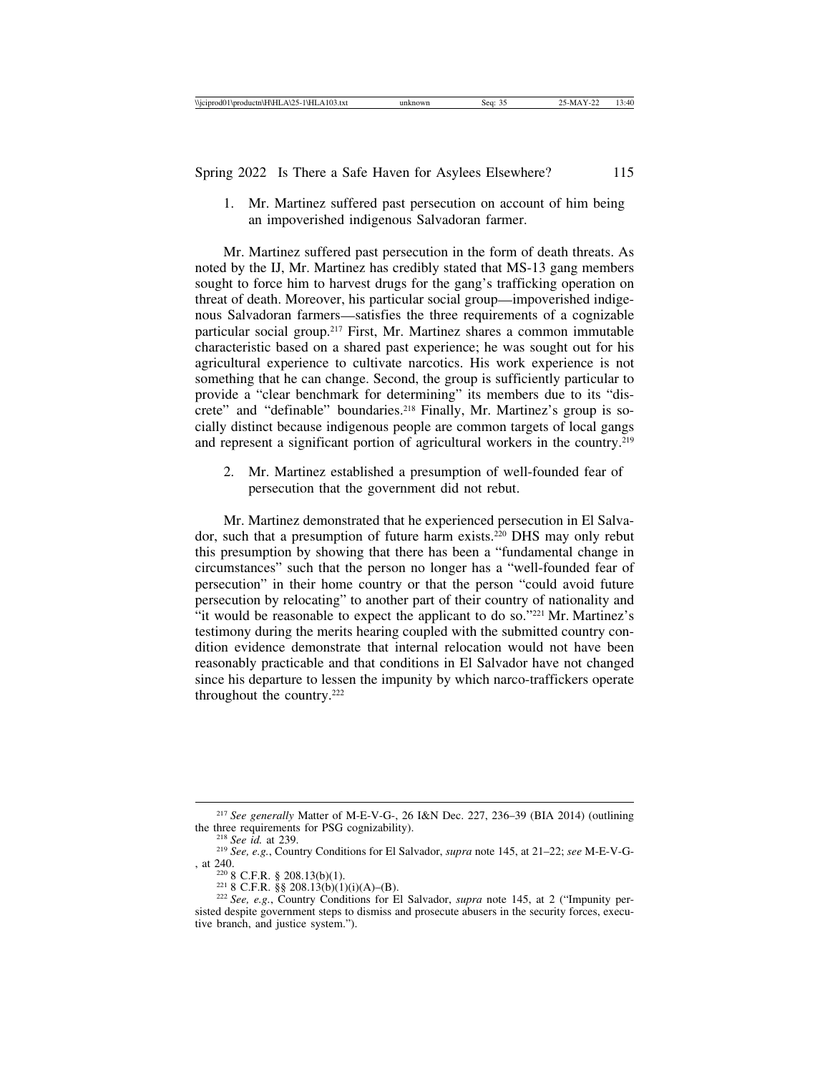1. Mr. Martinez suffered past persecution on account of him being an impoverished indigenous Salvadoran farmer.

Mr. Martinez suffered past persecution in the form of death threats. As noted by the IJ, Mr. Martinez has credibly stated that MS-13 gang members sought to force him to harvest drugs for the gang's trafficking operation on threat of death. Moreover, his particular social group—impoverished indigenous Salvadoran farmers—satisfies the three requirements of a cognizable particular social group.217 First, Mr. Martinez shares a common immutable characteristic based on a shared past experience; he was sought out for his agricultural experience to cultivate narcotics. His work experience is not something that he can change. Second, the group is sufficiently particular to provide a "clear benchmark for determining" its members due to its "discrete" and "definable" boundaries.<sup>218</sup> Finally, Mr. Martinez's group is socially distinct because indigenous people are common targets of local gangs and represent a significant portion of agricultural workers in the country.219

2. Mr. Martinez established a presumption of well-founded fear of persecution that the government did not rebut.

Mr. Martinez demonstrated that he experienced persecution in El Salvador, such that a presumption of future harm exists.220 DHS may only rebut this presumption by showing that there has been a "fundamental change in circumstances" such that the person no longer has a "well-founded fear of persecution" in their home country or that the person "could avoid future persecution by relocating" to another part of their country of nationality and "it would be reasonable to expect the applicant to do so."221 Mr. Martinez's testimony during the merits hearing coupled with the submitted country condition evidence demonstrate that internal relocation would not have been reasonably practicable and that conditions in El Salvador have not changed since his departure to lessen the impunity by which narco-traffickers operate throughout the country.222

<sup>&</sup>lt;sup>217</sup> *See generally* Matter of M-E-V-G-, 26 I&N Dec. 227, 236–39 (BIA 2014) (outlining the three requirements for PSG cognizability).

<sup>&</sup>lt;sup>218</sup> *See id.* at 239. 2<sup>18</sup> *See, e.g.*, Country Conditions for El Salvador, *supra* note 145, at 21–22; *see* M-E-V-G-, at 240. <sup>220</sup> 8 C.F.R. § 208.13(b)(1). <sup>221</sup> 8 C.F.R. §§ 208.13(b)(1)(i)(A)–(B). <sup>222</sup> *See, e.g.*, Country Conditions for El Salvador, *supra* note 145, at 2 ("Impunity per-

sisted despite government steps to dismiss and prosecute abusers in the security forces, executive branch, and justice system.").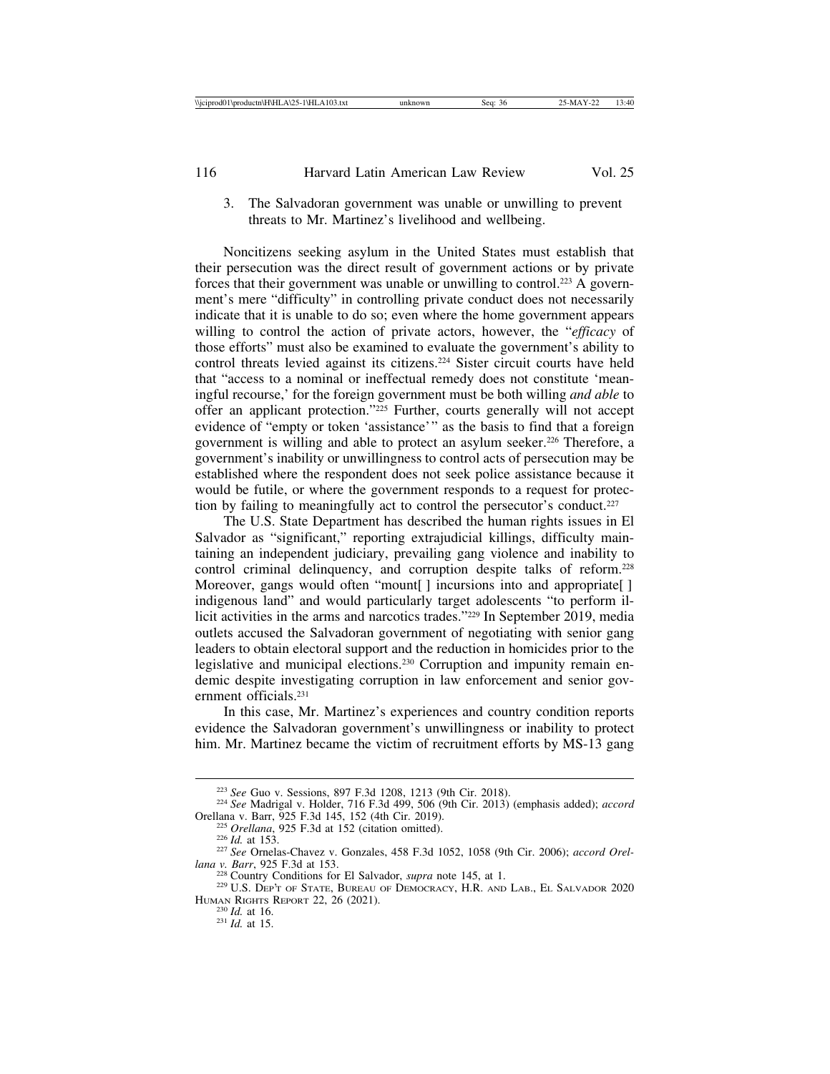3. The Salvadoran government was unable or unwilling to prevent threats to Mr. Martinez's livelihood and wellbeing.

Noncitizens seeking asylum in the United States must establish that their persecution was the direct result of government actions or by private forces that their government was unable or unwilling to control.223 A government's mere "difficulty" in controlling private conduct does not necessarily indicate that it is unable to do so; even where the home government appears willing to control the action of private actors, however, the "*efficacy* of those efforts" must also be examined to evaluate the government's ability to control threats levied against its citizens.224 Sister circuit courts have held that "access to a nominal or ineffectual remedy does not constitute 'meaningful recourse,' for the foreign government must be both willing *and able* to offer an applicant protection."225 Further, courts generally will not accept evidence of "empty or token 'assistance'" as the basis to find that a foreign government is willing and able to protect an asylum seeker.226 Therefore, a government's inability or unwillingness to control acts of persecution may be established where the respondent does not seek police assistance because it would be futile, or where the government responds to a request for protection by failing to meaningfully act to control the persecutor's conduct.<sup>227</sup>

The U.S. State Department has described the human rights issues in El Salvador as "significant," reporting extrajudicial killings, difficulty maintaining an independent judiciary, prevailing gang violence and inability to control criminal delinquency, and corruption despite talks of reform.228 Moreover, gangs would often "mount<sup>[]</sup> incursions into and appropriate<sup>[]</sup> indigenous land" and would particularly target adolescents "to perform illicit activities in the arms and narcotics trades."229 In September 2019, media outlets accused the Salvadoran government of negotiating with senior gang leaders to obtain electoral support and the reduction in homicides prior to the legislative and municipal elections.230 Corruption and impunity remain endemic despite investigating corruption in law enforcement and senior government officials.231

In this case, Mr. Martinez's experiences and country condition reports evidence the Salvadoran government's unwillingness or inability to protect him. Mr. Martinez became the victim of recruitment efforts by MS-13 gang

<sup>223</sup> *See* Guo v. Sessions, 897 F.3d 1208, 1213 (9th Cir. 2018). <sup>224</sup> *See* Madrigal v. Holder, 716 F.3d 499, 506 (9th Cir. 2013) (emphasis added); *accord*

Orellana v. Barr, 925 F.3d 145, 152 (4th Cir. 2019).<br>
<sup>225</sup> Orellana, 925 F.3d at 152 (citation omitted).<br>
<sup>226</sup> Id. at 153.<br>
<sup>227</sup> See Ornelas-Chavez v. Gonzales, 458 F.3d 1052, 1058 (9th Cir. 2006); accord Orellana v. Ba

<sup>&</sup>lt;sup>228</sup> Country Conditions for El Salvador, *supra* note 145, at 1.<br><sup>229</sup> U.S. Dep't of State, Bureau of Democracy, H.R. and Lab., El Salvador 2020 HUMAN RIGHTS REPORT 22, 26 (2021). <sup>230</sup> *Id.* at 16. <sup>231</sup> *Id.* at 15.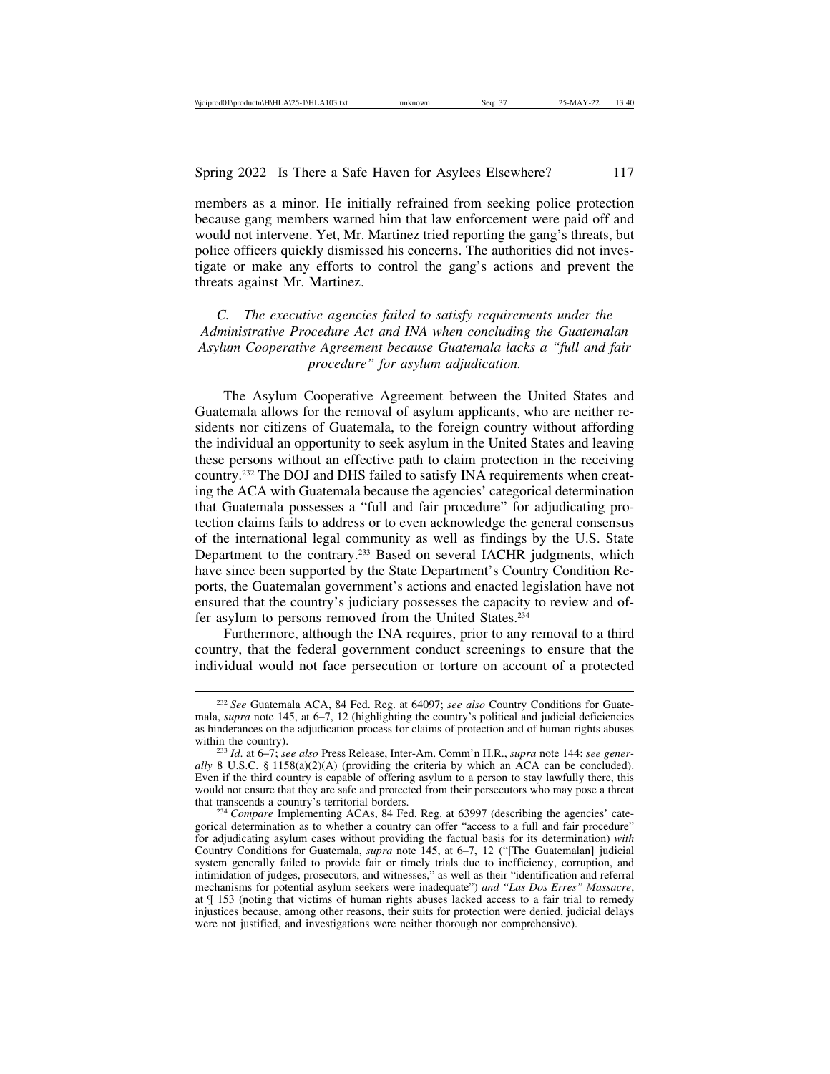members as a minor. He initially refrained from seeking police protection because gang members warned him that law enforcement were paid off and would not intervene. Yet, Mr. Martinez tried reporting the gang's threats, but police officers quickly dismissed his concerns. The authorities did not investigate or make any efforts to control the gang's actions and prevent the threats against Mr. Martinez.

*C. The executive agencies failed to satisfy requirements under the Administrative Procedure Act and INA when concluding the Guatemalan Asylum Cooperative Agreement because Guatemala lacks a "full and fair procedure" for asylum adjudication.*

The Asylum Cooperative Agreement between the United States and Guatemala allows for the removal of asylum applicants, who are neither residents nor citizens of Guatemala, to the foreign country without affording the individual an opportunity to seek asylum in the United States and leaving these persons without an effective path to claim protection in the receiving country.232 The DOJ and DHS failed to satisfy INA requirements when creating the ACA with Guatemala because the agencies' categorical determination that Guatemala possesses a "full and fair procedure" for adjudicating protection claims fails to address or to even acknowledge the general consensus of the international legal community as well as findings by the U.S. State Department to the contrary.<sup>233</sup> Based on several IACHR judgments, which have since been supported by the State Department's Country Condition Reports, the Guatemalan government's actions and enacted legislation have not ensured that the country's judiciary possesses the capacity to review and offer asylum to persons removed from the United States.234

Furthermore, although the INA requires, prior to any removal to a third country, that the federal government conduct screenings to ensure that the individual would not face persecution or torture on account of a protected

<sup>232</sup> *See* Guatemala ACA, 84 Fed. Reg. at 64097; *see also* Country Conditions for Guatemala, *supra* note 145, at 6–7, 12 (highlighting the country's political and judicial deficiencies as hinderances on the adjudication process for claims of protection and of human rights abuses

within the country). <sup>233</sup> *Id*. at 6–7; *see also* Press Release, Inter-Am. Comm'n H.R., *supra* note 144; *see generally* 8 U.S.C. § 1158(a)(2)(A) (providing the criteria by which an ACA can be concluded). Even if the third country is capable of offering asylum to a person to stay lawfully there, this would not ensure that they are safe and protected from their persecutors who may pose a threat that transcends a country's territorial borders.

<sup>&</sup>lt;sup>234</sup> Compare Implementing ACAs, 84 Fed. Reg. at 63997 (describing the agencies' categorical determination as to whether a country can offer "access to a full and fair procedure" for adjudicating asylum cases without providing the factual basis for its determination) *with* Country Conditions for Guatemala, *supra* note 145, at 6–7, 12 ("[The Guatemalan] judicial system generally failed to provide fair or timely trials due to inefficiency, corruption, and intimidation of judges, prosecutors, and witnesses," as well as their "identification and referral mechanisms for potential asylum seekers were inadequate") *and "Las Dos Erres" Massacre*, at ¶ 153 (noting that victims of human rights abuses lacked access to a fair trial to remedy injustices because, among other reasons, their suits for protection were denied, judicial delays were not justified, and investigations were neither thorough nor comprehensive).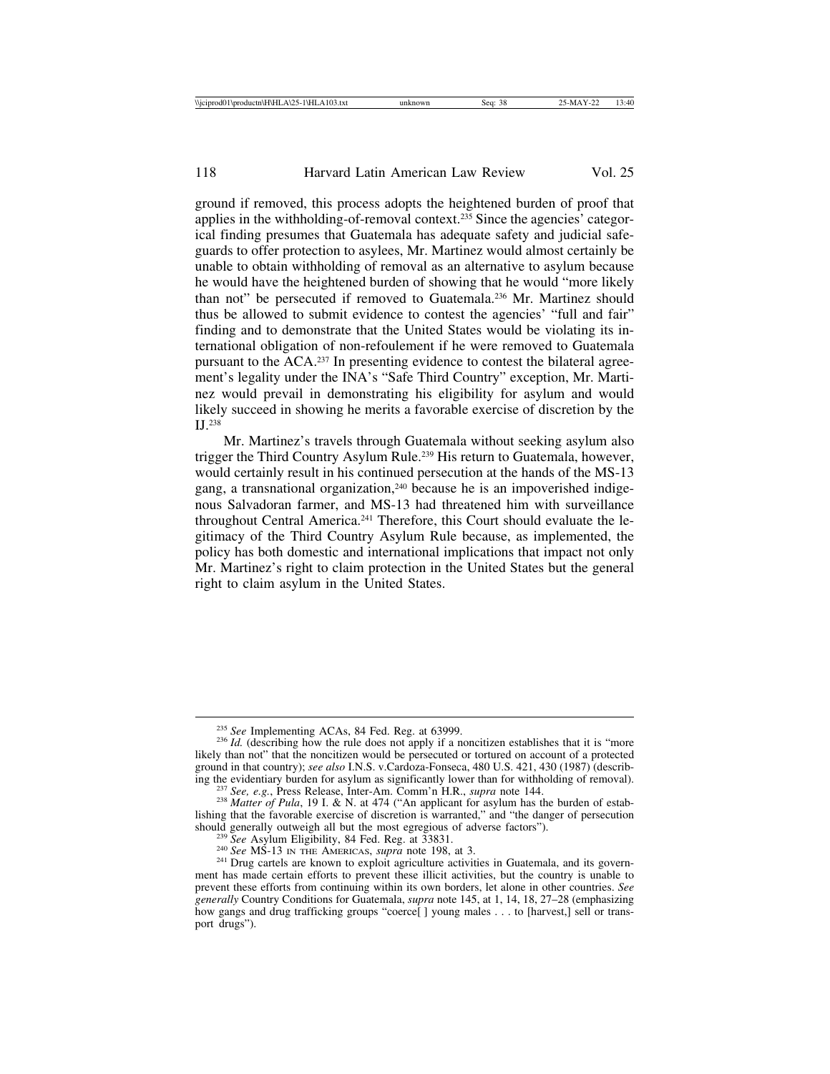ground if removed, this process adopts the heightened burden of proof that applies in the withholding-of-removal context.235 Since the agencies' categorical finding presumes that Guatemala has adequate safety and judicial safeguards to offer protection to asylees, Mr. Martinez would almost certainly be unable to obtain withholding of removal as an alternative to asylum because he would have the heightened burden of showing that he would "more likely than not" be persecuted if removed to Guatemala.236 Mr. Martinez should thus be allowed to submit evidence to contest the agencies' "full and fair" finding and to demonstrate that the United States would be violating its international obligation of non-refoulement if he were removed to Guatemala pursuant to the ACA.237 In presenting evidence to contest the bilateral agreement's legality under the INA's "Safe Third Country" exception, Mr. Martinez would prevail in demonstrating his eligibility for asylum and would likely succeed in showing he merits a favorable exercise of discretion by the IJ.238

Mr. Martinez's travels through Guatemala without seeking asylum also trigger the Third Country Asylum Rule.239 His return to Guatemala, however, would certainly result in his continued persecution at the hands of the MS-13 gang, a transnational organization,<sup>240</sup> because he is an impoverished indigenous Salvadoran farmer, and MS-13 had threatened him with surveillance throughout Central America.241 Therefore, this Court should evaluate the legitimacy of the Third Country Asylum Rule because, as implemented, the policy has both domestic and international implications that impact not only Mr. Martinez's right to claim protection in the United States but the general right to claim asylum in the United States.

<sup>&</sup>lt;sup>235</sup> *See* Implementing ACAs, 84 Fed. Reg. at 63999.<br><sup>236</sup> *Id.* (describing how the rule does not apply if a noncitizen establishes that it is "more likely than not" that the noncitizen would be persecuted or tortured on account of a protected ground in that country); *see also* I.N.S. v.Cardoza-Fonseca, 480 U.S. 421, 430 (1987) (describ-

<sup>&</sup>lt;sup>237</sup> See, e.g., Press Release, Inter-Am. Comm'n H.R., *supra* note 144.<br><sup>238</sup> Matter of Pula, 19 I. & N. at 474 ("An applicant for asylum has the burden of establishing that the favorable exercise of discretion is warranted," and "the danger of persecution should generally outweigh all but the most egregious of adverse factors").

<sup>&</sup>lt;sup>239</sup> See Asylum Eligibility, 84 Fed. Reg. at  $\overline{3}3831$ .<br><sup>240</sup> See MS-13 IN THE AMERICAS, *supra* note 198, at 3.<br><sup>241</sup> Drug cartels are known to exploit agriculture activities in Guatemala, and its government has made certain efforts to prevent these illicit activities, but the country is unable to prevent these efforts from continuing within its own borders, let alone in other countries. *See generally* Country Conditions for Guatemala, *supra* note 145, at 1, 14, 18, 27–28 (emphasizing how gangs and drug trafficking groups "coerce[ ] young males . . . to [harvest,] sell or transport drugs").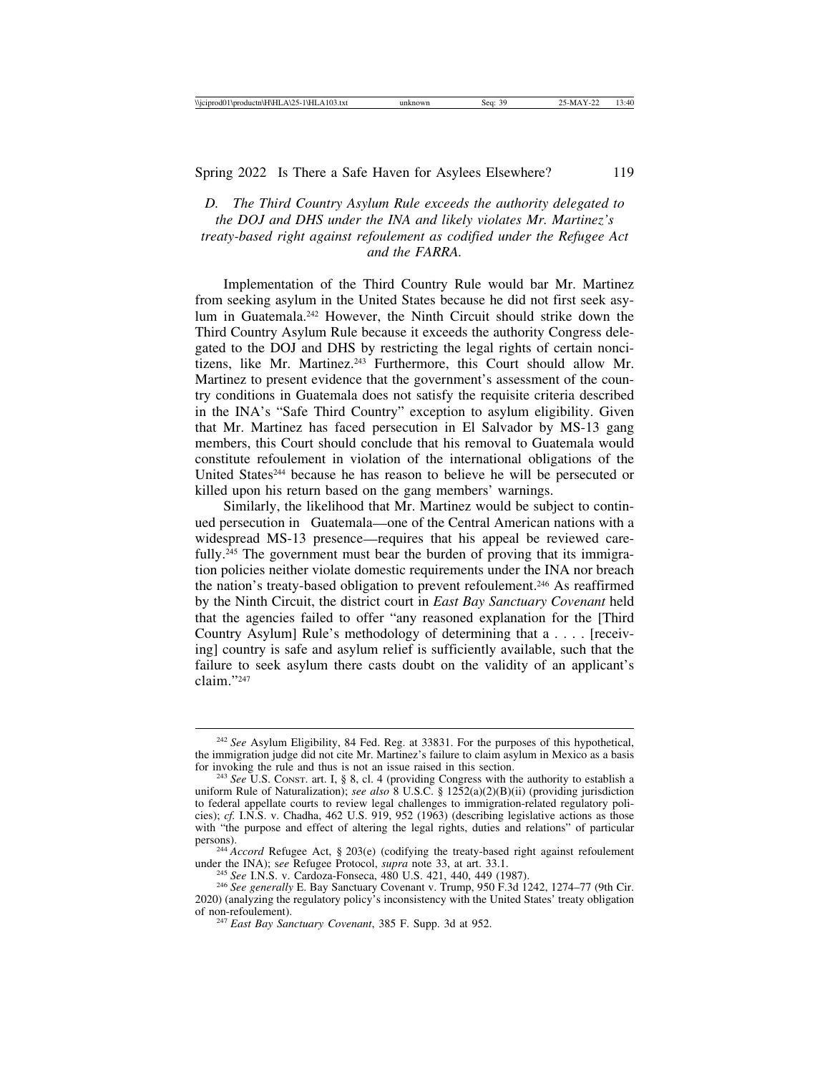*D. The Third Country Asylum Rule exceeds the authority delegated to the DOJ and DHS under the INA and likely violates Mr. Martinez's treaty-based right against refoulement as codified under the Refugee Act and the FARRA.*

Implementation of the Third Country Rule would bar Mr. Martinez from seeking asylum in the United States because he did not first seek asylum in Guatemala.242 However, the Ninth Circuit should strike down the Third Country Asylum Rule because it exceeds the authority Congress delegated to the DOJ and DHS by restricting the legal rights of certain noncitizens, like Mr. Martinez.<sup>243</sup> Furthermore, this Court should allow Mr. Martinez to present evidence that the government's assessment of the country conditions in Guatemala does not satisfy the requisite criteria described in the INA's "Safe Third Country" exception to asylum eligibility. Given that Mr. Martinez has faced persecution in El Salvador by MS-13 gang members, this Court should conclude that his removal to Guatemala would constitute refoulement in violation of the international obligations of the United States<sup>244</sup> because he has reason to believe he will be persecuted or killed upon his return based on the gang members' warnings.

Similarly, the likelihood that Mr. Martinez would be subject to continued persecution in Guatemala—one of the Central American nations with a widespread MS-13 presence—requires that his appeal be reviewed carefully.<sup>245</sup> The government must bear the burden of proving that its immigration policies neither violate domestic requirements under the INA nor breach the nation's treaty-based obligation to prevent refoulement.246 As reaffirmed by the Ninth Circuit, the district court in *East Bay Sanctuary Covenant* held that the agencies failed to offer "any reasoned explanation for the [Third Country Asylum] Rule's methodology of determining that a . . . . [receiving] country is safe and asylum relief is sufficiently available, such that the failure to seek asylum there casts doubt on the validity of an applicant's claim."247

<sup>242</sup> *See* Asylum Eligibility, 84 Fed. Reg. at 33831. For the purposes of this hypothetical, the immigration judge did not cite Mr. Martinez's failure to claim asylum in Mexico as a basis for invoking the rule and thus is not an issue raised in this section.

<sup>&</sup>lt;sup>243</sup> See U.S. CONST. art. I, § 8, cl. 4 (providing Congress with the authority to establish a uniform Rule of Naturalization); *see also* 8 U.S.C. § 1252(a)(2)(B)(ii) (providing jurisdiction to federal appellate courts to review legal challenges to immigration-related regulatory policies); *cf.* I.N.S. v. Chadha, 462 U.S. 919, 952 (1963) (describing legislative actions as those with "the purpose and effect of altering the legal rights, duties and relations" of particular persons).

<sup>&</sup>lt;sup>244</sup> *Accord* Refugee Act, § 203(e) (codifying the treaty-based right against refoulement under the INA); see Refugee Protocol, *supra* note 33, at art. 33.1.

<sup>&</sup>lt;sup>245</sup> See I.N.S. v. Cardoza-Fonseca, 480 U.S. 421, 440, 449 (1987).<br><sup>246</sup> See generally E. Bay Sanctuary Covenant v. Trump, 950 F.3d 1242, 1274–77 (9th Cir. 2020) (analyzing the regulatory policy's inconsistency with the United States' treaty obligation

<sup>&</sup>lt;sup>247</sup> *East Bay Sanctuary Covenant*, 385 F. Supp. 3d at 952.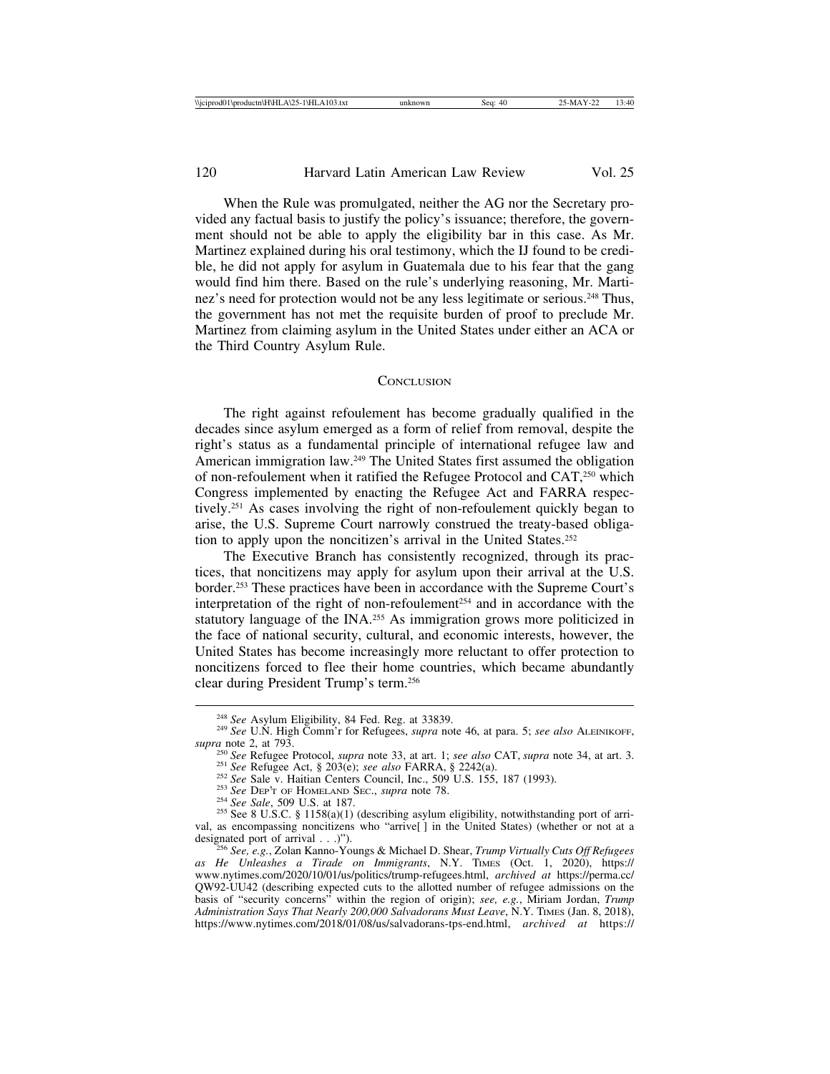When the Rule was promulgated, neither the AG nor the Secretary provided any factual basis to justify the policy's issuance; therefore, the government should not be able to apply the eligibility bar in this case. As Mr. Martinez explained during his oral testimony, which the IJ found to be credible, he did not apply for asylum in Guatemala due to his fear that the gang would find him there. Based on the rule's underlying reasoning, Mr. Martinez's need for protection would not be any less legitimate or serious.<sup>248</sup> Thus, the government has not met the requisite burden of proof to preclude Mr. Martinez from claiming asylum in the United States under either an ACA or the Third Country Asylum Rule.

#### **CONCLUSION**

The right against refoulement has become gradually qualified in the decades since asylum emerged as a form of relief from removal, despite the right's status as a fundamental principle of international refugee law and American immigration law.249 The United States first assumed the obligation of non-refoulement when it ratified the Refugee Protocol and CAT,250 which Congress implemented by enacting the Refugee Act and FARRA respectively.251 As cases involving the right of non-refoulement quickly began to arise, the U.S. Supreme Court narrowly construed the treaty-based obligation to apply upon the noncitizen's arrival in the United States.<sup>252</sup>

The Executive Branch has consistently recognized, through its practices, that noncitizens may apply for asylum upon their arrival at the U.S. border.253 These practices have been in accordance with the Supreme Court's interpretation of the right of non-refoulement<sup>254</sup> and in accordance with the statutory language of the INA.255 As immigration grows more politicized in the face of national security, cultural, and economic interests, however, the United States has become increasingly more reluctant to offer protection to noncitizens forced to flee their home countries, which became abundantly clear during President Trump's term.256

<sup>248</sup> *See* Asylum Eligibility, 84 Fed. Reg. at 33839. <sup>249</sup> *See* U.N. High Comm'r for Refugees, *supra* note 46, at para. 5; *see also* ALEINIKOFF,

<sup>&</sup>lt;sup>250</sup> See Refugee Protocol, *supra* note 33, at art. 1; *see also* CAT, *supra* note 34, at art. 3.<br><sup>251</sup> See Refugee Act, § 203(e); *see also* FARRA, § 2242(a).<br><sup>252</sup> See Sale v. Haitian Centers Council, Inc., 509 U.S. 1

val, as encompassing noncitizens who "arrive[] in the United States) (whether or not at a designated port of arrival  $\dots$ .)").

designated port of arrival . . .)"). <sup>256</sup> *See, e.g.*, Zolan Kanno-Youngs & Michael D. Shear, *Trump Virtually Cuts Off Refugees as He Unleashes a Tirade on Immigrants*, N.Y. TIMES (Oct. 1, 2020), https:// www.nytimes.com/2020/10/01/us/politics/trump-refugees.html, *archived at* https://perma.cc/ QW92-UU42 (describing expected cuts to the allotted number of refugee admissions on the basis of "security concerns" within the region of origin); *see, e.g.*, Miriam Jordan, *Trump Administration Says That Nearly 200,000 Salvadorans Must Leave*, N.Y. TIMES (Jan. 8, 2018), https://www.nytimes.com/2018/01/08/us/salvadorans-tps-end.html, *archived at* https://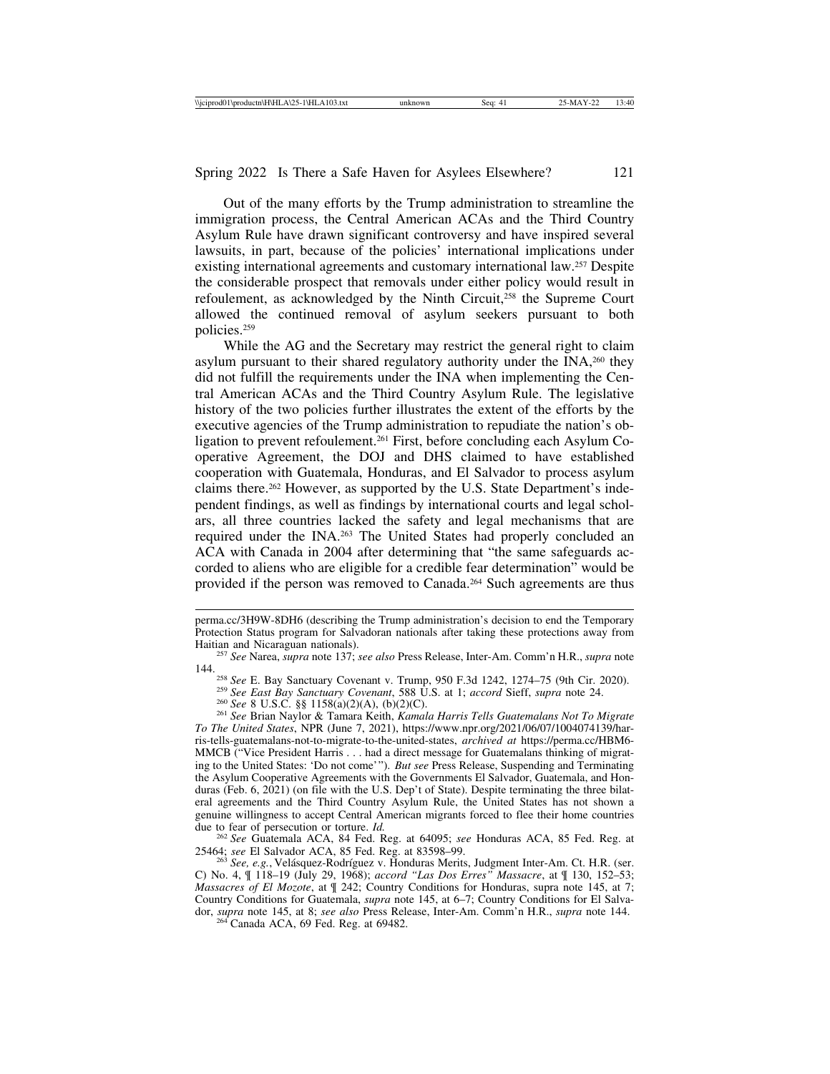Out of the many efforts by the Trump administration to streamline the immigration process, the Central American ACAs and the Third Country Asylum Rule have drawn significant controversy and have inspired several lawsuits, in part, because of the policies' international implications under existing international agreements and customary international law.257 Despite the considerable prospect that removals under either policy would result in refoulement, as acknowledged by the Ninth Circuit,<sup>258</sup> the Supreme Court allowed the continued removal of asylum seekers pursuant to both policies.259

While the AG and the Secretary may restrict the general right to claim asylum pursuant to their shared regulatory authority under the INA,<sup>260</sup> they did not fulfill the requirements under the INA when implementing the Central American ACAs and the Third Country Asylum Rule. The legislative history of the two policies further illustrates the extent of the efforts by the executive agencies of the Trump administration to repudiate the nation's obligation to prevent refoulement.<sup>261</sup> First, before concluding each Asylum Cooperative Agreement, the DOJ and DHS claimed to have established cooperation with Guatemala, Honduras, and El Salvador to process asylum claims there.262 However, as supported by the U.S. State Department's independent findings, as well as findings by international courts and legal scholars, all three countries lacked the safety and legal mechanisms that are required under the INA.263 The United States had properly concluded an ACA with Canada in 2004 after determining that "the same safeguards accorded to aliens who are eligible for a credible fear determination" would be provided if the person was removed to Canada.<sup>264</sup> Such agreements are thus

<sup>262</sup> See Guatemala ACA, 84 Fed. Reg. at 64095; *see* Honduras ACA, 85 Fed. Reg. at 25464; *see* El Salvador ACA, 85 Fed. Reg. at 83598–99.

<sup>63</sup> See, e.g., Velásquez-Rodríguez v. Honduras Merits, Judgment Inter-Am. Ct. H.R. (ser. C) No. 4, ¶ 118–19 (July 29, 1968); *accord "Las Dos Erres" Massacre*, at ¶ 130, 152–53; *Massacres of El Mozote*, at  $\parallel$  242; Country Conditions for Honduras, supra note 145, at 7; Country Conditions for Guatemala, *supra* note 145, at 6–7; Country Conditions for El Salvador, *supra* note 145, at 8; *see also* Press Release, Inter-Am. Comm'n H.R., *supra* note 144. <sup>264</sup> Canada ACA, 69 Fed. Reg. at 69482.

perma.cc/3H9W-8DH6 (describing the Trump administration's decision to end the Temporary Protection Status program for Salvadoran nationals after taking these protections away from

Haitian and Nicaraguan nationals). <sup>257</sup> *See* Narea, *supra* note 137; *see also* Press Release, Inter-Am. Comm'n H.R., *supra* note 144.<br>
<sup>258</sup> See E. Bay Sanctuary Covenant v. Trump, 950 F.3d 1242, 1274–75 (9th Cir. 2020).<br>
<sup>259</sup> See East Bay Sanctuary Covenant, 588 U.S. at 1; accord Sieff, supra note 24.<br>
<sup>260</sup> See 8 U.S.C. §§ 1158(a)(2)(A), (b)(2)(

*To The United States*, NPR (June 7, 2021), https://www.npr.org/2021/06/07/1004074139/harris-tells-guatemalans-not-to-migrate-to-the-united-states, *archived at* https://perma.cc/HBM6- MMCB ("Vice President Harris . . . had a direct message for Guatemalans thinking of migrating to the United States: 'Do not come'"). *But see* Press Release, Suspending and Terminating the Asylum Cooperative Agreements with the Governments El Salvador, Guatemala, and Honduras (Feb. 6, 2021) (on file with the U.S. Dep't of State). Despite terminating the three bilateral agreements and the Third Country Asylum Rule, the United States has not shown a genuine willingness to accept Central American migrants forced to flee their home countries due to fear of persecution or torture.  $Id$ .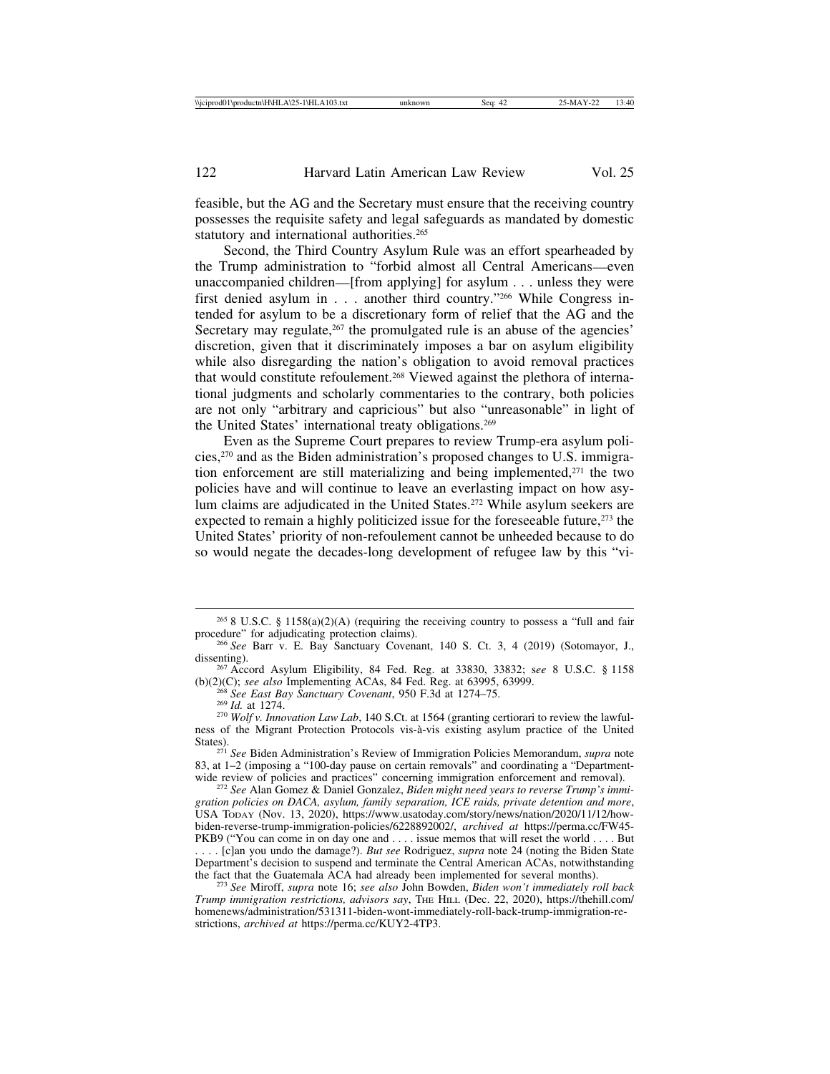feasible, but the AG and the Secretary must ensure that the receiving country possesses the requisite safety and legal safeguards as mandated by domestic statutory and international authorities.<sup>265</sup>

Second, the Third Country Asylum Rule was an effort spearheaded by the Trump administration to "forbid almost all Central Americans—even unaccompanied children—[from applying] for asylum . . . unless they were first denied asylum in . . . another third country."266 While Congress intended for asylum to be a discretionary form of relief that the AG and the Secretary may regulate,<sup>267</sup> the promulgated rule is an abuse of the agencies' discretion, given that it discriminately imposes a bar on asylum eligibility while also disregarding the nation's obligation to avoid removal practices that would constitute refoulement.268 Viewed against the plethora of international judgments and scholarly commentaries to the contrary, both policies are not only "arbitrary and capricious" but also "unreasonable" in light of the United States' international treaty obligations.269

Even as the Supreme Court prepares to review Trump-era asylum policies,270 and as the Biden administration's proposed changes to U.S. immigration enforcement are still materializing and being implemented, $271$  the two policies have and will continue to leave an everlasting impact on how asylum claims are adjudicated in the United States.<sup>272</sup> While asylum seekers are expected to remain a highly politicized issue for the foreseeable future,<sup>273</sup> the United States' priority of non-refoulement cannot be unheeded because to do so would negate the decades-long development of refugee law by this "vi-

<sup>&</sup>lt;sup>265</sup> 8 U.S.C. § 1158(a)(2)(A) (requiring the receiving country to possess a "full and fair procedure" for adjudicating protection claims).

<sup>&</sup>lt;sup>266</sup> See Barr v. E. Bay Sanctuary Covenant, 140 S. Ct. 3, 4 (2019) (Sotomayor, J., dissenting).

<sup>&</sup>lt;sup>267</sup> Accord Asylum Eligibility, 84 Fed. Reg. at 33830, 33832; see 8 U.S.C. § 1158 (b)(2)(C); see also Implementing ACAs, 84 Fed. Reg. at 63995, 63999.

<sup>&</sup>lt;sup>268</sup> See East Bay Sanctuary Covenant, 950 F.3d at 1274–75.<br><sup>269</sup> Id. at 1274.<br><sup>270</sup> Wolf v. Innovation Law Lab, 140 S.Ct. at 1564 (granting certiorari to review the lawfulness of the Migrant Protection Protocols vis-à-vis existing asylum practice of the United States).

<sup>&</sup>lt;sup>271</sup> See Biden Administration's Review of Immigration Policies Memorandum, *supra* note 83, at 1–2 (imposing a "100-day pause on certain removals" and coordinating a "Department-<br>wide review of policies and practices" concerning immigration enforcement and removal).

<sup>&</sup>lt;sup>272</sup> See Alan Gomez & Daniel Gonzalez, Biden might need years to reverse Trump's immi*gration policies on DACA, asylum, family separation, ICE raids, private detention and more*, USA TODAY (Nov. 13, 2020), https://www.usatoday.com/story/news/nation/2020/11/12/howbiden-reverse-trump-immigration-policies/6228892002/, *archived at* https://perma.cc/FW45- PKB9 ("You can come in on day one and . . . . issue memos that will reset the world . . . . But

<sup>. . . . [</sup>c]an you undo the damage?). *But see* Rodriguez, *supra* note 24 (noting the Biden State Department's decision to suspend and terminate the Central American ACAs, notwithstanding

the fact that the Guatemala ACA had already been implemented for several months). <sup>273</sup> *See* Miroff, *supra* note 16; *see also* John Bowden, *Biden won't immediately roll back Trump immigration restrictions, advisors say*, THE HILL (Dec. 22, 2020), https://thehill.com/ homenews/administration/531311-biden-wont-immediately-roll-back-trump-immigration-restrictions, *archived at* https://perma.cc/KUY2-4TP3.